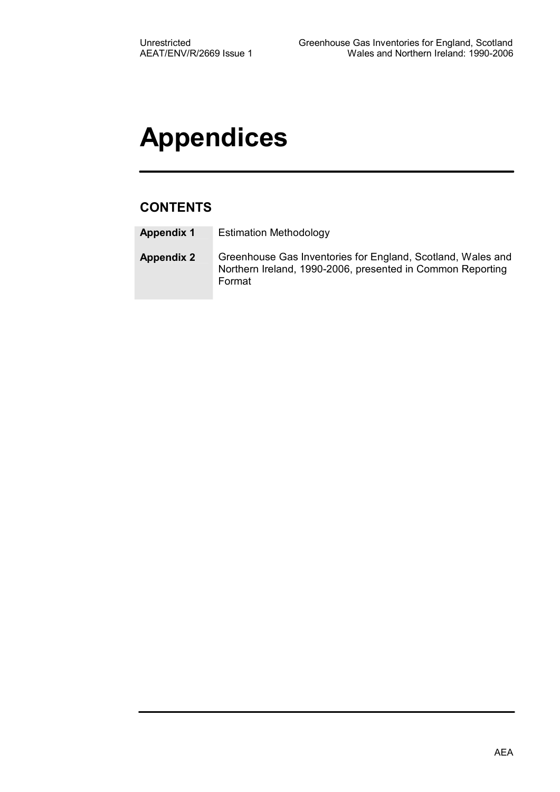# **Appendices**

### **CONTENTS**

- **Appendix 1** Estimation Methodology
- **Appendix 2** Greenhouse Gas Inventories for England, Scotland, Wales and Northern Ireland, 1990-2006, presented in Common Reporting Format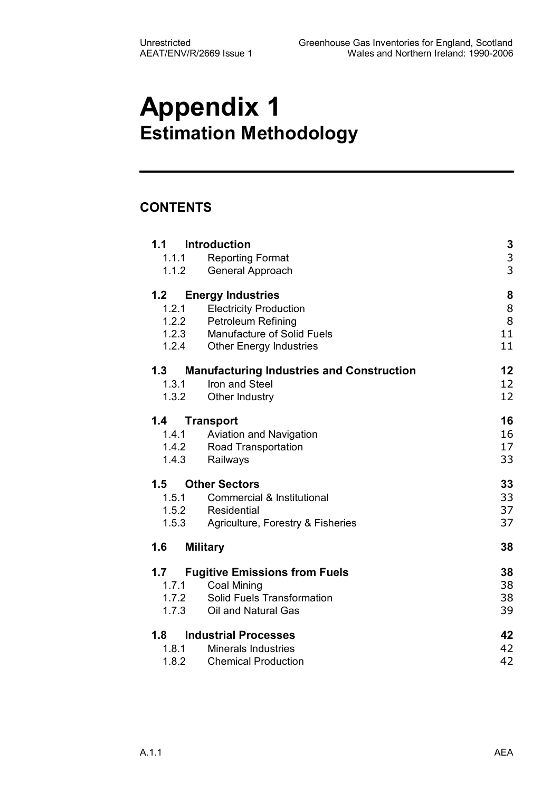# **Appendix 1 Estimation Methodology**

### **CONTENTS**

| 1.1<br>1.1.1 | Introduction<br><b>Reporting Format</b>          | 3             |
|--------------|--------------------------------------------------|---------------|
| 1.1.2        | General Approach                                 | $\frac{3}{3}$ |
| 1.2          | <b>Energy Industries</b>                         | 8             |
| 1.2.1        | <b>Electricity Production</b>                    | 8             |
| 1.2.2        | Petroleum Refining                               | 8             |
| 1.2.3        | Manufacture of Solid Fuels                       | 11            |
| 1.2.4        | <b>Other Energy Industries</b>                   | 11            |
| 1.3          | <b>Manufacturing Industries and Construction</b> | 12            |
| 1.3.1        | Iron and Steel                                   | 12            |
| 1.3.2        | Other Industry                                   | 12            |
| 1.4          | Transport                                        | 16            |
| 1.4.1        | Aviation and Navigation                          | 16            |
|              | 1.4.2 Road Transportation                        | 17            |
| 1.4.3        | Railways                                         | 33            |
| 1.5          | <b>Other Sectors</b>                             | 33            |
| 1.5.1        | Commercial & Institutional                       | 33            |
|              | 1.5.2 Residential                                | 37            |
| 1.5.3        | Agriculture, Forestry & Fisheries                | 37            |
| 1.6          | <b>Military</b>                                  | 38            |
| 1.7          | <b>Fugitive Emissions from Fuels</b>             | 38            |
| 1.7.1        | <b>Coal Mining</b>                               | 38            |
| 1.7.2        | Solid Fuels Transformation                       | 38            |
| 1.7.3        | Oil and Natural Gas                              | 39            |
| 1.8          | <b>Industrial Processes</b>                      | 42            |
| 1.8.1        | <b>Minerals Industries</b>                       | 42            |
| 1.8.2        | <b>Chemical Production</b>                       | 42            |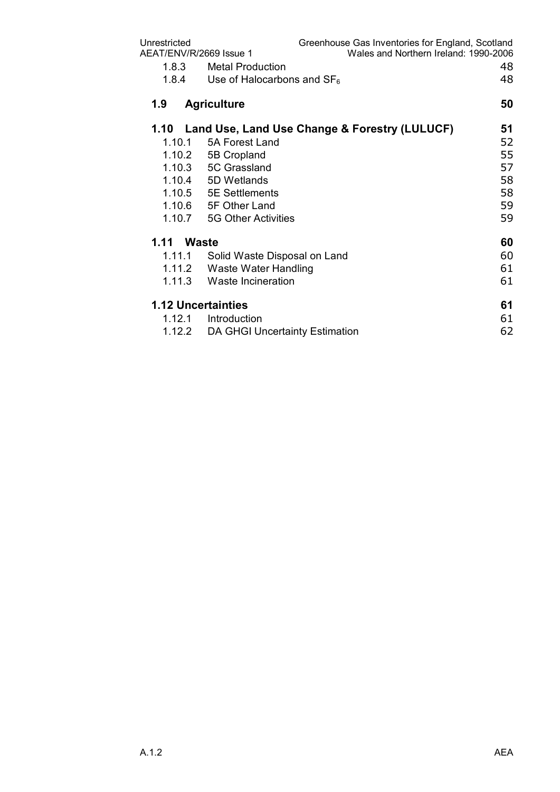| Unrestricted<br>AEAT/ENV/R/2669 Issue 1 |                                               | Greenhouse Gas Inventories for England, Scotland<br>Wales and Northern Ireland: 1990-2006 |    |
|-----------------------------------------|-----------------------------------------------|-------------------------------------------------------------------------------------------|----|
| 1.8.3                                   | <b>Metal Production</b>                       |                                                                                           | 48 |
| 1.8.4                                   | Use of Halocarbons and $SF6$                  |                                                                                           | 48 |
| 1.9                                     | <b>Agriculture</b>                            |                                                                                           | 50 |
| 1.10                                    | Land Use, Land Use Change & Forestry (LULUCF) |                                                                                           | 51 |
| 1.10.1                                  | 5A Forest Land                                |                                                                                           | 52 |
| 1.10.2                                  | 5B Cropland                                   |                                                                                           | 55 |
| 1.10.3                                  | 5C Grassland                                  |                                                                                           | 57 |
|                                         | 1.10.4 5D Wetlands                            |                                                                                           | 58 |
|                                         | 1.10.5 5E Settlements                         |                                                                                           | 58 |
|                                         | 1.10.6 5F Other Land                          |                                                                                           | 59 |
| 1.10.7                                  | 5G Other Activities                           |                                                                                           | 59 |
| 1.11                                    | <b>Waste</b>                                  |                                                                                           | 60 |
| 1.11.1                                  | Solid Waste Disposal on Land                  |                                                                                           | 60 |
|                                         | 1.11.2 Waste Water Handling                   |                                                                                           | 61 |
| 1.11.3                                  | Waste Incineration                            |                                                                                           | 61 |
|                                         | <b>1.12 Uncertainties</b>                     |                                                                                           | 61 |
| 1.12.1                                  | Introduction                                  |                                                                                           | 61 |
| 1.12.2                                  | DA GHGI Uncertainty Estimation                |                                                                                           | 62 |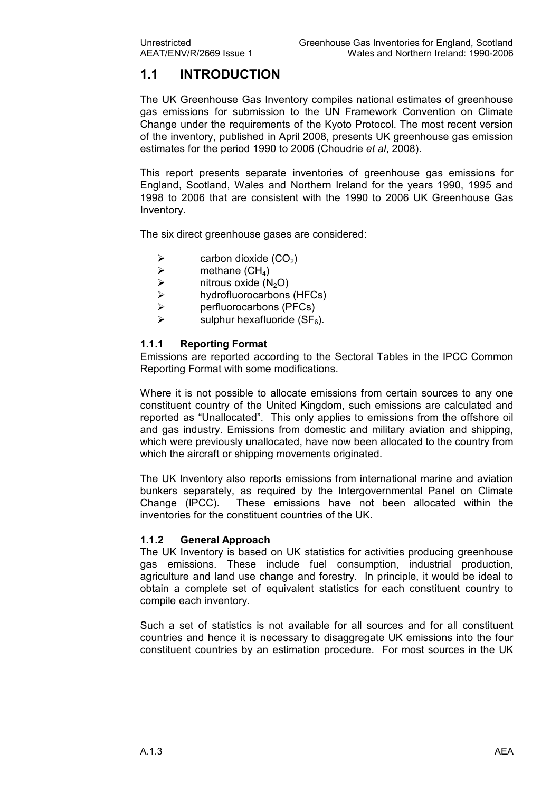### **1.1 INTRODUCTION**

The UK Greenhouse Gas Inventory compiles national estimates of greenhouse gas emissions for submission to the UN Framework Convention on Climate Change under the requirements of the Kyoto Protocol. The most recent version of the inventory, published in April 2008, presents UK greenhouse gas emission estimates for the period 1990 to 2006 (Choudrie *et al*, 2008).

This report presents separate inventories of greenhouse gas emissions for England, Scotland, Wales and Northern Ireland for the years 1990, 1995 and 1998 to 2006 that are consistent with the 1990 to 2006 UK Greenhouse Gas Inventory.

The six direct greenhouse gases are considered:

- $\triangleright$  carbon dioxide (CO<sub>2</sub>)<br> $\triangleright$  methane (CH<sub>4</sub>)
- $\ge$  methane (CH<sub>4</sub>)<br> $\ge$  nitrous oxide (N
- $\triangleright$  nitrous oxide (N<sub>2</sub>O)<br> $\triangleright$  hydrofluorocarbons
- $\ge$  hydrofluorocarbons (HFCs)<br> $\ge$  perfluorocarbons (PFCs)
- $\triangleright$  perfluorocarbons (PFCs)<br> $\triangleright$  sulphur hexafluoride (SE<sub>s</sub>
- sulphur hexafluoride ( $SF<sub>6</sub>$ ).

#### **1.1.1 Reporting Format**

Emissions are reported according to the Sectoral Tables in the IPCC Common Reporting Format with some modifications.

Where it is not possible to allocate emissions from certain sources to any one constituent country of the United Kingdom, such emissions are calculated and reported as "Unallocated". This only applies to emissions from the offshore oil and gas industry. Emissions from domestic and military aviation and shipping, which were previously unallocated, have now been allocated to the country from which the aircraft or shipping movements originated.

The UK Inventory also reports emissions from international marine and aviation bunkers separately, as required by the Intergovernmental Panel on Climate Change (IPCC). These emissions have not been allocated within the inventories for the constituent countries of the UK.

#### **1.1.2 General Approach**

The UK Inventory is based on UK statistics for activities producing greenhouse gas emissions. These include fuel consumption, industrial production, agriculture and land use change and forestry. In principle, it would be ideal to obtain a complete set of equivalent statistics for each constituent country to compile each inventory.

Such a set of statistics is not available for all sources and for all constituent countries and hence it is necessary to disaggregate UK emissions into the four constituent countries by an estimation procedure. For most sources in the UK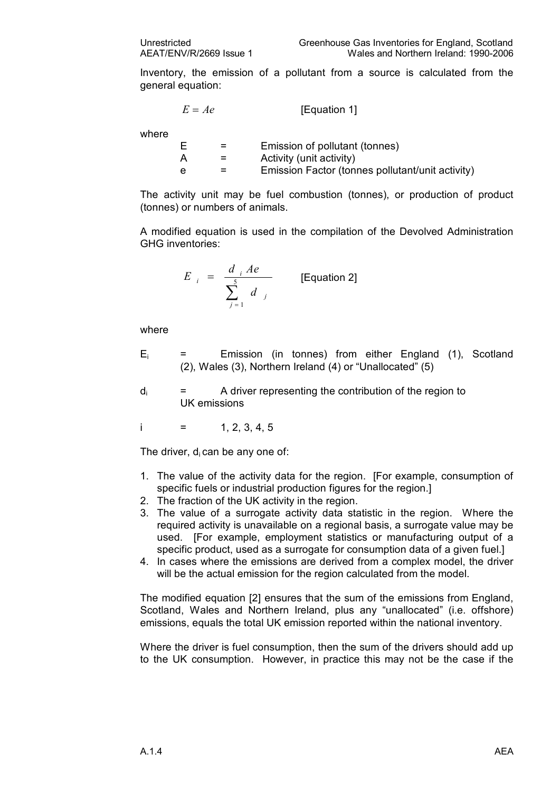Inventory, the emission of a pollutant from a source is calculated from the general equation:

$$
E = Ae
$$
 [Equation 1]

where

|   | Emission of pollutant (tonnes)                   |
|---|--------------------------------------------------|
|   | Activity (unit activity)                         |
| e | Emission Factor (tonnes pollutant/unit activity) |

The activity unit may be fuel combustion (tonnes), or production of product (tonnes) or numbers of animals.

A modified equation is used in the compilation of the Devolved Administration GHG inventories:

$$
E_{i} = \frac{d_{i} Ae}{\sum_{j=1}^{5} d_{j}}
$$
 [Equation 2]

where

- $E_i$  = Emission (in tonnes) from either England (1), Scotland (2), Wales (3), Northern Ireland (4) or "Unallocated" (5)
- $d_i$  = A driver representing the contribution of the region to UK emissions

 $i = 1, 2, 3, 4, 5$ 

The driver,  $d_i$  can be any one of:

- 1. The value of the activity data for the region. [For example, consumption of specific fuels or industrial production figures for the region.]
- 2. The fraction of the UK activity in the region.
- 3. The value of a surrogate activity data statistic in the region. Where the required activity is unavailable on a regional basis, a surrogate value may be used. [For example, employment statistics or manufacturing output of a specific product, used as a surrogate for consumption data of a given fuel.]
- 4. In cases where the emissions are derived from acomplex model, the driver will be the actual emission for the region calculated from the model.

The modified equation [2] ensures that the sum of the emissions from England, Scotland, Wales and Northern Ireland, plus any "unallocated" (i.e. offshore) emissions, equals the total UK emission reported within the national inventory.

Where the driver is fuel consumption, then the sum of the drivers should add up to the UK consumption. However, in practice this may not be the case if the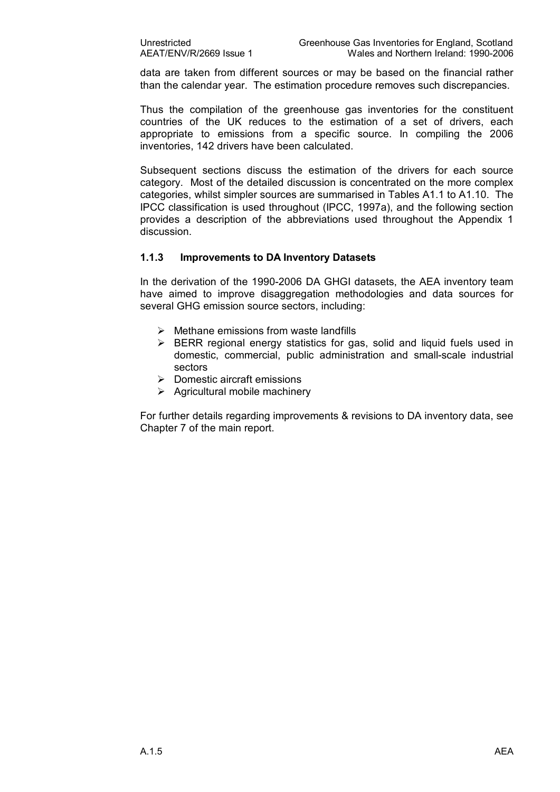data are taken from different sources or may be based on the financial rather than the calendar year. The estimation procedure removes such discrepancies.

Thus the compilation of the greenhouse gas inventories for the constituent countries of the UK reduces to the estimation of a set of drivers, each appropriate to emissions from a specific source. In compiling the 2006 inventories, 142 drivers have been calculated.

Subsequent sections discuss the estimation of the drivers for each source category. Most of the detailed discussion is concentrated on the more complex categories, whilst simpler sources are summarised in Tables A1.1 to A1.10. The IPCC classification is used throughout (IPCC, 1997a), and the following section provides a description of the abbreviations used throughout the Appendix 1 discussion.

#### **1.1.3 Improvements to DA Inventory Datasets**

In the derivation of the 1990-2006 DA GHGI datasets, the AEA inventory team have aimed to improve disaggregation methodologies and data sources for several GHG emission source sectors, including:

- $\triangleright$  Methane emissions from waste landfills
- $\triangleright$  BERR regional energy statistics for gas, solid and liquid fuels used in domestic, commercial, public administration and small-scale industrial sectors
- $\triangleright$  Domestic aircraft emissions
- $\triangleright$  Agricultural mobile machinery

For further details regarding improvements & revisions to DA inventory data, see Chapter 7 of the main report.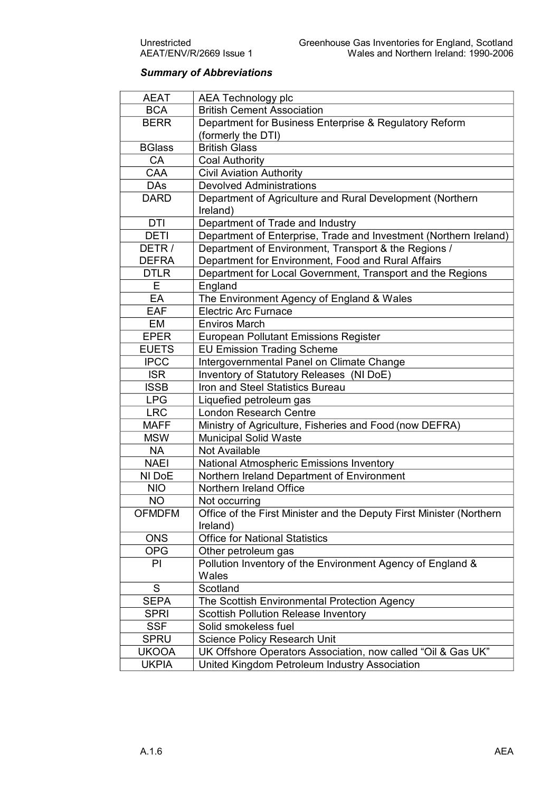### *Summary of Abbreviations*

| <b>AEAT</b>   | AEA Technology plc                                                   |
|---------------|----------------------------------------------------------------------|
| <b>BCA</b>    | <b>British Cement Association</b>                                    |
| <b>BERR</b>   | Department for Business Enterprise & Regulatory Reform               |
|               | (formerly the DTI)                                                   |
| <b>BGlass</b> | <b>British Glass</b>                                                 |
| CA            | <b>Coal Authority</b>                                                |
| CAA           | <b>Civil Aviation Authority</b>                                      |
| <b>DAs</b>    | <b>Devolved Administrations</b>                                      |
| <b>DARD</b>   | Department of Agriculture and Rural Development (Northern            |
|               | Ireland)                                                             |
| <b>DTI</b>    | Department of Trade and Industry                                     |
| <b>DETI</b>   | Department of Enterprise, Trade and Investment (Northern Ireland)    |
| DETR/         | Department of Environment, Transport & the Regions /                 |
| <b>DEFRA</b>  | Department for Environment, Food and Rural Affairs                   |
| <b>DTLR</b>   | Department for Local Government, Transport and the Regions           |
| E             | England                                                              |
| EA            | The Environment Agency of England & Wales                            |
| <b>EAF</b>    | <b>Electric Arc Furnace</b>                                          |
| EM            | <b>Enviros March</b>                                                 |
| <b>EPER</b>   | <b>European Pollutant Emissions Register</b>                         |
| <b>EUETS</b>  | <b>EU Emission Trading Scheme</b>                                    |
| <b>IPCC</b>   | Intergovernmental Panel on Climate Change                            |
| <b>ISR</b>    | Inventory of Statutory Releases (NI DoE)                             |
| <b>ISSB</b>   | Iron and Steel Statistics Bureau                                     |
| <b>LPG</b>    | Liquefied petroleum gas                                              |
| <b>LRC</b>    | <b>London Research Centre</b>                                        |
| <b>MAFF</b>   | Ministry of Agriculture, Fisheries and Food (now DEFRA)              |
| <b>MSW</b>    | Municipal Solid Waste                                                |
| <b>NA</b>     | Not Available                                                        |
| <b>NAEI</b>   | National Atmospheric Emissions Inventory                             |
| NI DoE        | Northern Ireland Department of Environment                           |
| <b>NIO</b>    | Northern Ireland Office                                              |
| <b>NO</b>     | Not occurring                                                        |
| <b>OFMDFM</b> | Office of the First Minister and the Deputy First Minister (Northern |
|               | Ireland)                                                             |
| <b>ONS</b>    | <b>Office for National Statistics</b>                                |
| <b>OPG</b>    | Other petroleum gas                                                  |
| PI            | Pollution Inventory of the Environment Agency of England &           |
|               | Wales                                                                |
| S             | Scotland                                                             |
| <b>SEPA</b>   | The Scottish Environmental Protection Agency                         |
| <b>SPRI</b>   | <b>Scottish Pollution Release Inventory</b>                          |
| <b>SSF</b>    | Solid smokeless fuel                                                 |
| <b>SPRU</b>   | <b>Science Policy Research Unit</b>                                  |
| <b>UKOOA</b>  | UK Offshore Operators Association, now called "Oil & Gas UK"         |
| <b>UKPIA</b>  | United Kingdom Petroleum Industry Association                        |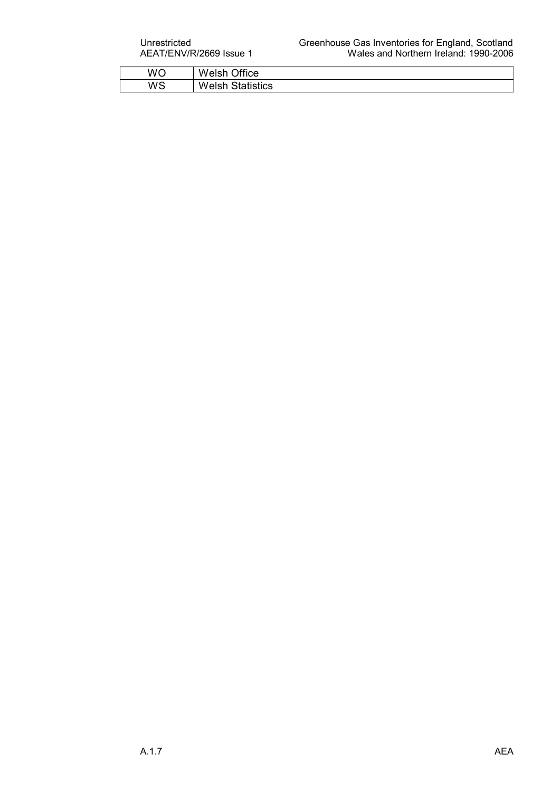| WO | Office<br>W<br>'elsh                      |
|----|-------------------------------------------|
| WS | W<br>Statistics<br><i>In</i> lar<br>'USI. |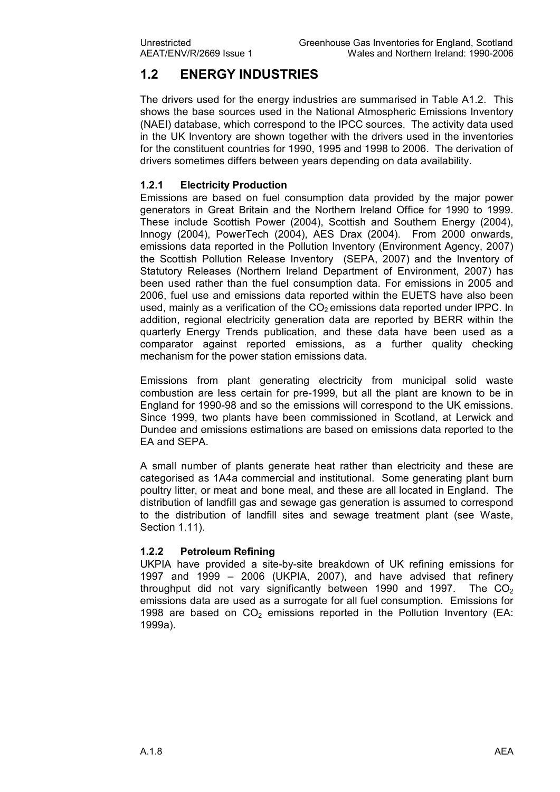### **1.2 ENERGY INDUSTRIES**

The drivers used for the energy industries are summarised in Table A1.2. This shows the base sources used in the National Atmospheric Emissions Inventory (NAEI) database, which correspond to the IPCC sources. The activity data used in the UK Inventory are shown together with the drivers used in the inventories for the constituent countries for 1990, 1995 and 1998 to 2006. The derivation of drivers sometimes differs between years depending on data availability.

#### **1.2.1 Electricity Production**

Emissions are based on fuel consumption data provided by the major power generators in Great Britain and the Northern Ireland Office for 1990 to 1999. These include Scottish Power (2004), Scottish and Southern Energy (2004), Innogy (2004), PowerTech (2004), AES Drax (2004). From 2000 onwards, emissions data reported in the Pollution Inventory (Environment Agency, 2007) the Scottish Pollution Release Inventory (SEPA, 2007) and the Inventory of Statutory Releases (Northern Ireland Department of Environment, 2007) has been used rather than the fuel consumption data. For emissions in 2005 and 2006, fuel use and emissions data reported within the EUETS have also been used, mainly as a verification of the  $CO<sub>2</sub>$  emissions data reported under IPPC. In addition, regional electricity generation data are reported by BERR within the quarterly Energy Trends publication, and these data have been used as a comparator against reported emissions, as a further quality checking mechanism for the power station emissions data.

Emissions from plant generating electricity from municipal solid waste combustion are less certain for pre1999, but all the plant are known to be in England for 1990-98 and so the emissions will correspond to the UK emissions. Since 1999, two plants have been commissioned in Scotland, at Lerwick and Dundee and emissions estimations are based on emissions data reported to the EA and SEPA.

A small number of plants generate heat rather than electricity and these are categorised as 1A4a commercial and institutional. Some generating plant burn poultry litter, or meat and bone meal, and these are all located in England. The distribution of landfill gas and sewage gas generation is assumed to correspond to the distribution of landfill sites and sewage treatment plant (see Waste, Section 1.11).

#### **1.2.2 Petroleum Refining**

UKPIA have provided a site-by-site breakdown of UK refining emissions for 1997 and 1999 – 2006 (UKPIA, 2007), and have advised that refinery throughput did not vary significantly between 1990 and 1997. The  $CO<sub>2</sub>$ emissions data are used as a surrogate for all fuel consumption. Emissions for 1998 are based on  $CO<sub>2</sub>$  emissions reported in the Pollution Inventory (EA: 1999a).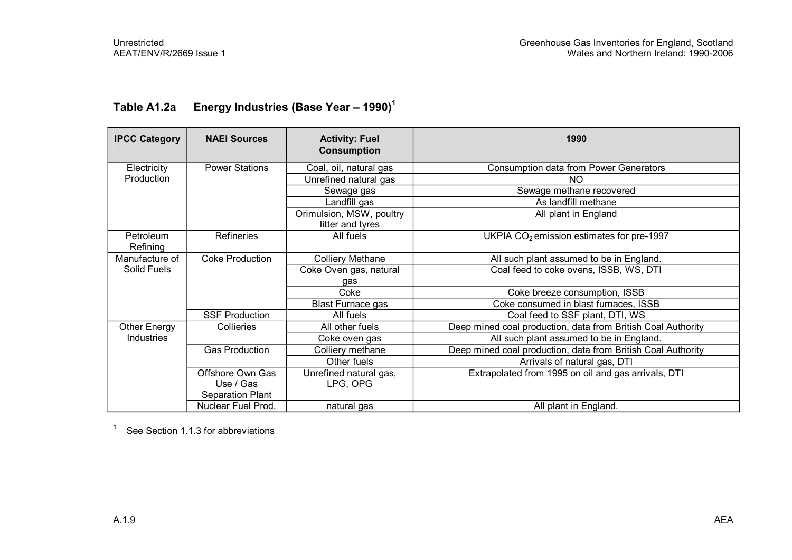| <b>IPCC Category</b>  | <b>NAEI Sources</b>    | <b>Activity: Fuel</b><br><b>Consumption</b>  | 1990                                                         |
|-----------------------|------------------------|----------------------------------------------|--------------------------------------------------------------|
| Electricity           | <b>Power Stations</b>  | Coal, oil, natural gas                       | <b>Consumption data from Power Generators</b>                |
| Production            |                        | Unrefined natural gas                        | <b>NO</b>                                                    |
|                       |                        | Sewage gas                                   | Sewage methane recovered                                     |
|                       |                        | Landfill gas                                 | As landfill methane                                          |
|                       |                        | Orimulsion, MSW, poultry<br>litter and tyres | All plant in England                                         |
| Petroleum<br>Refining | <b>Refineries</b>      | All fuels                                    | UKPIA $CO2$ emission estimates for pre-1997                  |
| Manufacture of        | <b>Coke Production</b> | <b>Colliery Methane</b>                      | All such plant assumed to be in England.                     |
| Solid Fuels           |                        | Coke Oven gas, natural                       | Coal feed to coke ovens, ISSB, WS, DTI                       |
|                       |                        | gas                                          |                                                              |
|                       |                        | Coke                                         | Coke breeze consumption, ISSB                                |
|                       |                        | <b>Blast Furnace gas</b>                     | Coke consumed in blast furnaces, ISSB                        |
|                       | <b>SSF Production</b>  | All fuels                                    | Coal feed to SSF plant, DTI, WS                              |
| Other Energy          | Collieries             | All other fuels                              | Deep mined coal production, data from British Coal Authority |
| Industries            |                        | Coke oven gas                                | All such plant assumed to be in England.                     |
|                       | <b>Gas Production</b>  | Colliery methane                             | Deep mined coal production, data from British Coal Authority |
|                       |                        | Other fuels                                  | Arrivals of natural gas, DTI                                 |
|                       | Offshore Own Gas       | Unrefined natural gas,                       | Extrapolated from 1995 on oil and gas arrivals, DTI          |
|                       | Use / Gas              | LPG, OPG                                     |                                                              |
|                       | Separation Plant       |                                              |                                                              |
|                       | Nuclear Fuel Prod.     | natural gas                                  | All plant in England.                                        |

### **Table A1.2a Energy Industries (Base Year – 1990)<sup>1</sup>**

<sup>1</sup> See Section 1.1.3 for abbreviations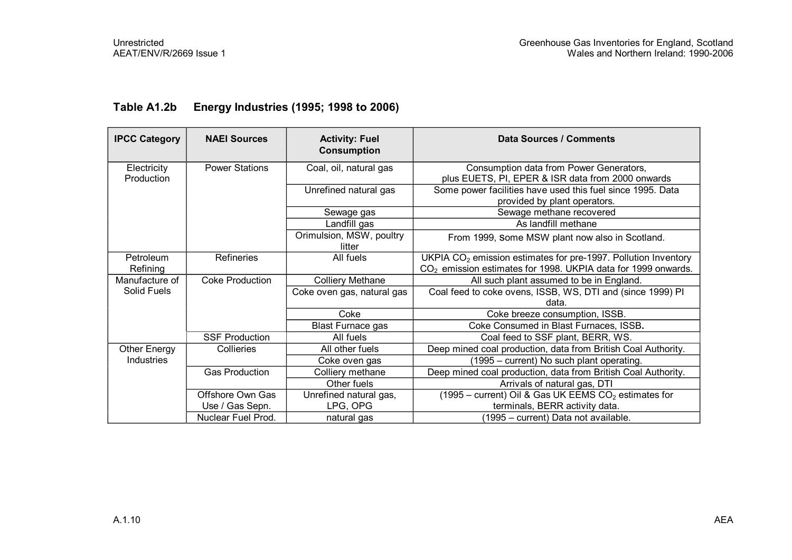| <b>IPCC Category</b>      | <b>NAEI Sources</b>    | <b>Activity: Fuel</b><br><b>Consumption</b> | Data Sources / Comments                                                                                                                       |
|---------------------------|------------------------|---------------------------------------------|-----------------------------------------------------------------------------------------------------------------------------------------------|
| Electricity<br>Production | <b>Power Stations</b>  | Coal, oil, natural gas                      | Consumption data from Power Generators,<br>plus EUETS, PI, EPER & ISR data from 2000 onwards                                                  |
|                           |                        | Unrefined natural gas                       | Some power facilities have used this fuel since 1995. Data<br>provided by plant operators.                                                    |
|                           |                        | Sewage gas                                  | Sewage methane recovered                                                                                                                      |
|                           |                        | Landfill gas                                | As landfill methane                                                                                                                           |
|                           |                        | Orimulsion, MSW, poultry<br>litter          | From 1999, Some MSW plant now also in Scotland.                                                                                               |
| Petroleum<br>Refining     | <b>Refineries</b>      | All fuels                                   | UKPIA $CO2$ emission estimates for pre-1997. Pollution Inventory<br>CO <sub>2</sub> emission estimates for 1998. UKPIA data for 1999 onwards. |
| Manufacture of            | <b>Coke Production</b> | <b>Colliery Methane</b>                     | All such plant assumed to be in England.                                                                                                      |
| Solid Fuels               |                        | Coke oven gas, natural gas                  | Coal feed to coke ovens, ISSB, WS, DTI and (since 1999) PI<br>data.                                                                           |
|                           |                        | Coke                                        | Coke breeze consumption, ISSB.                                                                                                                |
|                           |                        | <b>Blast Furnace gas</b>                    | Coke Consumed in Blast Furnaces, ISSB.                                                                                                        |
|                           | <b>SSF Production</b>  | All fuels                                   | Coal feed to SSF plant, BERR, WS.                                                                                                             |
| Other Energy              | Collieries             | All other fuels                             | Deep mined coal production, data from British Coal Authority.                                                                                 |
| Industries                |                        | Coke oven gas                               | (1995 – current) No such plant operating.                                                                                                     |
|                           | <b>Gas Production</b>  | Colliery methane                            | Deep mined coal production, data from British Coal Authority.                                                                                 |
|                           |                        | Other fuels                                 | Arrivals of natural gas, DTI                                                                                                                  |
|                           | Offshore Own Gas       | Unrefined natural gas,                      | (1995 – current) Oil & Gas UK EEMS $CO2$ estimates for                                                                                        |
|                           | Use / Gas Sepn.        | LPG, OPG                                    | terminals, BERR activity data.                                                                                                                |
|                           | Nuclear Fuel Prod.     | natural gas                                 | (1995 – current) Data not available.                                                                                                          |

### **Table A1.2b Energy Industries (1995; 1998 to 2006)**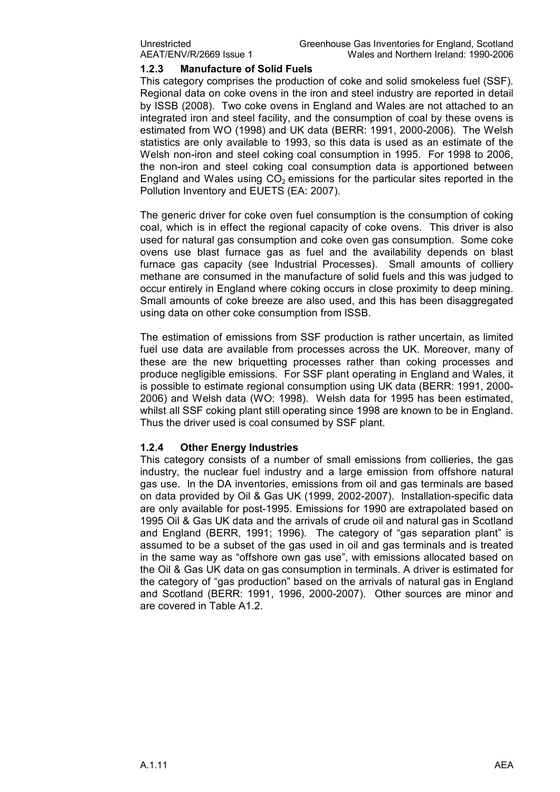#### **1.2.3 Manufacture of Solid Fuels**

This category comprises the production of coke and solid smokeless fuel (SSF). Regional data on coke ovens in the iron and steel industry are reported in detail by ISSB (2008). Two coke ovens in England and Wales are not attached to an integrated iron and steel facility, and the consumption of coal by these ovens is estimated from WO (1998) and UK data (BERR: 1991, 2000-2006). The Welsh statistics are only available to 1993, so this data is used as an estimate of the Welsh non-iron and steel coking coal consumption in 1995. For 1998 to 2006, the non-iron and steel coking coal consumption data is apportioned between England and Wales using  $CO<sub>2</sub>$  emissions for the particular sites reported in the Pollution Inventory and EUETS (EA: 2007).

The generic driver for coke oven fuel consumption is the consumption of coking coal, which is in effect the regional capacity of coke ovens. This driver is also used for natural gas consumption and coke oven gas consumption. Some coke ovens use blast furnace gas as fuel and the availability depends on blast furnace gas capacity (see Industrial Processes). Small amounts of colliery methane are consumed in the manufacture of solid fuels and this was judged to occur entirely in England where coking occurs in close proximity to deep mining. Small amounts of coke breeze are also used, and this has been disaggregated using data on other coke consumption from ISSB.

The estimation of emissions from SSF production is rather uncertain, as limited fuel use data are available from processes across the UK. Moreover, many of these are the new briquetting processes rather than coking processes and produce negligible emissions. For SSF plant operating in England and Wales, it is possible to estimate regional consumption using UK data (BERR: 1991, 2000 2006) and Welsh data (WO: 1998). Welsh data for 1995 has been estimated, whilst all SSF coking plant still operating since 1998 are known to be in England. Thus the driver used is coal consumed by SSF plant.

#### **1.2.4 Other Energy Industries**

This category consists of a number of small emissions from collieries, the gas industry, the nuclear fuel industry and a large emission from offshore natural gas use. In the DA inventories, emissions from oil and gas terminals are based on data provided by Oil & Gas UK (1999, 2002-2007). Installation-specific data are only available for post-1995. Emissions for 1990 are extrapolated based on 1995 Oil & Gas UK data and the arrivals of crude oil and natural gas in Scotland and England (BERR, 1991; 1996). The category of "gas separation plant" is assumed to be a subset of the gas used in oil and gas terminals and is treated in the same way as "offshore own gas use", with emissions allocated based on the Oil & Gas UK data on gas consumption in terminals. A driver is estimated for the category of "gas production" based on the arrivals of natural gas in England and Scotland (BERR: 1991, 1996, 2000-2007). Other sources are minor and are covered in Table A1.2.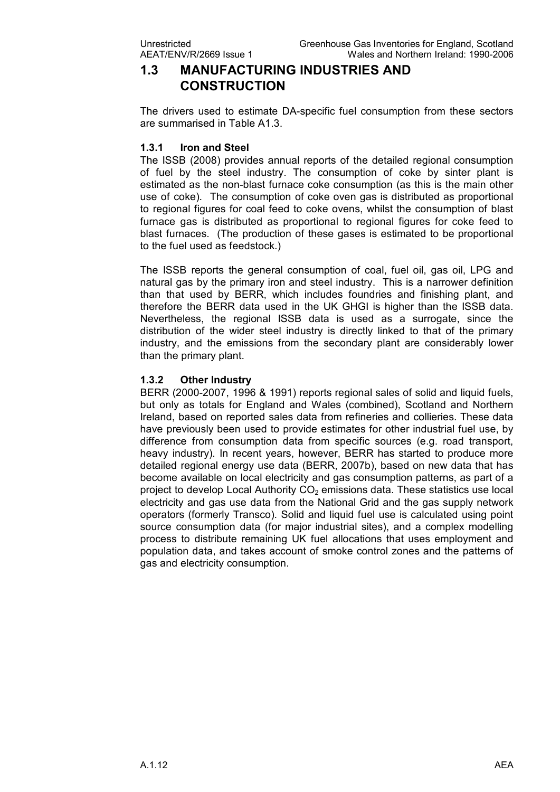### **1.3 MANUFACTURING INDUSTRIES AND CONSTRUCTION**

The drivers used to estimate DA-specific fuel consumption from these sectors are summarised in Table A1.3.

#### **1.3.1 Iron and Steel**

The ISSB (2008) provides annual reports of the detailed regional consumption of fuel by the steel industry. The consumption of coke by sinter plant is estimated as the non-blast furnace coke consumption (as this is the main other use of coke). The consumption of coke oven gas is distributed as proportional to regional figures for coal feed to coke ovens, whilst the consumption of blast furnace gas is distributed as proportional to regional figures for coke feed to blast furnaces. (The production of these gases is estimated to be proportional to the fuel used as feedstock.)

The ISSB reports the general consumption of coal, fuel oil, gas oil, LPG and natural gas by the primary iron and steel industry. This is a narrower definition than that used by BERR, which includes foundries and finishing plant, and therefore the BERR data used in the UK GHGI is higher than the ISSB data. Nevertheless, the regional ISSB data is used as a surrogate, since the distribution of the wider steel industry is directly linked to that of the primary industry, and the emissions from the secondary plant are considerably lower than the primary plant.

#### **1.3.2 Other Industry**

BERR (2000-2007, 1996 & 1991) reports regional sales of solid and liquid fuels, but only as totals for England and Wales (combined), Scotland and Northern Ireland, based on reported sales data from refineries and collieries. These data have previously been used to provide estimates for other industrial fuel use, by difference from consumption data from specific sources (e.g. road transport, heavy industry). In recent years, however, BERR has started to produce more detailed regional energy use data (BERR, 2007b), based on new data that has become available on local electricity and gas consumption patterns, as part of a project to develop Local Authority  $CO<sub>2</sub>$  emissions data. These statistics use local electricity and gas use data from the National Grid and the gas supply network operators (formerly Transco). Solid and liquid fuel use is calculated using point source consumption data (for major industrial sites), and a complex modelling process to distribute remaining UK fuel allocations that uses employment and population data, and takes account of smoke control zones and the patterns of gas and electricity consumption.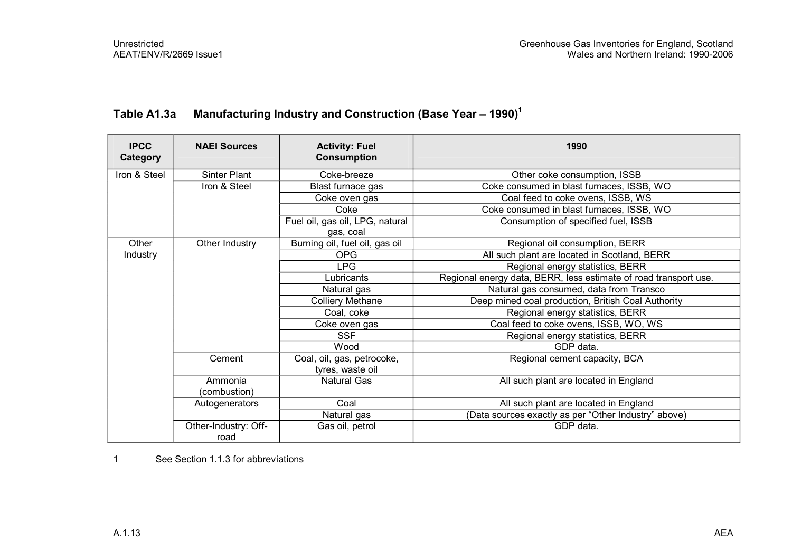| <b>IPCC</b><br>Category | <b>NAEI Sources</b>          | <b>Activity: Fuel</b><br><b>Consumption</b>    | 1990                                                             |
|-------------------------|------------------------------|------------------------------------------------|------------------------------------------------------------------|
| Iron & Steel            | Sinter Plant                 | Coke-breeze                                    | Other coke consumption, ISSB                                     |
|                         | Iron & Steel                 | Blast furnace gas                              | Coke consumed in blast furnaces, ISSB, WO                        |
|                         |                              | Coke oven gas                                  | Coal feed to coke ovens, ISSB, WS                                |
|                         |                              | Coke                                           | Coke consumed in blast furnaces, ISSB, WO                        |
|                         |                              | Fuel oil, gas oil, LPG, natural<br>gas, coal   | Consumption of specified fuel, ISSB                              |
| Other                   | Other Industry               | Burning oil, fuel oil, gas oil                 | Regional oil consumption, BERR                                   |
| Industry                |                              | <b>OPG</b>                                     | All such plant are located in Scotland, BERR                     |
|                         |                              | <b>LPG</b>                                     | Regional energy statistics, BERR                                 |
|                         |                              | Lubricants                                     | Regional energy data, BERR, less estimate of road transport use. |
|                         |                              | Natural gas                                    | Natural gas consumed, data from Transco                          |
|                         |                              | <b>Colliery Methane</b>                        | Deep mined coal production, British Coal Authority               |
|                         |                              | Coal, coke                                     | Regional energy statistics, BERR                                 |
|                         |                              | Coke oven gas                                  | Coal feed to coke ovens, ISSB, WO, WS                            |
|                         |                              | <b>SSF</b>                                     | Regional energy statistics, BERR                                 |
|                         |                              | Wood                                           | GDP data.                                                        |
|                         | Cement                       | Coal, oil, gas, petrocoke,<br>tyres, waste oil | Regional cement capacity, BCA                                    |
|                         | Ammonia                      | <b>Natural Gas</b>                             | All such plant are located in England                            |
|                         | (combustion)                 |                                                |                                                                  |
|                         | Autogenerators               | Coal                                           | All such plant are located in England                            |
|                         |                              | Natural gas                                    | (Data sources exactly as per "Other Industry" above)             |
|                         | Other-Industry: Off-<br>road | Gas oil, petrol                                | GDP data.                                                        |

### **Table A1.3a Manufacturing Industry and Construction (Base Year – 1990)<sup>1</sup>**

1 See Section 1.1.3 for abbreviations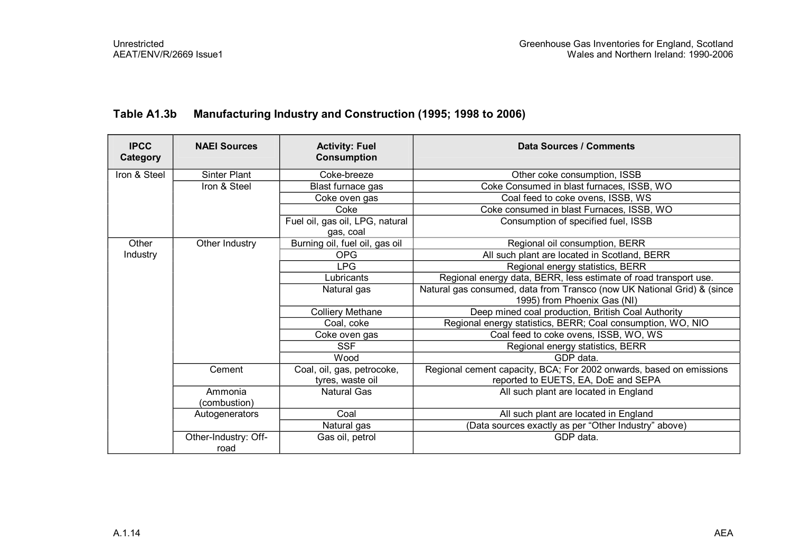| <b>IPCC</b><br>Category | <b>NAEI Sources</b>          | <b>Activity: Fuel</b><br><b>Consumption</b>    | Data Sources / Comments                                                                                    |  |  |
|-------------------------|------------------------------|------------------------------------------------|------------------------------------------------------------------------------------------------------------|--|--|
| Iron & Steel            | <b>Sinter Plant</b>          | Coke-breeze                                    | Other coke consumption, ISSB                                                                               |  |  |
|                         | Iron & Steel                 | Blast furnace gas                              | Coke Consumed in blast furnaces, ISSB, WO                                                                  |  |  |
|                         |                              | Coke oven gas                                  | Coal feed to coke ovens, ISSB, WS                                                                          |  |  |
|                         |                              | Coke                                           | Coke consumed in blast Furnaces, ISSB, WO                                                                  |  |  |
|                         |                              | Fuel oil, gas oil, LPG, natural<br>gas, coal   | Consumption of specified fuel, ISSB                                                                        |  |  |
| Other                   | Other Industry               | Burning oil, fuel oil, gas oil                 | Regional oil consumption, BERR                                                                             |  |  |
| Industry                |                              | <b>OPG</b>                                     | All such plant are located in Scotland, BERR                                                               |  |  |
|                         |                              | <b>LPG</b>                                     | Regional energy statistics, BERR                                                                           |  |  |
|                         |                              | Lubricants                                     | Regional energy data, BERR, less estimate of road transport use.                                           |  |  |
|                         |                              | Natural gas                                    | Natural gas consumed, data from Transco (now UK National Grid) & (since<br>1995) from Phoenix Gas (NI)     |  |  |
|                         |                              | <b>Colliery Methane</b>                        | Deep mined coal production, British Coal Authority                                                         |  |  |
|                         |                              | Coal, coke                                     | Regional energy statistics, BERR; Coal consumption, WO, NIO                                                |  |  |
|                         |                              | Coke oven gas                                  | Coal feed to coke ovens, ISSB, WO, WS                                                                      |  |  |
|                         |                              | <b>SSF</b>                                     | Regional energy statistics, BERR                                                                           |  |  |
|                         |                              | Wood                                           | GDP data.                                                                                                  |  |  |
|                         | Cement                       | Coal, oil, gas, petrocoke,<br>tyres, waste oil | Regional cement capacity, BCA; For 2002 onwards, based on emissions<br>reported to EUETS, EA, DoE and SEPA |  |  |
|                         | Ammonia<br>(combustion)      | <b>Natural Gas</b>                             | All such plant are located in England                                                                      |  |  |
|                         | Autogenerators               | Coal                                           | All such plant are located in England                                                                      |  |  |
|                         |                              | Natural gas                                    | (Data sources exactly as per "Other Industry" above)                                                       |  |  |
|                         | Other-Industry: Off-<br>road | Gas oil, petrol                                | GDP data.                                                                                                  |  |  |

### **Table A1.3b Manufacturing Industry and Construction (1995; 1998 to 2006)**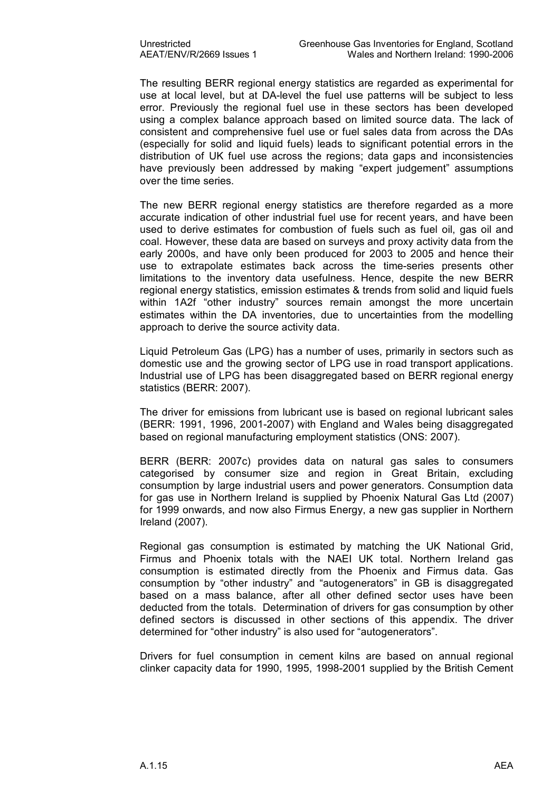The resulting BERR regional energy statistics are regarded as experimental for use at local level, but at DA-level the fuel use patterns will be subject to less error. Previously the regional fuel use in these sectors has been developed using a complex balance approach based on limited source data. The lack of consistent and comprehensive fuel use or fuel sales data from across the DAs (especially for solid and liquid fuels) leads to significant potential errors in the distribution of UK fuel use across the regions; data gaps and inconsistencies have previously been addressed by making "expert judgement" assumptions over the time series.

The new BERR regional energy statistics are therefore regarded as a more accurate indication of other industrial fuel use for recent years, and have been used to derive estimates for combustion of fuels such as fuel oil, gas oil and coal. However, these data are based on surveys and proxy activity data from the early 2000s, and have only been produced for 2003 to 2005 and hence their use to extrapolate estimates back across the time-series presents other limitations to the inventory data usefulness. Hence, despite the new BERR regional energy statistics, emission estimates & trends from solid and liquid fuels within 1A2f "other industry" sources remain amongst the more uncertain estimates within the DA inventories, due to uncertainties from the modelling approach to derive the source activity data.

Liquid Petroleum Gas (LPG) has a number of uses, primarily in sectors such as domestic use and the growing sector of LPG use in road transport applications. Industrial use of LPG has been disaggregated based on BERR regional energy statistics (BERR: 2007).

The driver for emissions from lubricant use is based on regional lubricant sales (BERR: 1991, 1996, 2001-2007) with England and Wales being disaggregated based on regional manufacturing employment statistics (ONS: 2007).

BERR (BERR: 2007c) provides data on natural gas sales to consumers categorised by consumer size and region in Great Britain, excluding consumption by large industrial users and power generators. Consumption data for gas use in Northern Ireland is supplied by Phoenix Natural Gas Ltd (2007) for 1999 onwards, and now also Firmus Energy, a new gas supplier in Northern Ireland (2007).

Regional gas consumption is estimated by matching the UK National Grid, Firmus and Phoenix totals with the NAEI UK total. Northern Ireland gas consumption is estimated directly from the Phoenix and Firmus data. Gas consumption by "other industry" and "autogenerators" in GB is disaggregated based on a mass balance, after all other defined sector uses have been deducted from the totals. Determination of drivers for gas consumption by other defined sectors is discussed in other sections of this appendix. The driver determined for "other industry" is also used for "autogenerators".

Drivers for fuel consumption in cement kilns are based on annual regional clinker capacity data for 1990, 1995, 1998-2001 supplied by the British Cement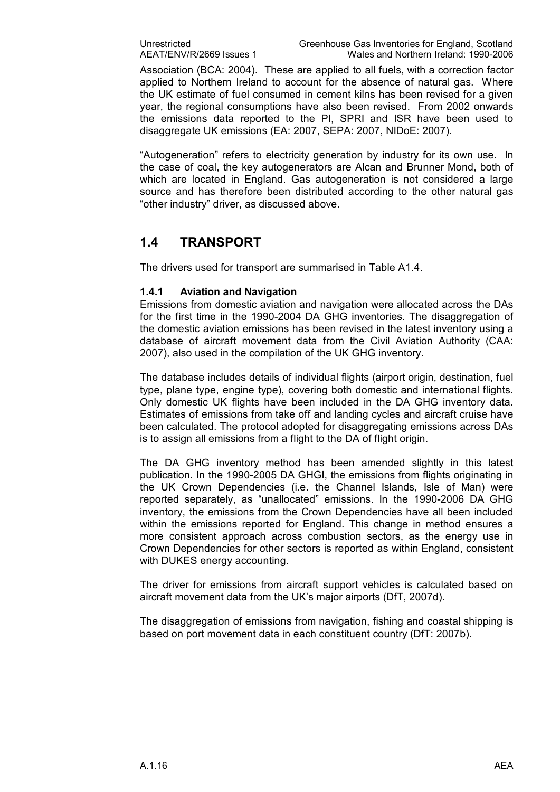Association (BCA: 2004). These are applied to all fuels, with a correction factor applied to Northern Ireland to account for the absence of natural gas. Where the UK estimate of fuel consumed in cement kilns has been revised for a given year, the regional consumptions have also been revised. From 2002 onwards the emissions data reported to the PI, SPRI and ISR have been used to disaggregate UK emissions (EA: 2007, SEPA: 2007, NIDoE: 2007).

"Autogeneration" refers to electricity generation by industry for its own use. In the case of coal, the key autogenerators are Alcan and Brunner Mond, both of which are located in England. Gas autogeneration is not considered a large source and has therefore been distributed according to the other natural gas "other industry" driver, as discussed above.

### **1.4 TRANSPORT**

The drivers used for transport are summarised in Table A1.4.

#### **1.4.1 Aviation and Navigation**

Emissions from domestic aviation and navigation were allocated across the DAs for the first time in the 1990-2004 DA GHG inventories. The disaggregation of the domestic aviation emissions has been revised in the latest inventory using a database of aircraft movement data from the Civil Aviation Authority (CAA: 2007), also used in the compilation of the UK GHG inventory.

The database includes details of individual flights (airport origin, destination, fuel type, plane type, engine type), covering both domestic and international flights. Only domestic UK flights have been included in the DA GHG inventory data. Estimates of emissions from take off and landing cycles and aircraft cruise have been calculated. The protocol adopted for disaggregating emissions across DAs is to assign all emissions from a flight to the DA of flight origin.

The DA GHG inventory method has been amended slightly in this latest publication. In the 1990-2005 DA GHGI, the emissions from flights originating in the UK Crown Dependencies (i.e. the Channel Islands, Isle of Man) were reported separately, as "unallocated" emissions. In the 1990-2006 DA GHG inventory, the emissions from the Crown Dependencies have all been included within the emissions reported for England. This change in method ensures a more consistent approach across combustion sectors, as the energy use in Crown Dependencies for other sectors is reported as within England, consistent with DUKES energy accounting.

The driver for emissions from aircraft support vehicles is calculated based on aircraft movement data from the UK's major airports (DfT, 2007d).

The disaggregation of emissions from navigation, fishing and coastal shipping is based on port movement data in each constituent country (DfT: 2007b).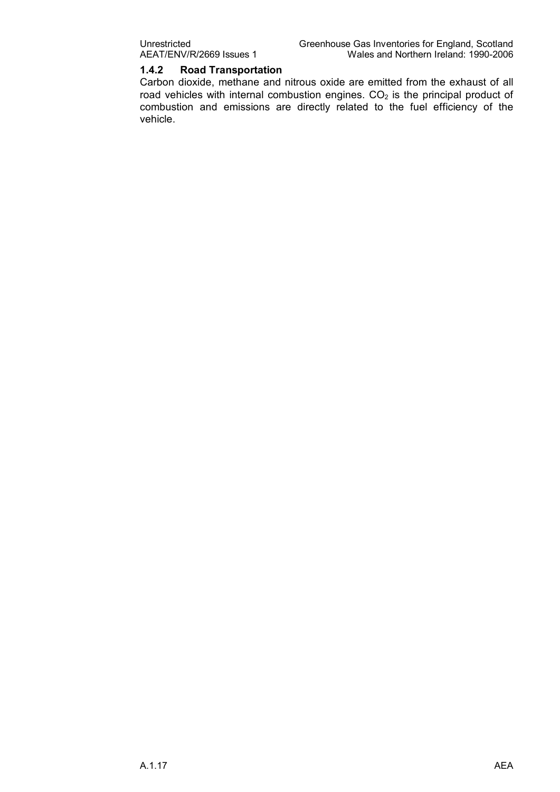#### **1.4.2 Road Transportation**

Carbon dioxide, methane and nitrous oxide are emitted from the exhaust of all road vehicles with internal combustion engines.  $CO<sub>2</sub>$  is the principal product of combustion and emissions are directly related to the fuel efficiency of the vehicle.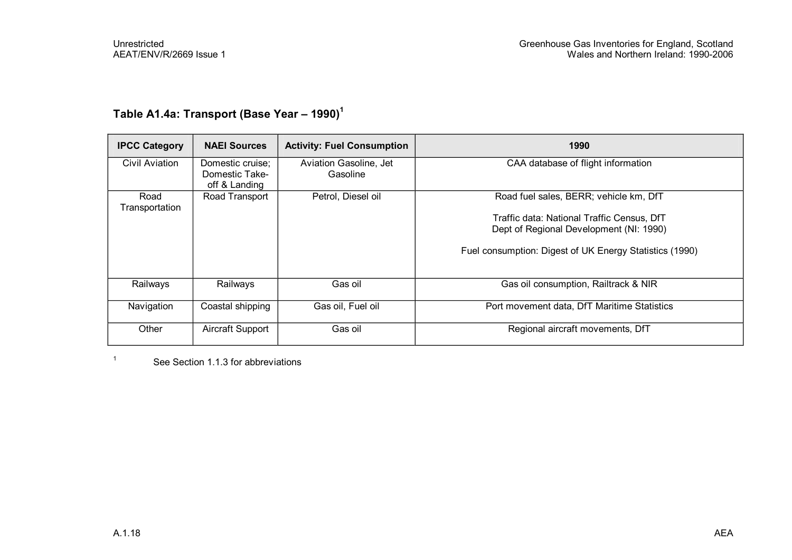## **Table A1.4a: Transport (Base Year – 1990)<sup>1</sup>**

| <b>IPCC Category</b>   | <b>NAEI Sources</b>                                 | <b>Activity: Fuel Consumption</b>  | 1990                                                                                                                                             |
|------------------------|-----------------------------------------------------|------------------------------------|--------------------------------------------------------------------------------------------------------------------------------------------------|
| Civil Aviation         | Domestic cruise;<br>Domestic Take-<br>off & Landing | Aviation Gasoline, Jet<br>Gasoline | CAA database of flight information                                                                                                               |
| Road<br>Transportation | Road Transport                                      | Petrol, Diesel oil                 | Road fuel sales, BERR; vehicle km, DfT                                                                                                           |
|                        |                                                     |                                    | Traffic data: National Traffic Census, DfT<br>Dept of Regional Development (NI: 1990)<br>Fuel consumption: Digest of UK Energy Statistics (1990) |
| Railways               | Railways                                            | Gas oil                            | Gas oil consumption, Railtrack & NIR                                                                                                             |
| Navigation             | Coastal shipping                                    | Gas oil, Fuel oil                  | Port movement data, DfT Maritime Statistics                                                                                                      |
| Other                  | Aircraft Support                                    | Gas oil                            | Regional aircraft movements, DfT                                                                                                                 |

<sup>1</sup> See Section 1.1.3 for abbreviations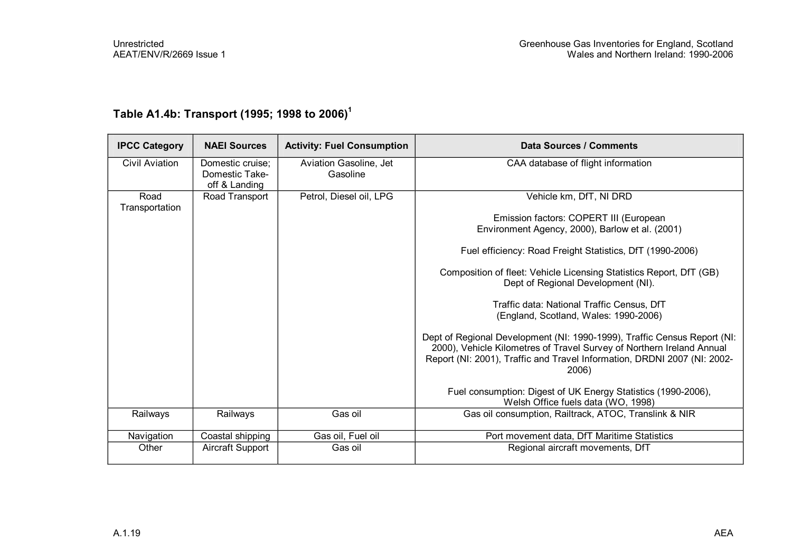| <b>IPCC Category</b>   | <b>NAEI Sources</b>                                 | <b>Activity: Fuel Consumption</b>  | <b>Data Sources / Comments</b>                                                                                                                                                                                                         |
|------------------------|-----------------------------------------------------|------------------------------------|----------------------------------------------------------------------------------------------------------------------------------------------------------------------------------------------------------------------------------------|
| Civil Aviation         | Domestic cruise;<br>Domestic Take-<br>off & Landing | Aviation Gasoline, Jet<br>Gasoline | CAA database of flight information                                                                                                                                                                                                     |
| Road<br>Transportation | Road Transport                                      | Petrol, Diesel oil, LPG            | Vehicle km, DfT, NI DRD                                                                                                                                                                                                                |
|                        |                                                     |                                    | Emission factors: COPERT III (European<br>Environment Agency, 2000), Barlow et al. (2001)                                                                                                                                              |
|                        |                                                     |                                    | Fuel efficiency: Road Freight Statistics, DfT (1990-2006)                                                                                                                                                                              |
|                        |                                                     |                                    | Composition of fleet: Vehicle Licensing Statistics Report, DfT (GB)<br>Dept of Regional Development (NI).                                                                                                                              |
|                        |                                                     |                                    | Traffic data: National Traffic Census, DfT<br>(England, Scotland, Wales: 1990-2006)                                                                                                                                                    |
|                        |                                                     |                                    | Dept of Regional Development (NI: 1990-1999), Traffic Census Report (NI:<br>2000), Vehicle Kilometres of Travel Survey of Northern Ireland Annual<br>Report (NI: 2001), Traffic and Travel Information, DRDNI 2007 (NI: 2002-<br>2006) |
|                        |                                                     |                                    | Fuel consumption: Digest of UK Energy Statistics (1990-2006),<br>Welsh Office fuels data (WO, 1998)                                                                                                                                    |
| Railways               | Railways                                            | Gas oil                            | Gas oil consumption, Railtrack, ATOC, Translink & NIR                                                                                                                                                                                  |
| Navigation             | Coastal shipping                                    | Gas oil, Fuel oil                  | Port movement data, DfT Maritime Statistics                                                                                                                                                                                            |
| Other                  | Aircraft Support                                    | Gas oil                            | Regional aircraft movements, DfT                                                                                                                                                                                                       |

## **Table A1.4b: Transport (1995; 1998 to 2006)<sup>1</sup>**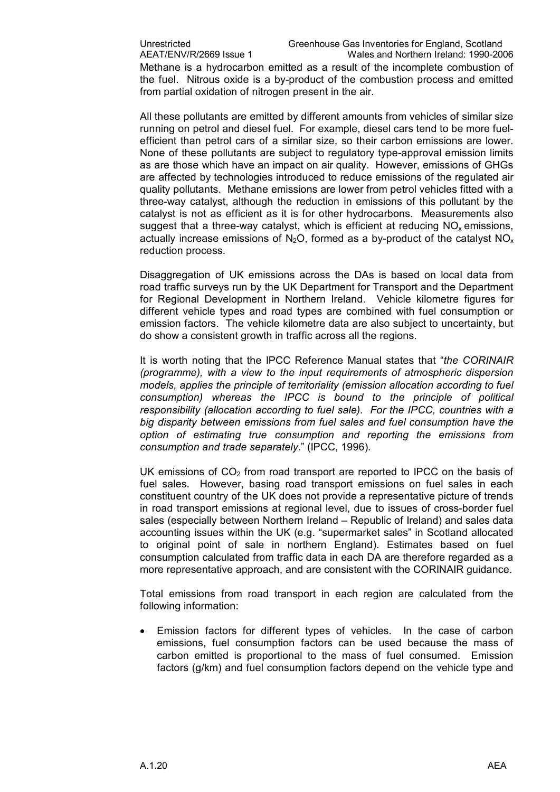Methane is a hydrocarbon emitted as a result of the incomplete combustion of the fuel. Nitrous oxide is a by-product of the combustion process and emitted from partial oxidation of nitrogen present in the air.

All these pollutants are emitted by different amounts from vehicles of similar size running on petrol and diesel fuel. For example, diesel cars tend to be more fuelefficient than petrol cars of a similar size, so their carbon emissions are lower. None of these pollutants are subject to regulatory type-approval emission limits as are those which have an impact on air quality. However, emissions of GHGs are affected by technologies introduced to reduce emissions of the regulated air quality pollutants. Methane emissions are lower from petrol vehicles fitted with a three-way catalyst, although the reduction in emissions of this pollutant by the catalyst is not as efficient as it is for other hydrocarbons. Measurements also suggest that a three-way catalyst, which is efficient at reducing  $NO<sub>x</sub>$  emissions, actually increase emissions of  $N_2O$ , formed as a by-product of the catalyst  $NO<sub>x</sub>$ reduction process.

Disaggregation of UK emissions across the DAs is based on local data from road traffic surveys run by the UK Department for Transport and the Department for Regional Development in Northern Ireland. Vehicle kilometre figures for different vehicle types and road types are combined with fuel consumption or emission factors. The vehicle kilometre data are also subject to uncertainty, but do show a consistent growth in traffic across all the regions.

It is worth noting that the IPCC Reference Manual states that "*the CORINAIR (programme), with a view to the input requirements of atmospheric dispersion models, applies the principle of territoriality (emission allocation according to fuel consumption) whereas the IPCC is bound to the principle of political responsibility (allocation according to fuel sale). For the IPCC, countries with a big disparity between emissions from fuel sales and fuel consumption have the option of estimating true consumption and reporting the emissions from consumption and trade separately*." (IPCC, 1996).

UK emissions of  $CO<sub>2</sub>$  from road transport are reported to IPCC on the basis of fuel sales. However, basing road transport emissions on fuel sales in each constituent country of the UK does not provide a representative picture of trends in road transport emissions at regional level, due to issues of cross-border fuel sales (especially between Northern Ireland – Republic of Ireland) and sales data accounting issues within the UK (e.g. "supermarket sales" in Scotland allocated to original point of sale in northern England). Estimates based on fuel consumption calculated from traffic data in each DA are therefore regarded as a more representative approach, and are consistent with the CORINAIR guidance.

Total emissions from road transport in each region are calculated from the following information:

Emission factors for different types of vehicles. In the case of carbon emissions, fuel consumption factors can be used because the mass of carbon emitted is proportional to the mass of fuel consumed. Emission factors (g/km) and fuel consumption factors depend on the vehicle type and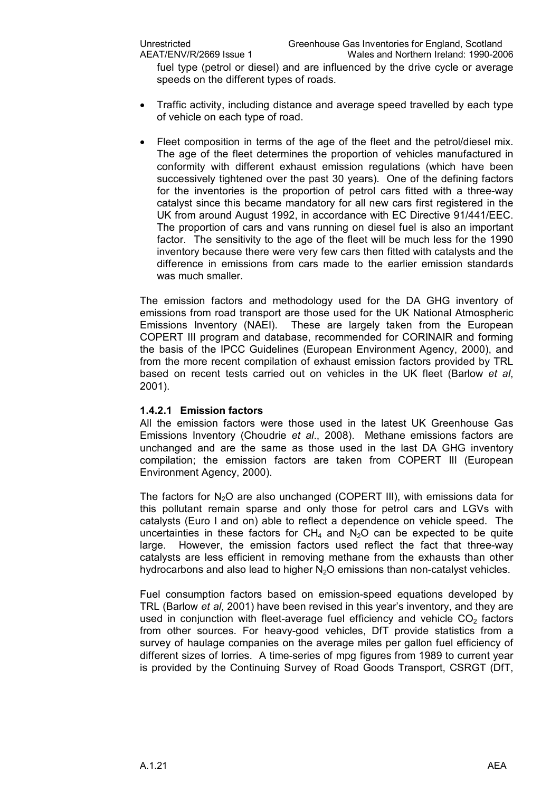fuel type (petrol or diesel) and are influenced by the drive cycle or average speeds on the different types of roads.

- · Traffic activity, including distance and average speed travelled by each type of vehicle on each type of road.
- Fleet composition in terms of the age of the fleet and the petrol/diesel mix. The age of the fleet determines the proportion of vehicles manufactured in conformity with different exhaust emission regulations (which have been successively tightened over the past 30 years). One of the defining factors for the inventories is the proportion of petrol cars fitted with a three-way catalyst since this became mandatory for all new cars first registered in the UK from around August 1992, in accordance with EC Directive 91/441/EEC. The proportion of cars and vans running on diesel fuel is also an important factor. The sensitivity to the age of the fleet will be much less for the 1990 inventory because there were very few cars then fitted with catalysts and the difference in emissions from cars made to the earlier emission standards was much smaller.

The emission factors and methodology used for the DA GHG inventory of emissions from road transport are those used for the UK National Atmospheric Emissions Inventory (NAEI). These are largely taken from the European COPERT III program and database, recommended for CORINAIR and forming the basis of the IPCC Guidelines (European Environment Agency, 2000), and from the more recent compilation of exhaust emission factors provided by TRL based on recent tests carried out on vehicles in the UK fleet (Barlow *et al*, 2001).

#### **1.4.2.1 Emission factors**

All the emission factors were those used in the latest UK Greenhouse Gas Emissions Inventory (Choudrie *et al*., 2008). Methane emissions factors are unchanged and are the same as those used in the last DA GHG inventory compilation; the emission factors are taken from COPERT III (European Environment Agency, 2000).

The factors for  $N_2O$  are also unchanged (COPERT III), with emissions data for this pollutant remain sparse and only those for petrol cars and LGVs with catalysts (Euro I and on) able to reflect a dependence on vehicle speed. The uncertainties in these factors for  $CH_4$  and  $N_2O$  can be expected to be quite large. However, the emission factors used reflect the fact that three-way catalysts are less efficient in removing methane from the exhausts than other hydrocarbons and also lead to higher  $N_2O$  emissions than non-catalyst vehicles.

Fuel consumption factors based on emission-speed equations developed by TRL (Barlow *et al*, 2001) have been revised in this year's inventory, and they are used in conjunction with fleet-average fuel efficiency and vehicle  $CO<sub>2</sub>$  factors from other sources. For heavy-good vehicles, DfT provide statistics from a survey of haulage companies on the average miles per gallon fuel efficiency of different sizes of lorries. A time-series of mpg figures from 1989 to current year is provided by the Continuing Survey of Road Goods Transport, CSRGT (DfT,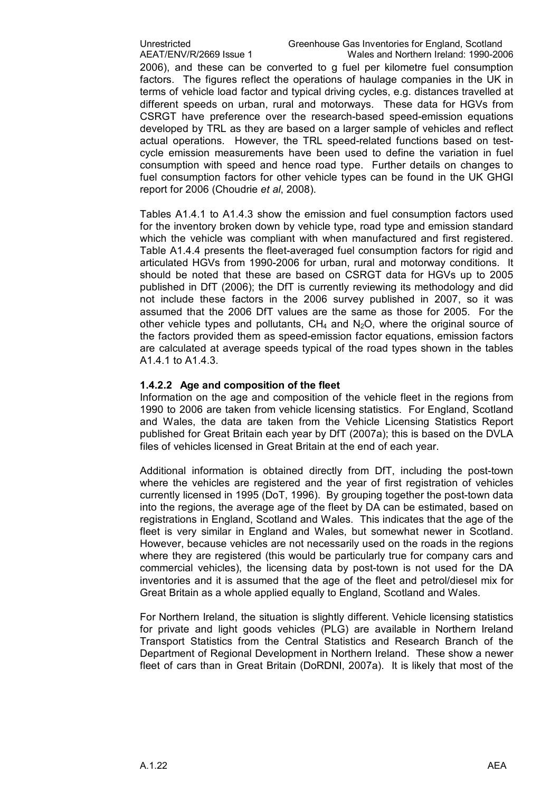Unrestricted Greenhouse Gas Inventories for England, Scotland<br>AEAT/ENV/R/2669 Issue 1 Wales and Northern Ireland: 1990-20 Wales and Northern Ireland: 1990-2006

2006), and these can be converted to g fuel per kilometre fuel consumption factors. The figures reflect the operations of haulage companies in the UK in terms of vehicle load factor and typical driving cycles, e.g. distances travelled at different speeds on urban, rural and motorways. These data for HGVs from CSRGT have preference over the research-based speed-emission equations developed by TRL as they are based on a larger sample of vehicles and reflect actual operations. However, the TRL speed-related functions based on testcycle emission measurements have been used to define the variation in fuel consumption with speed and hence road type. Further details on changes to fuel consumption factors for other vehicle types can be found in the UK GHGI report for 2006 (Choudrie *et al*, 2008).

Tables A1.4.1 to A1.4.3 show the emission and fuel consumption factors used for the inventory broken down by vehicle type, road type and emission standard which the vehicle was compliant with when manufactured and first registered. Table A1.4.4 presents the fleet-averaged fuel consumption factors for rigid and articulated HGVs from 1990-2006 for urban, rural and motorway conditions. It should be noted that these are based on CSRGT data for HGVs up to 2005 published in DfT (2006); the DfT is currently reviewing its methodology and did not include these factors in the 2006 survey published in 2007, so it was assumed that the 2006 DfT values are the same as those for 2005. For the other vehicle types and pollutants,  $CH_4$  and  $N_2O$ , where the original source of the factors provided them as speed-emission factor equations, emission factors are calculated at average speeds typical of the road types shown in the tables A1.4.1 to A1.4.3.

#### **1.4.2.2 Age and composition of the fleet**

Information on the age and composition of the vehicle fleet in the regions from 1990 to 2006 are taken from vehicle licensing statistics. For England, Scotland and Wales, the data are taken from the Vehicle Licensing Statistics Report published for Great Britain each year by DfT (2007a); this is based on the DVLA files of vehicles licensed in Great Britain at the end of each year.

Additional information is obtained directly from DfT, including the post-town where the vehicles are registered and the year of first registration of vehicles currently licensed in 1995 (DoT, 1996). By grouping together the post-town data into the regions, the average age of the fleet by DA can be estimated, based on registrations in England, Scotland and Wales. This indicates that the age of the fleet is very similar in England and Wales, but somewhat newer in Scotland. However, because vehicles are not necessarily used on the roads in the regions where they are registered (this would be particularly true for company cars and commercial vehicles), the licensing data by post-town is not used for the DA inventories and it is assumed that the age of the fleet and petrol/diesel mix for Great Britain as a whole applied equally to England, Scotland and Wales.

For Northern Ireland, the situation is slightly different. Vehicle licensing statistics for private and light goods vehicles (PLG) are available in Northern Ireland Transport Statistics from the Central Statistics and Research Branch of the Department of Regional Development in Northern Ireland. These show a newer fleet of cars than in Great Britain (DoRDNI, 2007a). It is likely that most of the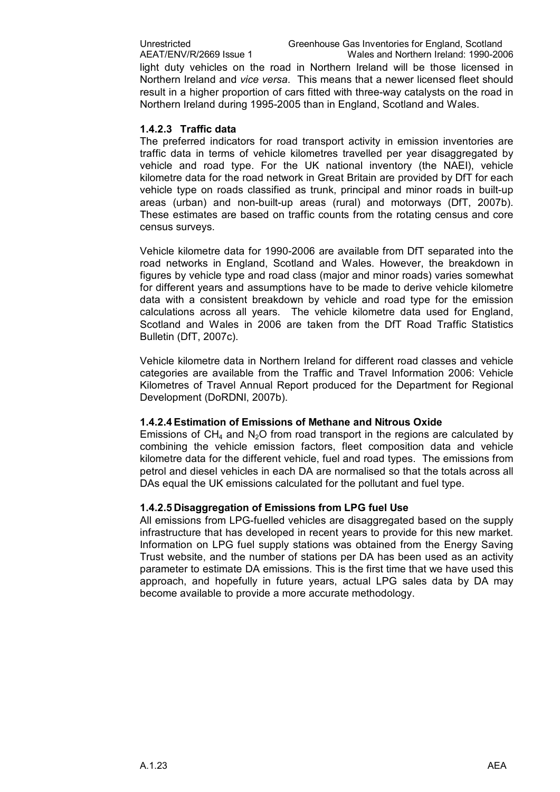light duty vehicles on the road in Northern Ireland will be those licensed in Northern Ireland and *vice versa*. This means that a newer licensed fleet should result in a higher proportion of cars fitted with three-way catalysts on the road in Northern Ireland during 1995-2005 than in England, Scotland and Wales.

#### **1.4.2.3 Traffic data**

The preferred indicators for road transport activity in emission inventories are traffic data in terms of vehicle kilometres travelled per year disaggregated by vehicle and road type. For the UK national inventory (the NAEI), vehicle kilometre data for the road network in Great Britain are provided by DfT for each vehicle type on roads classified as trunk, principal and minor roads in built-up areas (urban) and non-built-up areas (rural) and motorways (DfT,  $2007b$ ). These estimates are based on traffic counts from the rotating census and core census surveys.

Vehicle kilometre data for 1990-2006 are available from DfT separated into the road networks in England, Scotland and Wales. However, the breakdown in figures by vehicle type and road class (major and minor roads) varies somewhat for different years and assumptions have to be made to derive vehicle kilometre data with a consistent breakdown by vehicle and road type for the emission calculations across all years. The vehicle kilometre data used for England, Scotland and Wales in 2006 are taken from the DfT Road Traffic Statistics Bulletin (DfT, 2007c).

Vehicle kilometre data in Northern Ireland for different road classes and vehicle categories are available from the Traffic and Travel Information 2006: Vehicle Kilometres of Travel Annual Report produced for the Department for Regional Development (DoRDNI, 2007b).

#### **1.4.2.4Estimation of Emissions of Methane and Nitrous Oxide**

Emissions of  $CH_4$  and N<sub>2</sub>O from road transport in the regions are calculated by combining the vehicle emission factors, fleet composition data and vehicle kilometre data for the different vehicle, fuel and road types. The emissions from petrol and diesel vehicles in each DA are normalised so that the totals across all DAs equal the UK emissions calculated for the pollutant and fuel type.

#### **1.4.2.5 Disaggregation of Emissions from LPG fuel Use**

All emissions from LPG-fuelled vehicles are disaggregated based on the supply infrastructure that has developed in recent years to provide for this new market. Information on LPG fuel supply stations was obtained from the Energy Saving Trust website, and the number of stations per DA has been used as an activity parameter to estimate DA emissions. This is the first time that we have used this approach, and hopefully in future years, actual LPG sales data by DA may become available to provide a more accurate methodology.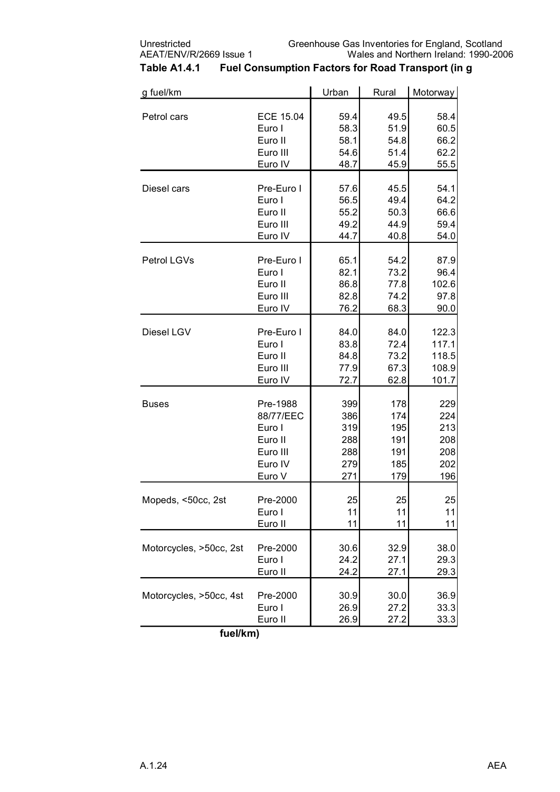| g fuel/km               | Urban            | Rural | Motorway |       |
|-------------------------|------------------|-------|----------|-------|
| Petrol cars             | <b>ECE 15.04</b> | 59.4  | 49.5     | 58.4  |
|                         | Euro I           | 58.3  | 51.9     | 60.5  |
|                         | Euro II          | 58.1  | 54.8     | 66.2  |
|                         | Euro III         | 54.6  | 51.4     | 62.2  |
|                         | Euro IV          | 48.7  | 45.9     | 55.5  |
| Diesel cars             | Pre-Euro I       | 57.6  | 45.5     | 54.1  |
|                         | Euro I           | 56.5  | 49.4     | 64.2  |
|                         | Euro II          | 55.2  | 50.3     | 66.6  |
|                         | Euro III         | 49.2  | 44.9     | 59.4  |
|                         | Euro IV          | 44.7  | 40.8     | 54.0  |
| Petrol LGVs             | Pre-Euro I       | 65.1  | 54.2     | 87.9  |
|                         | Euro I           | 82.1  | 73.2     | 96.4  |
|                         | Euro II          | 86.8  | 77.8     | 102.6 |
|                         | Euro III         | 82.8  | 74.2     | 97.8  |
|                         | Euro IV          | 76.2  | 68.3     | 90.0  |
| Diesel LGV              | Pre-Euro I       | 84.0  | 84.0     | 122.3 |
|                         | Euro I           | 83.8  | 72.4     | 117.1 |
|                         | Euro II          | 84.8  | 73.2     | 118.5 |
|                         | Euro III         | 77.9  | 67.3     | 108.9 |
|                         | Euro IV          | 72.7  | 62.8     | 101.7 |
| <b>Buses</b>            | Pre-1988         | 399   | 178      | 229   |
|                         | 88/77/EEC        | 386   | 174      | 224   |
|                         | Euro I           | 319   | 195      | 213   |
|                         | Euro II          | 288   | 191      | 208   |
|                         | Euro III         | 288   | 191      | 208   |
|                         | Euro IV          | 279   | 185      | 202   |
|                         | Euro V           | 271   | 179      | 196   |
| Mopeds, <50cc, 2st      | Pre-2000         | 25    | 25       | 25    |
|                         | Euro I           | 11    | 11       | 11    |
|                         | Euro II          | 11    | 11       | 11    |
| Motorcycles, >50cc, 2st | Pre-2000         | 30.6  | 32.9     | 38.0  |
|                         | Euro I           | 24.2  | 27.1     | 29.3  |
|                         | Euro II          | 24.2  | 27.1     | 29.3  |
| Motorcycles, >50cc, 4st | Pre-2000         | 30.9  | 30.0     | 36.9  |
|                         | Euro I           | 26.9  | 27.2     | 33.3  |
|                         | Euro II          | 26.9  | 27.2     | 33.3  |

### **Table A1.4.1 Fuel Consumption Factors for Road Transport (in g**

**fuel/km)**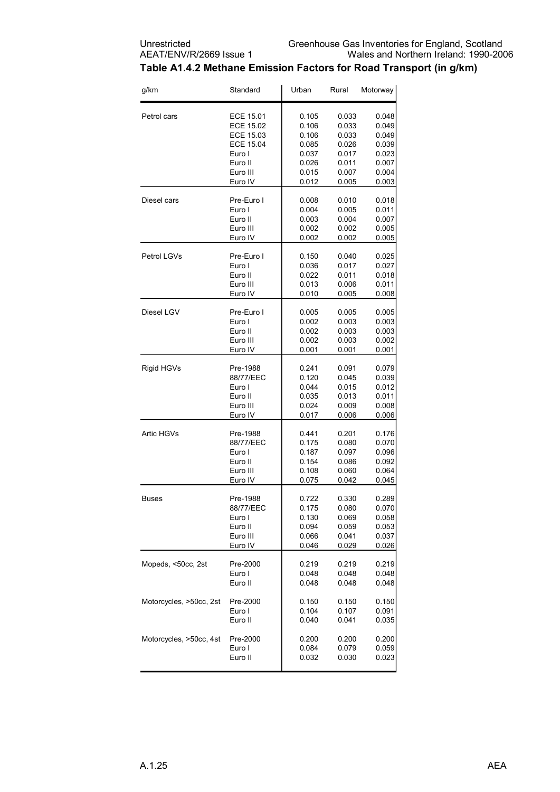

#### **Table A1.4.2 Methane Emission Factors for Road Transport (in g/km)**

| g/km                    | Standard   | Urban | Rural | Motorway |
|-------------------------|------------|-------|-------|----------|
| Petrol cars             | ECE 15.01  | 0.105 | 0.033 | 0.048    |
|                         | ECE 15.02  | 0.106 | 0.033 | 0.049    |
|                         | ECE 15.03  | 0.106 | 0.033 | 0.049    |
|                         | ECE 15.04  | 0.085 | 0.026 | 0.039    |
|                         | Euro I     | 0.037 | 0.017 | 0.023    |
|                         | Euro II    | 0.026 | 0.011 | 0.007    |
|                         | Euro III   | 0.015 | 0.007 | 0.004    |
|                         | Euro IV    | 0.012 | 0.005 | 0.003    |
| Diesel cars             | Pre-Euro I | 0.008 | 0.010 | 0.018    |
|                         | Euro I     | 0.004 | 0.005 | 0.011    |
|                         | Euro II    | 0.003 | 0.004 | 0.007    |
|                         | Euro III   | 0.002 | 0.002 | 0.005    |
|                         | Euro IV    | 0.002 | 0.002 | 0.005    |
| Petrol LGVs             | Pre-Euro I | 0.150 | 0.040 | 0.025    |
|                         | Euro I     | 0.036 | 0.017 | 0.027    |
|                         | Euro II    | 0.022 | 0.011 | 0.018    |
|                         | Euro III   | 0.013 | 0.006 | 0.011    |
|                         | Euro IV    | 0.010 | 0.005 | 0.008    |
| Diesel LGV              | Pre-Euro I | 0.005 | 0.005 | 0.005    |
|                         | Euro I     | 0.002 | 0.003 | 0.003    |
|                         | Euro II    | 0.002 | 0.003 | 0.003    |
|                         | Euro III   | 0.002 | 0.003 | 0.002    |
|                         | Euro IV    | 0.001 | 0.001 | 0.001    |
| Rigid HGVs              | Pre-1988   | 0.241 | 0.091 | 0.079    |
|                         | 88/77/EEC  | 0.120 | 0.045 | 0.039    |
|                         | Euro I     | 0.044 | 0.015 | 0.012    |
|                         | Euro II    | 0.035 | 0.013 | 0.011    |
|                         | Euro III   | 0.024 | 0.009 | 0.008    |
|                         | Euro IV    | 0.017 | 0.006 | 0.006    |
| <b>Artic HGVs</b>       | Pre-1988   | 0.441 | 0.201 | 0.176    |
|                         | 88/77/EEC  | 0.175 | 0.080 | 0.070    |
|                         | Euro I     | 0.187 | 0.097 | 0.096    |
|                         | Euro II    | 0.154 | 0.086 | 0.092    |
|                         | Euro III   | 0.108 | 0.060 | 0.064    |
|                         | Euro IV    | 0.075 | 0.042 | 0.045    |
| Buses                   | Pre-1988   | 0.722 | 0.330 | 0.289    |
|                         | 88/77/EEC  | 0.175 | 0.080 | 0.070    |
|                         | Euro I     | 0.130 | 0.069 | 0.058    |
|                         | Euro II    | 0.094 | 0.059 | 0.053    |
|                         | Euro III   | 0.066 | 0.041 | 0.037    |
|                         | Euro IV    | 0.046 | 0.029 | 0.026    |
| Mopeds, <50cc, 2st      | Pre-2000   | 0.219 | 0.219 | 0.219    |
|                         | Euro I     | 0.048 | 0.048 | 0.048    |
|                         | Euro II    | 0.048 | 0.048 | 0.048    |
| Motorcycles, >50cc, 2st | Pre-2000   | 0.150 | 0.150 | 0.150    |
|                         | Euro I     | 0.104 | 0.107 | 0.091    |
|                         | Euro II    | 0.040 | 0.041 | 0.035    |
| Motorcycles, >50cc, 4st | Pre-2000   | 0.200 | 0.200 | 0.200    |
|                         | Euro I     | 0.084 | 0.079 | 0.059    |
|                         | Euro II    | 0.032 | 0.030 | 0.023    |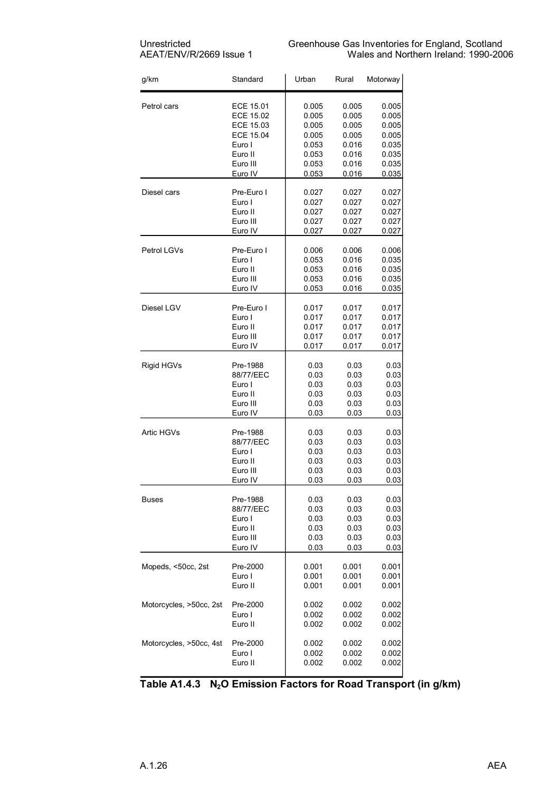| g/km                    | Standard         | Urban | Rural | Motorway |
|-------------------------|------------------|-------|-------|----------|
| Petrol cars             | ECE 15.01        | 0.005 | 0.005 | 0.005    |
|                         | <b>ECE 15.02</b> | 0.005 | 0.005 | 0.005    |
|                         | ECE 15.03        | 0.005 | 0.005 | 0.005    |
|                         | <b>ECE 15.04</b> | 0.005 | 0.005 | 0.005    |
|                         | Euro I           | 0.053 | 0.016 | 0.035    |
|                         | Euro II          | 0.053 | 0.016 | 0.035    |
|                         | Euro III         | 0.053 | 0.016 | 0.035    |
|                         | Euro IV          | 0.053 | 0.016 | 0.035    |
| Diesel cars             | Pre-Euro I       | 0.027 | 0.027 | 0.027    |
|                         | Euro I           | 0.027 | 0.027 | 0.027    |
|                         | Euro II          | 0.027 | 0.027 | 0.027    |
|                         | Euro III         | 0.027 | 0.027 | 0.027    |
|                         | Euro IV          | 0.027 | 0.027 | 0.027    |
| Petrol LGVs             | Pre-Euro I       | 0.006 | 0.006 | 0.006    |
|                         | Euro I           | 0.053 | 0.016 | 0.035    |
|                         | Euro II          | 0.053 | 0.016 | 0.035    |
|                         | Euro III         | 0.053 | 0.016 | 0.035    |
|                         | Euro IV          | 0.053 | 0.016 | 0.035    |
| Diesel LGV              | Pre-Euro I       | 0.017 | 0.017 | 0.017    |
|                         | Euro I           | 0.017 | 0.017 | 0.017    |
|                         | Euro II          | 0.017 | 0.017 | 0.017    |
|                         | Euro III         | 0.017 | 0.017 | 0.017    |
|                         | Euro IV          | 0.017 | 0.017 | 0.017    |
| Rigid HGVs              | Pre-1988         | 0.03  | 0.03  | 0.03     |
|                         | 88/77/EEC        | 0.03  | 0.03  | 0.03     |
|                         | Euro I           | 0.03  | 0.03  | 0.03     |
|                         | Euro II          | 0.03  | 0.03  | 0.03     |
|                         | Euro III         | 0.03  | 0.03  | 0.03     |
|                         | Euro IV          | 0.03  | 0.03  | 0.03     |
| Artic HGVs              | Pre-1988         | 0.03  | 0.03  | 0.03     |
|                         | 88/77/EEC        | 0.03  | 0.03  | 0.03     |
|                         | Euro I           | 0.03  | 0.03  | 0.03     |
|                         | Euro II          | 0.03  | 0.03  | 0.03     |
|                         | Euro III         | 0.03  | 0.03  | 0.03     |
|                         | Euro IV          | 0.03  | 0.03  | 0.03     |
| <b>Buses</b>            | Pre-1988         | 0.03  | 0.03  | 0.03     |
|                         | 88/77/EEC        | 0.03  | 0.03  | 0.03     |
|                         | Euro I           | 0.03  | 0.03  | 0.03     |
|                         | Euro II          | 0.03  | 0.03  | 0.03     |
|                         | Euro III         | 0.03  | 0.03  | 0.03     |
|                         | Euro IV          | 0.03  | 0.03  | 0.03     |
| Mopeds, <50cc, 2st      | Pre-2000         | 0.001 | 0.001 | 0.001    |
|                         | Euro I           | 0.001 | 0.001 | 0.001    |
|                         | Euro II          | 0.001 | 0.001 | 0.001    |
| Motorcycles, >50cc, 2st | Pre-2000         | 0.002 | 0.002 | 0.002    |
|                         | Euro I           | 0.002 | 0.002 | 0.002    |
|                         | Euro II          | 0.002 | 0.002 | 0.002    |
| Motorcycles, >50cc, 4st | Pre-2000         | 0.002 | 0.002 | 0.002    |
|                         | Euro I           | 0.002 | 0.002 | 0.002    |
|                         | Euro II          | 0.002 | 0.002 | 0.002    |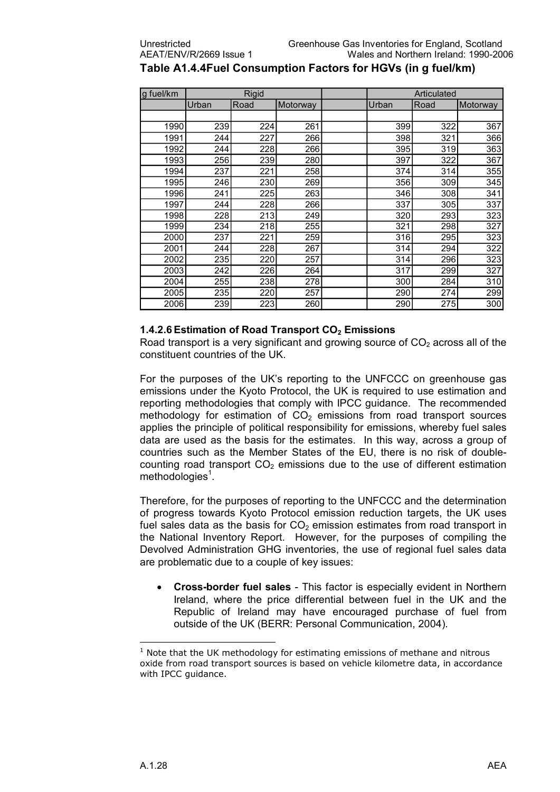| g fuel/km | <b>Rigid</b> |      |          | Articulated |      |          |
|-----------|--------------|------|----------|-------------|------|----------|
|           | Urban        | Road | Motorway | Urban       | Road | Motorway |
|           |              |      |          |             |      |          |
| 1990      | 239          | 224  | 261      | 399         | 322  | 367      |
| 1991      | 244          | 227  | 266      | 398         | 321  | 366      |
| 1992      | 244          | 228  | 266      | 395         | 319  | 363      |
| 1993      | 256          | 239  | 280      | 397         | 322  | 367      |
| 1994      | 237          | 221  | 258      | 374         | 314  | 355      |
| 1995      | 246          | 230  | 269      | 356         | 309  | 345      |
| 1996      | 241          | 225  | 263      | 346         | 308  | 341      |
| 1997      | 244          | 228  | 266      | 337         | 305  | 337      |
| 1998      | 228          | 213  | 249      | 320         | 293  | 323      |
| 1999      | 234          | 218  | 255      | 321         | 298  | 327      |
| 2000      | 237          | 221  | 259      | 316         | 295  | 323      |
| 2001      | 244          | 228  | 267      | 314         | 294  | 322      |
| 2002      | 235          | 220  | 257      | 314         | 296  | 323      |
| 2003      | 242          | 226  | 264      | 317         | 299  | 327      |
| 2004      | 255          | 238  | 278      | 300         | 284  | 310      |
| 2005      | 235          | 220  | 257      | 290         | 274  | 299      |
| 2006      | 239          | 223  | 260      | 290         | 275  | 300      |

### **Table A1.4.4Fuel Consumption Factors for HGVs (in g fuel/km)**

#### **1.4.2.6Estimation of Road Transport CO2 Emissions**

Road transport is a very significant and growing source of  $CO<sub>2</sub>$  across all of the constituent countries of the UK.

For the purposes of the UK's reporting to the UNFCCC on greenhouse gas emissions under the Kyoto Protocol, the UK is required to use estimation and reporting methodologies that comply with IPCC guidance. The recommended methodology for estimation of  $CO<sub>2</sub>$  emissions from road transport sources applies the principle of political responsibility for emissions, whereby fuel sales data are used as the basis for the estimates. In this way, across a group of countries such as the Member States of the EU, there is no risk of double counting road transport  $CO<sub>2</sub>$  emissions due to the use of different estimation  $methodologies<sup>1</sup>$ .

Therefore, for the purposes of reporting to the UNFCCC and the determination of progress towards Kyoto Protocol emission reduction targets, the UK uses fuel sales data as the basis for  $CO<sub>2</sub>$  emission estimates from road transport in the National Inventory Report. However, for the purposes of compiling the Devolved Administration GHG inventories, the use of regional fuel sales data are problematic due to a couple of key issues:

**Cross-border fuel sales** - This factor is especially evident in Northern Ireland, where the price differential between fuel in the UK and the Republic of Ireland may have encouraged purchase of fuel from outside of the UK (BERR: Personal Communication, 2004).

Note that the UK methodology for estimating emissions of methane and nitrous oxide from road transport sources is based on vehicle kilometre data, in accordance with IPCC guidance.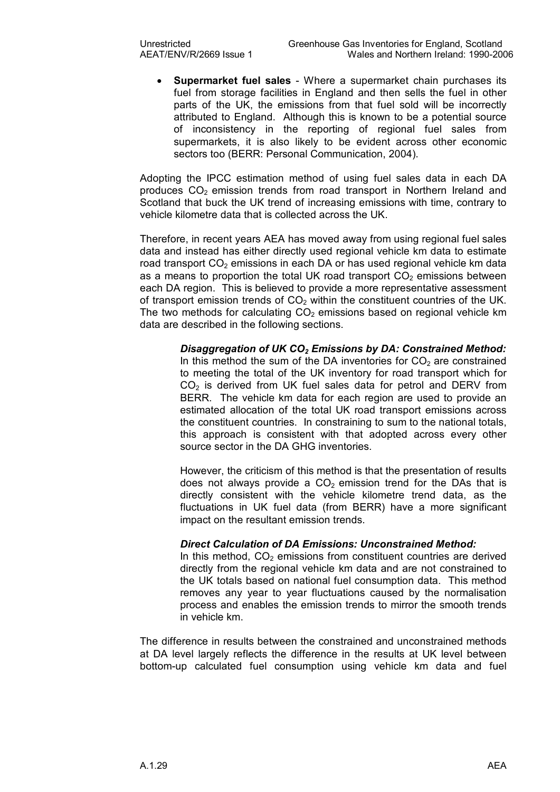**Supermarket fuel sales** - Where a supermarket chain purchases its fuel from storage facilities in England and then sells the fuel in other parts of the UK, the emissions from that fuel sold will be incorrectly attributed to England. Although this is known to be a potential source of inconsistency in the reporting of regional fuel sales from supermarkets, it is also likely to be evident across other economic sectors too (BERR: Personal Communication, 2004).

Adopting the IPCC estimation method of using fuel sales data in each DA produces  $CO<sub>2</sub>$  emission trends from road transport in Northern Ireland and Scotland that buck the UK trend of increasing emissions with time, contrary to vehicle kilometre data that is collected across the UK.

Therefore, in recent years AEA has moved away from using regional fuel sales data and instead has either directly used regional vehicle km data to estimate road transport CO<sub>2</sub> emissions in each DA or has used regional vehicle km data as a means to proportion the total UK road transport  $CO<sub>2</sub>$  emissions between each DA region. This is believed to provide a more representative assessment of transport emission trends of  $CO<sub>2</sub>$  within the constituent countries of the UK. The two methods for calculating  $CO<sub>2</sub>$  emissions based on regional vehicle km data are described in the following sections.

> *Disaggregation of UK CO2 Emissions by DA: Constrained Method:* In this method the sum of the DA inventories for  $CO<sub>2</sub>$  are constrained to meeting the total of the UK inventory for road transport which for  $CO<sub>2</sub>$  is derived from UK fuel sales data for petrol and DERV from BERR. The vehicle km data for each region are used to provide an estimated allocation of the total UK road transport emissions across the constituent countries. In constraining to sum to the national totals, this approach is consistent with that adopted across every other source sector in the DA GHG inventories.

> However, the criticism of this method is that the presentation of results does not always provide a  $CO<sub>2</sub>$  emission trend for the DAs that is directly consistent with the vehicle kilometre trend data, as the fluctuations in UK fuel data (from BERR) have a more significant impact on the resultant emission trends.

#### *Direct Calculation of DA Emissions: Unconstrained Method:*

In this method,  $CO<sub>2</sub>$  emissions from constituent countries are derived directly from the regional vehicle km data and are not constrained to the UK totals based on national fuel consumption data. This method removes any year to year fluctuations caused by the normalisation process and enables the emission trends to mirror the smooth trends in vehicle km.

The difference in results between the constrained and unconstrained methods at DA level largely reflects the difference in the results at UK level between bottom-up calculated fuel consumption using vehicle km data and fuel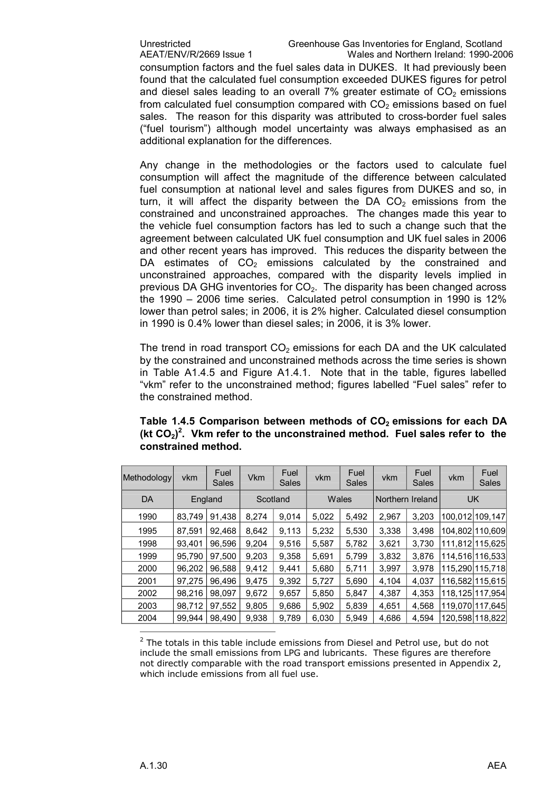consumption factors and the fuel sales data in DUKES. It had previously been found that the calculated fuel consumption exceeded DUKES figures for petrol and diesel sales leading to an overall  $7\%$  greater estimate of  $CO<sub>2</sub>$  emissions from calculated fuel consumption compared with  $CO<sub>2</sub>$  emissions based on fuel sales. The reason for this disparity was attributed to cross-border fuel sales ("fuel tourism") although model uncertainty was always emphasised as an additional explanation for the differences.

Any change in the methodologies or the factors used to calculate fuel consumption will affect the magnitude of the difference between calculated fuel consumption at national level and sales figures from DUKES and so, in turn, it will affect the disparity between the DA  $CO<sub>2</sub>$  emissions from the constrained and unconstrained approaches. The changes made this year to the vehicle fuel consumption factors has led to such a change such that the agreement between calculated UK fuel consumption and UK fuel sales in 2006 and other recent years has improved. This reduces the disparity between the DA estimates of  $CO<sub>2</sub>$  emissions calculated by the constrained and unconstrained approaches, compared with the disparity levels implied in previous DA GHG inventories for  $CO<sub>2</sub>$ . The disparity has been changed across the 1990 – 2006 time series. Calculated petrol consumption in 1990 is 12% lower than petrol sales; in 2006, it is 2% higher. Calculated diesel consumption in 1990 is 0.4% lower than diesel sales; in 2006, it is 3% lower.

The trend in road transport  $CO<sub>2</sub>$  emissions for each DA and the UK calculated by the constrained and unconstrained methods across the time series is shown in Table A1.4.5 and Figure A1.4.1. Note that in the table, figures labelled "vkm" refer to the unconstrained method; figures labelled "Fuel sales" refer to the constrained method.

| Methodology | vkm    | Fuel<br>Sales | <b>Vkm</b> | Fuel<br>Sales | vkm   | Fuel<br>Sales | vkm   | Fuel<br>Sales    | vkm | Fuel<br>Sales   |
|-------------|--------|---------------|------------|---------------|-------|---------------|-------|------------------|-----|-----------------|
| DA          |        | England       |            | Scotland      |       | Wales         |       | Northern Ireland |     | <b>UK</b>       |
| 1990        | 83,749 | 91,438        | 8,274      | 9,014         | 5,022 | 5,492         | 2,967 | 3,203            |     | 100.012 109.147 |
| 1995        | 87.591 | 92.468        | 8.642      | 9.113         | 5.232 | 5.530         | 3.338 | 3.498            |     | 104.802 110.609 |
| 1998        | 93.401 | 96,596        | 9,204      | 9,516         | 5,587 | 5,782         | 3,621 | 3,730            |     | 111.812 115.625 |
| 1999        | 95,790 | 97.500        | 9.203      | 9.358         | 5.691 | 5.799         | 3.832 | 3.876            |     | 114.516 116.533 |
| 2000        | 96,202 | 96.588        | 9.412      | 9.441         | 5,680 | 5,711         | 3.997 | 3.978            |     | 115.290 115.718 |
| 2001        | 97.275 | 96.496        | 9.475      | 9,392         | 5,727 | 5,690         | 4,104 | 4.037            |     | 116.582 115.615 |
| 2002        | 98.216 | 98.097        | 9.672      | 9.657         | 5.850 | 5.847         | 4.387 | 4,353            |     | 118.1251117.954 |
| 2003        | 98,712 | 97,552        | 9,805      | 9,686         | 5,902 | 5,839         | 4,651 | 4,568            |     | 119.070 117.645 |
| 2004        | 99.944 | 98.490        | 9.938      | 9,789         | 6,030 | 5.949         | 4.686 | 4.594            |     | 120.5981118.822 |

**Table 1.4.5 Comparison between methods of CO2 emissions for each DA (kt CO2)<sup>2</sup>. Vkm refer to the unconstrained method. Fuel sales refer to the constrained method.**

 $2$  The totals in this table include emissions from Diesel and Petrol use, but do not include the small emissions from LPG and lubricants. These figures are therefore not directly comparable with the road transport emissions presented in Appendix 2, which include emissions from all fuel use.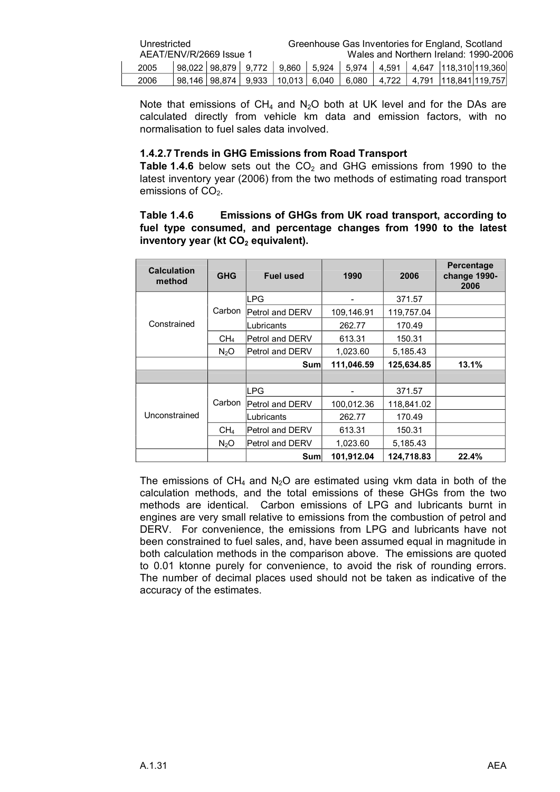| Unrestricted<br>AEAT/ENV/R/2669 Issue 1 |  |  |  |  |  |  | Greenhouse Gas Inventories for England, Scotland<br>Wales and Northern Ireland: 1990-2006         |  |
|-----------------------------------------|--|--|--|--|--|--|---------------------------------------------------------------------------------------------------|--|
| 2005                                    |  |  |  |  |  |  | $\vert$ 98.022   98.879   9.772   9.860   5.924   5.974   4.591   4.647   118.310   119.360       |  |
| 2006                                    |  |  |  |  |  |  | 98,146   98,874    9,933     10,013    6,040      6,080      4,722      4,791    118,841  119,757 |  |

Note that emissions of  $CH_4$  and  $N_2O$  both at UK level and for the DAs are calculated directly from vehicle km data and emission factors, with no normalisation to fuel sales data involved.

#### **1.4.2.7 Trends in GHG Emissions from Road Transport**

**Table 1.4.6** below sets out the  $CO<sub>2</sub>$  and GHG emissions from 1990 to the latest inventory year (2006) from the two methods of estimating road transport emissions of  $CO<sub>2</sub>$ .

#### **Table 1.4.6 Emissions of GHGs from UK road transport, according to fuel type consumed, and percentage changes from 1990 to the latest inventory year (kt CO2 equivalent).**

| <b>Calculation</b><br>method | <b>GHG</b>       | <b>Fuel used</b>       | 1990       | 2006       | Percentage<br>change 1990-<br>2006 |
|------------------------------|------------------|------------------------|------------|------------|------------------------------------|
|                              |                  | <b>LPG</b>             |            | 371.57     |                                    |
|                              | Carbon           | Petrol and DERV        | 109,146.91 | 119,757.04 |                                    |
| Constrained                  |                  | Lubricants             | 262.77     | 170.49     |                                    |
|                              | CH <sub>4</sub>  | <b>Petrol and DERV</b> | 613.31     | 150.31     |                                    |
|                              | N <sub>2</sub> O | <b>Petrol and DERV</b> | 1,023.60   | 5,185.43   |                                    |
|                              |                  | Sum                    | 111,046.59 | 125,634.85 | 13.1%                              |
|                              |                  |                        |            |            |                                    |
|                              |                  | <b>LPG</b>             |            | 371.57     |                                    |
|                              | Carbon           | <b>Petrol and DERV</b> | 100,012.36 | 118,841.02 |                                    |
| Unconstrained                |                  | Lubricants             | 262.77     | 170.49     |                                    |
|                              | CH4              | Petrol and DERV        | 613.31     | 150.31     |                                    |
|                              | N <sub>2</sub> O | <b>Petrol and DERV</b> | 1,023.60   | 5.185.43   |                                    |
|                              |                  | Sum                    | 101.912.04 | 124,718.83 | 22.4%                              |

The emissions of CH<sub>4</sub> and N<sub>2</sub>O are estimated using vkm data in both of the calculation methods, and the total emissions of these GHGs from the two methods are identical. Carbon emissions of LPG and lubricants burnt in engines are very small relative to emissions from the combustion of petrol and DERV. For convenience, the emissions from LPG and lubricants have not been constrained to fuel sales, and, have been assumed equal in magnitude in both calculation methods in the comparison above. The emissions are quoted to 0.01 ktonne purely for convenience, to avoid the risk of rounding errors. The number of decimal places used should not be taken as indicative of the accuracy of the estimates.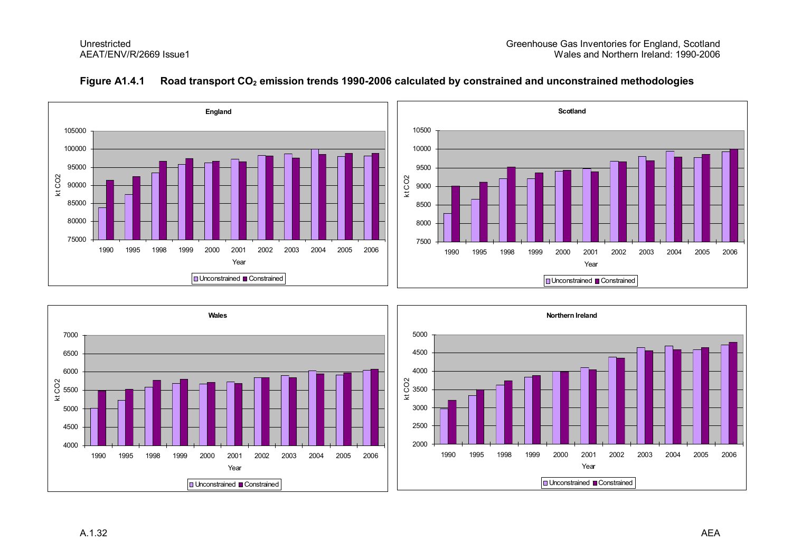

#### **Figure A1.4.1 Road transport CO2 emission trends 19902006 calculated by constrained and unconstrained methodologies**

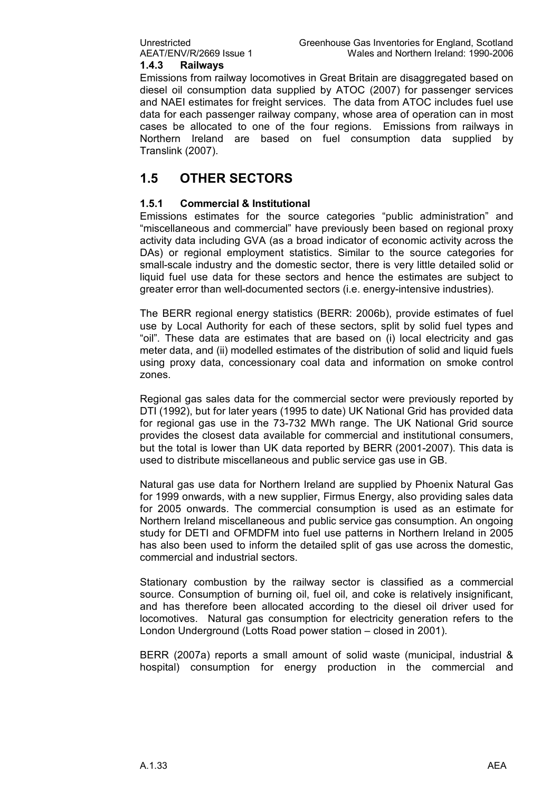#### **1.4.3 Railways**

Emissions from railway locomotives in Great Britain are disaggregated based on diesel oil consumption data supplied by ATOC (2007) for passenger services and NAEI estimates for freight services. The data from ATOC includes fuel use data for each passenger railway company, whose area of operation can in most cases be allocated to one of the four regions. Emissions from railways in Northern Ireland are based on fuel consumption data supplied by Translink (2007).

### **1.5 OTHER SECTORS**

#### **1.5.1 Commercial & Institutional**

Emissions estimates for the source categories "public administration" and "miscellaneous and commercial" have previously been based on regional proxy activity data including GVA (as a broad indicator of economic activity across the DAs) or regional employment statistics. Similar to the source categories for small-scale industry and the domestic sector, there is very little detailed solid or liquid fuel use data for these sectors and hence the estimates are subject to greater error than well-documented sectors (i.e. energy-intensive industries).

The BERR regional energy statistics (BERR: 2006b), provide estimates of fuel use by Local Authority for each of these sectors, split by solid fuel types and "oil". These data are estimates that are based on (i) local electricity and gas meter data, and (ii) modelled estimates of the distribution of solid and liquid fuels using proxy data, concessionary coal data and information on smoke control zones.

Regional gas sales data for the commercial sector were previously reported by DTI (1992), but for later years (1995 to date) UK National Grid has provided data for regional gas use in the 73-732 MWh range. The UK National Grid source provides the closest data available for commercial and institutional consumers, but the total is lower than UK data reported by BERR (2001-2007). This data is used to distribute miscellaneous and public service gas use in GB.

Natural gas use data for Northern Ireland are supplied by Phoenix Natural Gas for 1999 onwards, with a new supplier, Firmus Energy, also providing sales data for 2005 onwards. The commercial consumption is used as an estimate for Northern Ireland miscellaneous and public service gas consumption. An ongoing study for DETI and OFMDFM into fuel use patterns in Northern Ireland in 2005 has also been used to inform the detailed split of gas use across the domestic, commercial and industrial sectors.

Stationary combustion by the railway sector is classified as a commercial source. Consumption of burning oil, fuel oil, and coke is relatively insignificant, and has therefore been allocated according to the diesel oil driver used for locomotives. Natural gas consumption for electricity generation refers to the London Underground (Lotts Road power station – closed in 2001).

BERR (2007a) reports a small amount of solid waste (municipal, industrial & hospital) consumption for energy production in the commercial and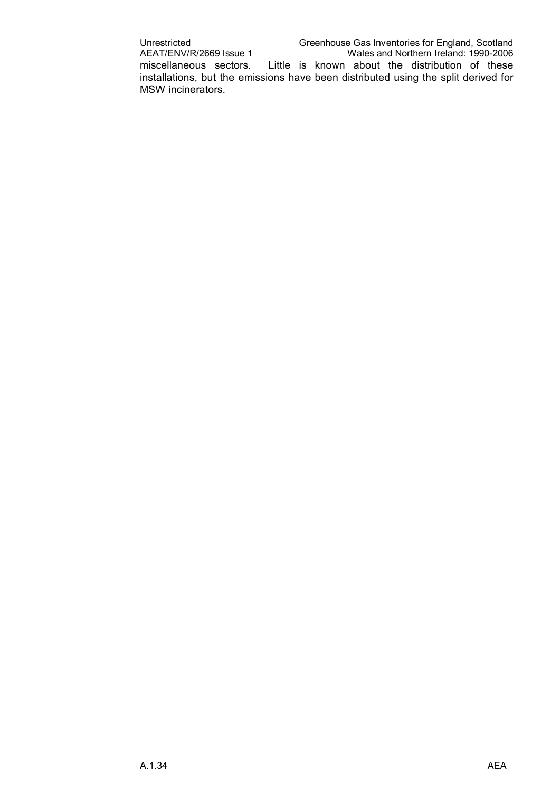Unrestricted Greenhouse Gas Inventories for England, Scotland<br>AEAT/ENV/R/2669 Issue 1 Wales and Northern Ireland: 1990-2006 Wales and Northern Ireland: 1990-2006 miscellaneous sectors. Little is known about the distribution of these installations, but the emissions have been distributed using the split derived for MSW incinerators.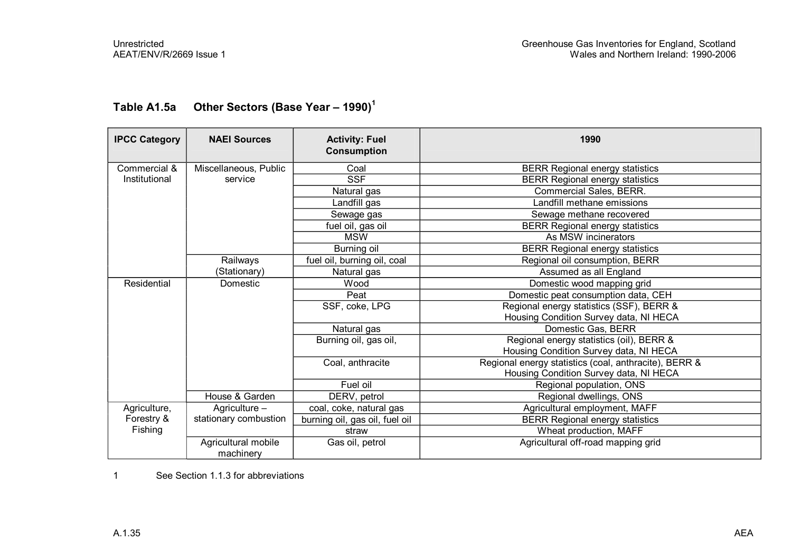| <b>IPCC Category</b> | <b>NAEI Sources</b>              | <b>Activity: Fuel</b><br><b>Consumption</b> | 1990                                                  |
|----------------------|----------------------------------|---------------------------------------------|-------------------------------------------------------|
| Commercial &         | Miscellaneous, Public            | Coal                                        | <b>BERR Regional energy statistics</b>                |
| Institutional        | service                          | <b>SSF</b>                                  | <b>BERR Regional energy statistics</b>                |
|                      |                                  | Natural gas                                 | Commercial Sales, BERR.                               |
|                      |                                  | Landfill gas                                | Landfill methane emissions                            |
|                      |                                  | Sewage gas                                  | Sewage methane recovered                              |
|                      |                                  | fuel oil, gas oil                           | <b>BERR Regional energy statistics</b>                |
|                      |                                  | <b>MSW</b>                                  | As MSW incinerators                                   |
|                      |                                  | Burning oil                                 | <b>BERR Regional energy statistics</b>                |
|                      | Railways                         | fuel oil, burning oil, coal                 | Regional oil consumption, BERR                        |
|                      | (Stationary)                     | Natural gas                                 | Assumed as all England                                |
| Residential          | Domestic                         | Wood                                        | Domestic wood mapping grid                            |
|                      |                                  | Peat                                        | Domestic peat consumption data, CEH                   |
|                      |                                  | SSF, coke, LPG                              | Regional energy statistics (SSF), BERR &              |
|                      |                                  |                                             | Housing Condition Survey data, NI HECA                |
|                      |                                  | Natural gas                                 | Domestic Gas, BERR                                    |
|                      |                                  | Burning oil, gas oil,                       | Regional energy statistics (oil), BERR &              |
|                      |                                  |                                             | Housing Condition Survey data, NI HECA                |
|                      |                                  | Coal, anthracite                            | Regional energy statistics (coal, anthracite), BERR & |
|                      |                                  |                                             | Housing Condition Survey data, NI HECA                |
|                      |                                  | Fuel oil                                    | Regional population, ONS                              |
|                      | House & Garden                   | DERV, petrol                                | Regional dwellings, ONS                               |
| Agriculture,         | Agriculture -                    | coal, coke, natural gas                     | Agricultural employment, MAFF                         |
| Forestry &           | stationary combustion            | burning oil, gas oil, fuel oil              | <b>BERR Regional energy statistics</b>                |
| Fishing              |                                  | straw                                       | Wheat production, MAFF                                |
|                      | Agricultural mobile<br>machinery | Gas oil, petrol                             | Agricultural off-road mapping grid                    |

## **Table A1.5a Other Sectors (Base Year – 1990)<sup>1</sup>**

1 See Section 1.1.3 for abbreviations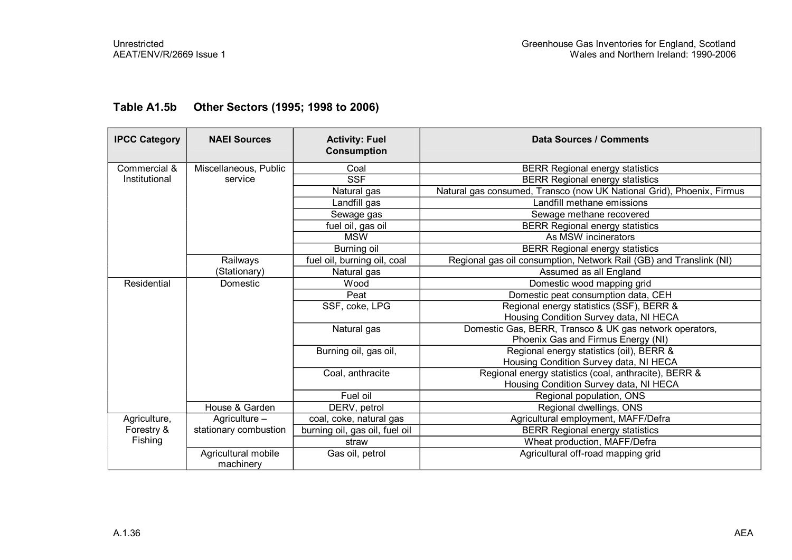| <b>IPCC Category</b> | <b>NAEI Sources</b>   | <b>Activity: Fuel</b><br><b>Consumption</b> | <b>Data Sources / Comments</b>                                        |
|----------------------|-----------------------|---------------------------------------------|-----------------------------------------------------------------------|
| Commercial &         | Miscellaneous, Public | Coal                                        | <b>BERR Regional energy statistics</b>                                |
| Institutional        | service               | <b>SSF</b>                                  | <b>BERR Regional energy statistics</b>                                |
|                      |                       | Natural gas                                 | Natural gas consumed, Transco (now UK National Grid), Phoenix, Firmus |
|                      |                       | Landfill gas                                | Landfill methane emissions                                            |
|                      |                       | Sewage gas                                  | Sewage methane recovered                                              |
|                      |                       | fuel oil, gas oil                           | <b>BERR Regional energy statistics</b>                                |
|                      |                       | <b>MSW</b>                                  | As MSW incinerators                                                   |
|                      |                       | Burning oil                                 | <b>BERR Regional energy statistics</b>                                |
|                      | Railways              | fuel oil, burning oil, coal                 | Regional gas oil consumption, Network Rail (GB) and Translink (NI)    |
|                      | (Stationary)          | Natural gas                                 | Assumed as all England                                                |
| Residential          | Domestic              | Wood                                        | Domestic wood mapping grid                                            |
|                      |                       | Peat                                        | Domestic peat consumption data, CEH                                   |
|                      |                       | SSF, coke, LPG                              | Regional energy statistics (SSF), BERR &                              |
|                      |                       |                                             | Housing Condition Survey data, NI HECA                                |
|                      |                       | Natural gas                                 | Domestic Gas, BERR, Transco & UK gas network operators,               |
|                      |                       |                                             | Phoenix Gas and Firmus Energy (NI)                                    |
|                      |                       | Burning oil, gas oil,                       | Regional energy statistics (oil), BERR &                              |
|                      |                       |                                             | Housing Condition Survey data, NI HECA                                |
|                      |                       | Coal, anthracite                            | Regional energy statistics (coal, anthracite), BERR &                 |
|                      |                       |                                             | Housing Condition Survey data, NI HECA                                |
|                      |                       | Fuel oil                                    | Regional population, ONS                                              |
|                      | House & Garden        | DERV, petrol                                | Regional dwellings, ONS                                               |
| Agriculture,         | Agriculture -         | coal, coke, natural gas                     | Agricultural employment, MAFF/Defra                                   |
| Forestry &           | stationary combustion | burning oil, gas oil, fuel oil              | <b>BERR Regional energy statistics</b>                                |
| Fishing              |                       | straw                                       | Wheat production, MAFF/Defra                                          |
|                      | Agricultural mobile   | Gas oil, petrol                             | Agricultural off-road mapping grid                                    |
|                      | machinery             |                                             |                                                                       |

### **Table A1.5b Other Sectors (1995; 1998 to 2006)**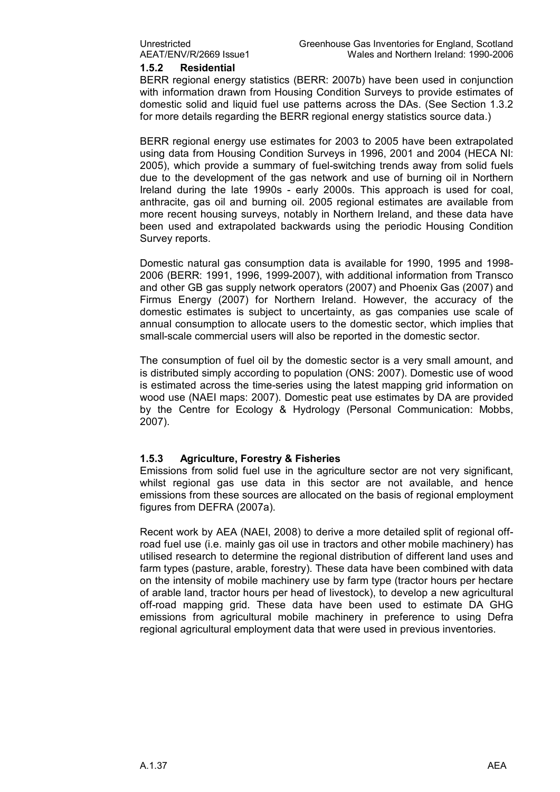**1.5.2 Residential**

BERR regional energy statistics (BERR: 2007b) have been used in conjunction with information drawn from Housing Condition Surveys to provide estimates of domestic solid and liquid fuel use patterns across the DAs. (See Section 1.3.2 for more details regarding the BERR regional energy statistics source data.)

BERR regional energy use estimates for 2003 to 2005 have been extrapolated using data from Housing Condition Surveys in 1996, 2001 and 2004 (HECA NI: 2005), which provide a summary of fuelswitching trends away from solid fuels due to the development of the gas network and use of burning oil in Northern Ireland during the late 1990s - early 2000s. This approach is used for coal, anthracite, gas oil and burning oil. 2005 regional estimates are available from more recent housing surveys, notably in Northern Ireland, and these data have been used and extrapolated backwards using the periodic Housing Condition Survey reports.

Domestic natural gas consumption data is available for 1990, 1995 and 1998 2006 (BERR: 1991, 1996, 1999-2007), with additional information from Transco and other GB gas supply network operators (2007) and Phoenix Gas (2007) and Firmus Energy (2007) for Northern Ireland. However, the accuracy of the domestic estimates is subject to uncertainty, as gas companies use scale of annual consumption to allocate users to the domestic sector, which implies that small-scale commercial users will also be reported in the domestic sector.

The consumption of fuel oil by the domestic sector is a very small amount, and is distributed simply according to population (ONS: 2007). Domestic use of wood is estimated across the time-series using the latest mapping grid information on wood use (NAEI maps: 2007). Domestic peat use estimates by DA are provided by the Centre for Ecology & Hydrology (Personal Communication: Mobbs, 2007).

#### **1.5.3 Agriculture, Forestry & Fisheries**

Emissions from solid fuel use in the agriculture sector are not very significant, whilst regional gas use data in this sector are not available, and hence emissions from these sources are allocated on the basis of regional employment figures from DEFRA (2007a).

Recent work by AEA (NAEI, 2008) to derive a more detailed split of regional offroad fuel use (i.e. mainly gas oil use in tractors and other mobile machinery) has utilised research to determine the regional distribution of different land uses and farm types (pasture, arable, forestry). These data have been combined with data on the intensity of mobile machinery use by farm type (tractor hours per hectare of arable land, tractor hours per head of livestock), to develop a new agricultural off-road mapping grid. These data have been used to estimate DA GHG emissions from agricultural mobile machinery in preference to using Defra regional agricultural employment data that were used in previous inventories.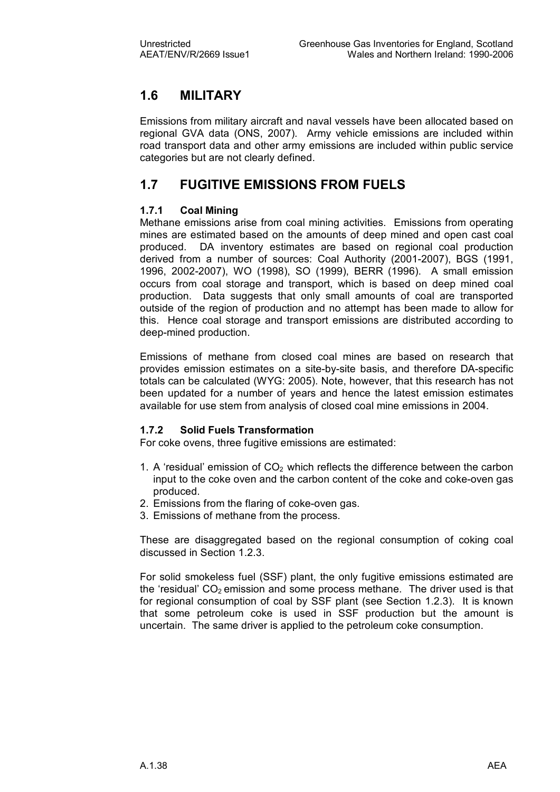### **1.6 MILITARY**

Emissions from military aircraft and naval vessels have been allocated based on regional GVA data (ONS, 2007). Army vehicle emissions are included within road transport data and other army emissions are included within public service categories but are not clearly defined.

### **1.7 FUGITIVE EMISSIONS FROM FUELS**

#### **1.7.1 Coal Mining**

Methane emissions arise from coal mining activities. Emissions from operating mines are estimated based on the amounts of deep mined and open cast coal produced. DA inventory estimates are based on regional coal production derived from a number of sources: Coal Authority (2001-2007), BGS (1991, 1996, 2002-2007), WO (1998), SO (1999), BERR (1996). A small emission occurs from coal storage and transport, which is based on deep mined coal production. Data suggests that only small amounts of coal are transported outside of the region of production and no attempt has been made to allow for this. Hence coal storage and transport emissions are distributed according to deep-mined production.

Emissions of methane from closed coal mines are based on research that provides emission estimates on a site-by-site basis, and therefore DA-specific totals can be calculated (WYG: 2005). Note, however, that this research has not been updated for a number of years and hence the latest emission estimates available for use stem from analysis of closed coal mine emissions in 2004.

#### **1.7.2 Solid Fuels Transformation**

For coke ovens, three fugitive emissions are estimated:

- 1. A 'residual' emission of  $CO<sub>2</sub>$  which reflects the difference between the carbon input to the coke oven and the carbon content of the coke and coke-oven gas produced.
- 2. Emissions from the flaring of coke-oven gas.
- 3. Emissions of methane from the process.

These are disaggregated based on the regional consumption of coking coal discussed in Section 1.2.3.

For solid smokeless fuel (SSF) plant, the only fugitive emissions estimated are the 'residual'  $CO<sub>2</sub>$  emission and some process methane. The driver used is that for regional consumption of coal by SSF plant (see Section 1.2.3). It is known that some petroleum coke is used in SSF production but the amount is uncertain. The same driver is applied to the petroleum coke consumption.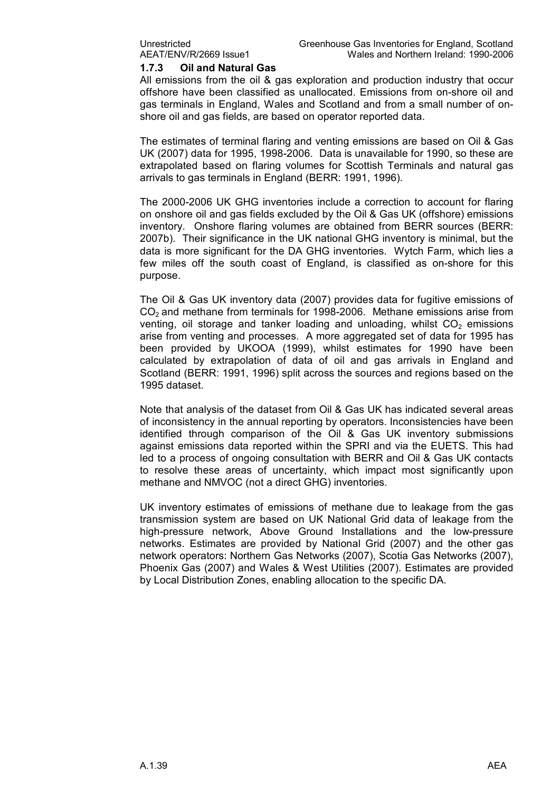#### **1.7.3 Oil and Natural Gas**

All emissions from the oil & gas exploration and production industry that occur offshore have been classified as unallocated. Emissions from on-shore oil and gas terminals in England, Wales and Scotland and from a small number of on shore oil and gas fields, are based on operator reported data.

The estimates of terminal flaring and venting emissions are based on Oil & Gas UK (2007) data for 1995, 1998-2006. Data is unavailable for 1990, so these are extrapolated based on flaring volumes for Scottish Terminals and natural gas arrivals to gas terminals in England (BERR: 1991, 1996).

The 2000-2006 UK GHG inventories include a correction to account for flaring on onshore oil and gas fields excluded by the Oil & Gas UK (offshore) emissions inventory. Onshore flaring volumes are obtained from BERR sources (BERR: 2007b). Their significance in the UK national GHG inventory is minimal, but the data is more significant for the DA GHG inventories. Wytch Farm, which lies a few miles off the south coast of England, is classified as on-shore for this purpose.

The Oil & Gas UK inventory data (2007) provides data for fugitive emissions of  $CO<sub>2</sub>$  and methane from terminals for 1998-2006. Methane emissions arise from venting, oil storage and tanker loading and unloading, whilst  $CO<sub>2</sub>$  emissions arise from venting and processes. A more aggregated set of data for 1995 has been provided by UKOOA (1999), whilst estimates for 1990 have been calculated by extrapolation of data of oil and gas arrivals in England and Scotland (BERR: 1991, 1996) split across the sources and regions based on the 1995 dataset.

Note that analysis of the dataset from Oil & Gas UK has indicated several areas of inconsistency in the annual reporting by operators. Inconsistencies have been identified through comparison of the Oil & Gas UK inventory submissions against emissions data reported within the SPRI and via the EUETS. This had led to a process of ongoing consultation with BERR and Oil & Gas UK contacts to resolve these areas of uncertainty, which impact most significantly upon methane and NMVOC (not a direct GHG) inventories.

UK inventory estimates of emissions of methane due to leakage from the gas transmission system are based on UK National Grid data of leakage from the high-pressure network, Above Ground Installations and the low-pressure networks. Estimates are provided by National Grid (2007) and the other gas network operators: Northern Gas Networks (2007), Scotia Gas Networks (2007), Phoenix Gas (2007) and Wales & West Utilities (2007). Estimates are provided by Local Distribution Zones, enabling allocation to the specific DA.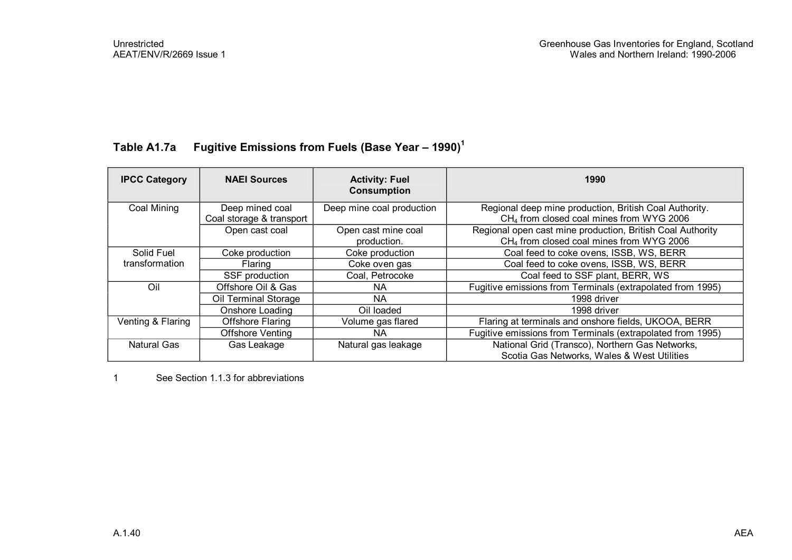### **Table A1.7a Fugitive Emissions from Fuels (Base Year – 1990)<sup>1</sup>**

| <b>IPCC Category</b> | <b>NAEI Sources</b>      | <b>Activity: Fuel</b><br><b>Consumption</b> | 1990                                                       |
|----------------------|--------------------------|---------------------------------------------|------------------------------------------------------------|
| Coal Mining          | Deep mined coal          | Deep mine coal production                   | Regional deep mine production, British Coal Authority.     |
|                      | Coal storage & transport |                                             | CH <sub>4</sub> from closed coal mines from WYG 2006       |
|                      | Open cast coal           | Open cast mine coal                         | Regional open cast mine production, British Coal Authority |
|                      |                          | production.                                 | CH <sub>4</sub> from closed coal mines from WYG 2006       |
| Solid Fuel           | Coke production          | Coke production                             | Coal feed to coke ovens, ISSB, WS, BERR                    |
| transformation       | Flaring                  | Coke oven gas                               | Coal feed to coke ovens, ISSB, WS, BERR                    |
|                      | SSF production           | Coal, Petrocoke                             | Coal feed to SSF plant, BERR, WS                           |
| Oil                  | Offshore Oil & Gas       | NA.                                         | Fugitive emissions from Terminals (extrapolated from 1995) |
|                      | Oil Terminal Storage     | NA.                                         | 1998 driver                                                |
|                      | Onshore Loading          | Oil loaded                                  | 1998 driver                                                |
| Venting & Flaring    | <b>Offshore Flaring</b>  | Volume gas flared                           | Flaring at terminals and onshore fields, UKOOA, BERR       |
|                      | <b>Offshore Venting</b>  | NA.                                         | Fugitive emissions from Terminals (extrapolated from 1995) |
| <b>Natural Gas</b>   | Gas Leakage              | Natural gas leakage                         | National Grid (Transco), Northern Gas Networks,            |
|                      |                          |                                             | Scotia Gas Networks, Wales & West Utilities                |

1 See Section 1.1.3 for abbreviations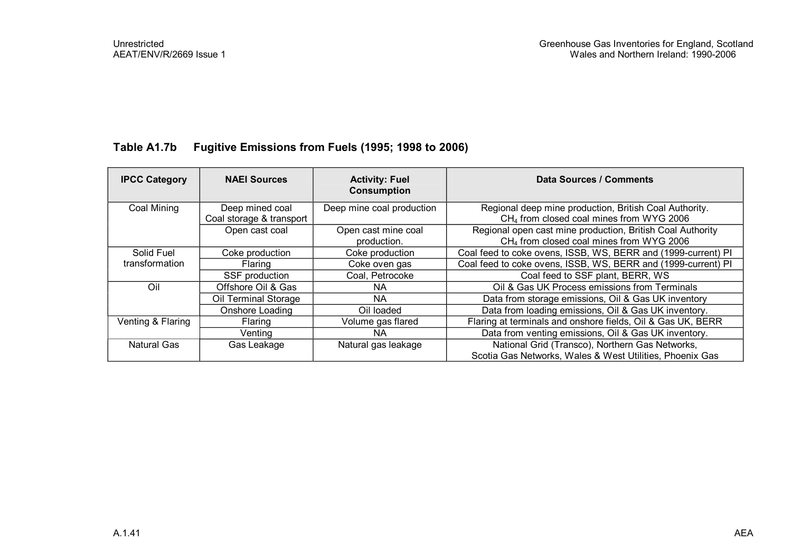### **Table A1.7b Fugitive Emissions from Fuels (1995; 1998 to 2006)**

| <b>IPCC Category</b> | <b>NAEI Sources</b>      | <b>Activity: Fuel</b><br><b>Consumption</b> | Data Sources / Comments                                       |
|----------------------|--------------------------|---------------------------------------------|---------------------------------------------------------------|
| Coal Mining          | Deep mined coal          | Deep mine coal production                   | Regional deep mine production, British Coal Authority.        |
|                      | Coal storage & transport |                                             | CH <sub>4</sub> from closed coal mines from WYG 2006          |
|                      | Open cast coal           | Open cast mine coal                         | Regional open cast mine production, British Coal Authority    |
|                      |                          | production.                                 | CH <sub>4</sub> from closed coal mines from WYG 2006          |
| Solid Fuel           | Coke production          | Coke production                             | Coal feed to coke ovens, ISSB, WS, BERR and (1999-current) PI |
| transformation       | Flaring                  | Coke oven gas                               | Coal feed to coke ovens, ISSB, WS, BERR and (1999-current) PI |
|                      | SSF production           | Coal, Petrocoke                             | Coal feed to SSF plant, BERR, WS                              |
| Oil                  | Offshore Oil & Gas       | NA.                                         | Oil & Gas UK Process emissions from Terminals                 |
|                      | Oil Terminal Storage     | <b>NA</b>                                   | Data from storage emissions, Oil & Gas UK inventory           |
|                      | Onshore Loading          | Oil loaded                                  | Data from loading emissions, Oil & Gas UK inventory.          |
| Venting & Flaring    | Flaring                  | Volume gas flared                           | Flaring at terminals and onshore fields, Oil & Gas UK, BERR   |
|                      | Venting                  | NA.                                         | Data from venting emissions, Oil & Gas UK inventory.          |
| <b>Natural Gas</b>   | Gas Leakage              | Natural gas leakage                         | National Grid (Transco), Northern Gas Networks,               |
|                      |                          |                                             | Scotia Gas Networks, Wales & West Utilities, Phoenix Gas      |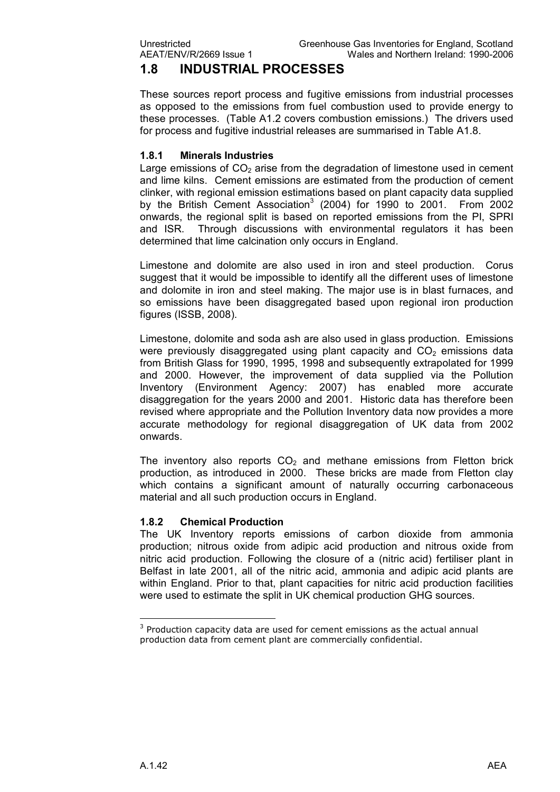### **1.8 INDUSTRIAL PROCESSES**

These sources report process and fugitive emissions from industrial processes as opposed to the emissions from fuel combustion used to provide energy to these processes. (Table A1.2 covers combustion emissions.) The drivers used for process and fugitive industrial releases are summarised in Table A1.8.

#### **1.8.1 Minerals Industries**

Large emissions of  $CO<sub>2</sub>$  arise from the degradation of limestone used in cement and lime kilns. Cement emissions are estimated from the production of cement clinker, with regional emission estimations based on plant capacity data supplied by the British Cement Association<sup>3</sup> (2004) for 1990 to 2001. From 2002 onwards, the regional split is based on reported emissions from the PI, SPRI and ISR. Through discussions with environmental regulators it has been determined that lime calcination only occurs in England.

Limestone and dolomite are also used in iron and steel production. Corus suggest that it would be impossible to identify all the different uses of limestone and dolomite in iron and steel making. The major use is in blast furnaces, and so emissions have been disaggregated based upon regional iron production figures (ISSB, 2008).

Limestone, dolomite and soda ash are also used in glass production. Emissions were previously disaggregated using plant capacity and  $CO<sub>2</sub>$  emissions data from British Glass for 1990, 1995, 1998 and subsequently extrapolated for 1999 and 2000. However, the improvement of data supplied via the Pollution Inventory (Environment Agency: 2007) has enabled more accurate disaggregation for the years 2000 and 2001. Historic data has therefore been revised where appropriate and the Pollution Inventory data now provides a more accurate methodology for regional disaggregation of UK data from 2002 onwards.

The inventory also reports  $CO<sub>2</sub>$  and methane emissions from Fletton brick production, as introduced in 2000. These bricks are made from Fletton clay which contains a significant amount of naturally occurring carbonaceous material and all such production occurs in England.

#### **1.8.2 Chemical Production**

The UK Inventory reports emissions of carbon dioxide from ammonia production; nitrous oxide from adipic acid production and nitrous oxide from nitric acid production. Following the closure of a (nitric acid) fertiliser plant in Belfast in late 2001, all of the nitric acid, ammonia and adipic acid plants are within England. Prior to that, plant capacities for nitric acid production facilities were used to estimate the split in UK chemical production GHG sources.

 $3$  Production capacity data are used for cement emissions as the actual annual production data from cement plant are commercially confidential.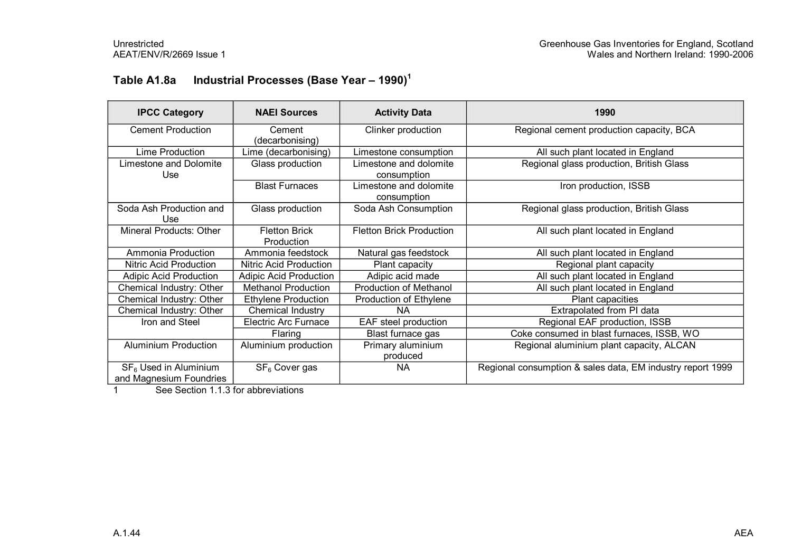### **Table A1.8a Industrial Processes (Base Year – 1990)<sup>1</sup>**

| <b>IPCC Category</b>                               | <b>NAEI Sources</b>                | <b>Activity Data</b>                  | 1990                                                       |
|----------------------------------------------------|------------------------------------|---------------------------------------|------------------------------------------------------------|
| <b>Cement Production</b>                           | Cement<br>(decarbonising)          | Clinker production                    | Regional cement production capacity, BCA                   |
| Lime Production                                    | Lime (decarbonising)               | Limestone consumption                 | All such plant located in England                          |
| Limestone and Dolomite<br>Use                      | Glass production                   | Limestone and dolomite<br>consumption | Regional glass production, British Glass                   |
|                                                    | <b>Blast Furnaces</b>              | Limestone and dolomite<br>consumption | Iron production, ISSB                                      |
| Soda Ash Production and<br>Use                     | Glass production                   | Soda Ash Consumption                  | Regional glass production, British Glass                   |
| Mineral Products: Other                            | <b>Fletton Brick</b><br>Production | <b>Fletton Brick Production</b>       | All such plant located in England                          |
| Ammonia Production                                 | Ammonia feedstock                  | Natural gas feedstock                 | All such plant located in England                          |
| <b>Nitric Acid Production</b>                      | Nitric Acid Production             | Plant capacity                        | Regional plant capacity                                    |
| <b>Adipic Acid Production</b>                      | <b>Adipic Acid Production</b>      | Adipic acid made                      | All such plant located in England                          |
| Chemical Industry: Other                           | <b>Methanol Production</b>         | Production of Methanol                | All such plant located in England                          |
| Chemical Industry: Other                           | <b>Ethylene Production</b>         | Production of Ethylene                | Plant capacities                                           |
| Chemical Industry: Other                           | Chemical Industry                  | ΝA                                    | Extrapolated from PI data                                  |
| Iron and Steel                                     | <b>Electric Arc Furnace</b>        | EAF steel production                  | Regional EAF production, ISSB                              |
|                                                    | Flaring                            | Blast furnace gas                     | Coke consumed in blast furnaces, ISSB, WO                  |
| Aluminium Production                               | Aluminium production               | Primary aluminium<br>produced         | Regional aluminium plant capacity, ALCAN                   |
| $SF6$ Used in Aluminium<br>and Magnesium Foundries | SF <sub>6</sub> Cover gas          | <b>NA</b>                             | Regional consumption & sales data, EM industry report 1999 |

1 See Section 1.1.3 for abbreviations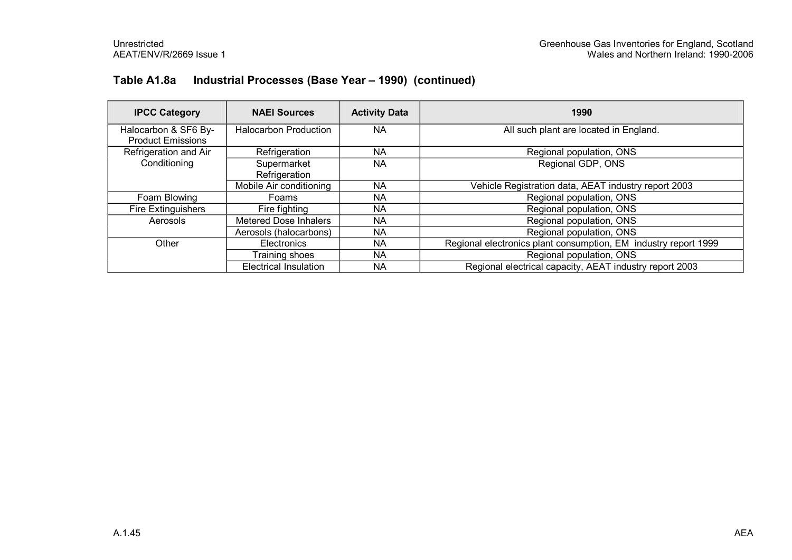### **Table A1.8a Industrial Processes (Base Year – 1990) (continued)**

| <b>IPCC Category</b>                             | <b>NAEI Sources</b>          | <b>Activity Data</b> | 1990                                                            |
|--------------------------------------------------|------------------------------|----------------------|-----------------------------------------------------------------|
| Halocarbon & SF6 By-<br><b>Product Emissions</b> | <b>Halocarbon Production</b> | <b>NA</b>            | All such plant are located in England.                          |
| Refrigeration and Air                            | Refrigeration                | <b>NA</b>            | Regional population, ONS                                        |
| Conditioning                                     | Supermarket<br>Refrigeration | <b>NA</b>            | Regional GDP, ONS                                               |
|                                                  | Mobile Air conditioning      | <b>NA</b>            | Vehicle Registration data, AEAT industry report 2003            |
| Foam Blowing                                     | Foams                        | NA.                  | Regional population, ONS                                        |
| <b>Fire Extinguishers</b>                        | Fire fighting                | <b>NA</b>            | Regional population, ONS                                        |
| Aerosols                                         | <b>Metered Dose Inhalers</b> | <b>NA</b>            | Regional population, ONS                                        |
|                                                  | Aerosols (halocarbons)       | NA.                  | Regional population, ONS                                        |
| Other                                            | Electronics                  | NA.                  | Regional electronics plant consumption, EM industry report 1999 |
|                                                  | Training shoes               | <b>NA</b>            | Regional population, ONS                                        |
|                                                  | <b>Electrical Insulation</b> | <b>NA</b>            | Regional electrical capacity, AEAT industry report 2003         |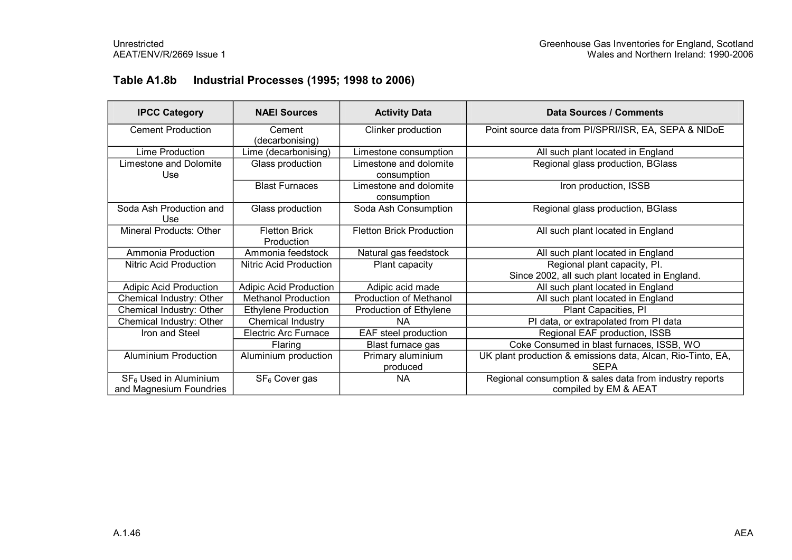### **Table A1.8b Industrial Processes (1995; 1998 to 2006)**

| <b>IPCC Category</b>           | <b>NAEI Sources</b>                | <b>Activity Data</b>                  | Data Sources / Comments                                     |
|--------------------------------|------------------------------------|---------------------------------------|-------------------------------------------------------------|
| <b>Cement Production</b>       | Cement<br>(decarbonising)          | Clinker production                    | Point source data from PI/SPRI/ISR, EA, SEPA & NIDoE        |
| Lime Production                | Lime (decarbonising)               | Limestone consumption                 | All such plant located in England                           |
| Limestone and Dolomite<br>Use  | Glass production                   | Limestone and dolomite<br>consumption | Regional glass production, BGlass                           |
|                                | <b>Blast Furnaces</b>              | Limestone and dolomite<br>consumption | Iron production, ISSB                                       |
| Soda Ash Production and<br>Use | Glass production                   | Soda Ash Consumption                  | Regional glass production, BGlass                           |
| Mineral Products: Other        | <b>Fletton Brick</b><br>Production | <b>Fletton Brick Production</b>       | All such plant located in England                           |
| Ammonia Production             | Ammonia feedstock                  | Natural gas feedstock                 | All such plant located in England                           |
| Nitric Acid Production         | Nitric Acid Production             | Plant capacity                        | Regional plant capacity, Pl.                                |
|                                |                                    |                                       | Since 2002, all such plant located in England.              |
| <b>Adipic Acid Production</b>  | <b>Adipic Acid Production</b>      | Adipic acid made                      | All such plant located in England                           |
| Chemical Industry: Other       | <b>Methanol Production</b>         | <b>Production of Methanol</b>         | All such plant located in England                           |
| Chemical Industry: Other       | <b>Ethylene Production</b>         | Production of Ethylene                | Plant Capacities, PI                                        |
| Chemical Industry: Other       | Chemical Industry                  | <b>NA</b>                             | PI data, or extrapolated from PI data                       |
| Iron and Steel                 | <b>Electric Arc Furnace</b>        | EAF steel production                  | Regional EAF production, ISSB                               |
|                                | Flaring                            | Blast furnace gas                     | Coke Consumed in blast furnaces, ISSB, WO                   |
| <b>Aluminium Production</b>    | Aluminium production               | Primary aluminium                     | UK plant production & emissions data, Alcan, Rio-Tinto, EA, |
|                                |                                    | produced                              | <b>SEPA</b>                                                 |
| $SF6$ Used in Aluminium        | SF <sub>6</sub> Cover gas          | <b>NA</b>                             | Regional consumption & sales data from industry reports     |
| and Magnesium Foundries        |                                    |                                       | compiled by EM & AEAT                                       |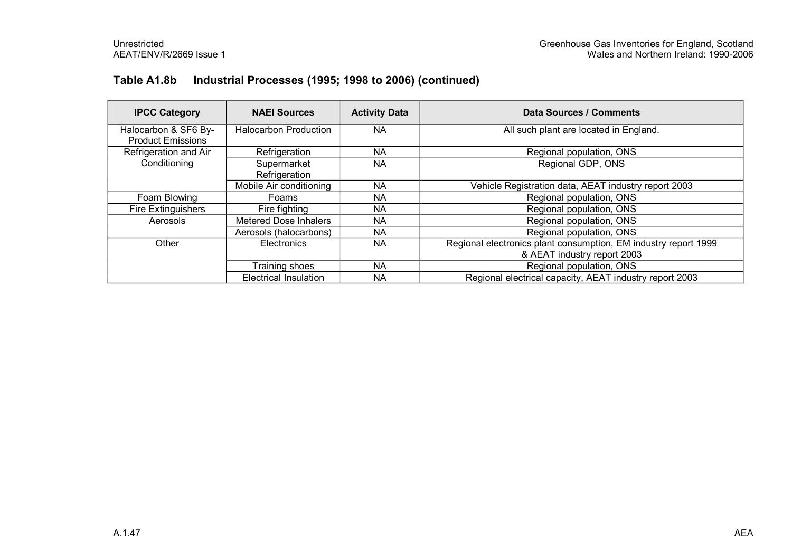### **Table A1.8b Industrial Processes (1995; 1998 to 2006) (continued)**

| <b>IPCC Category</b>                             | <b>NAEI Sources</b>          | <b>Activity Data</b> | Data Sources / Comments                                                                        |  |
|--------------------------------------------------|------------------------------|----------------------|------------------------------------------------------------------------------------------------|--|
| Halocarbon & SF6 By-<br><b>Product Emissions</b> | <b>Halocarbon Production</b> | <b>NA</b>            | All such plant are located in England.                                                         |  |
| Refrigeration and Air                            | Refrigeration                | NA                   | Regional population, ONS                                                                       |  |
| Conditioning                                     | Supermarket<br>Refrigeration | <b>NA</b>            | Regional GDP, ONS                                                                              |  |
|                                                  | Mobile Air conditioning      | NA                   | Vehicle Registration data, AEAT industry report 2003                                           |  |
| Foam Blowing                                     | Foams                        | NA.                  | Regional population, ONS                                                                       |  |
| <b>Fire Extinguishers</b>                        | Fire fighting                | NA.                  | Regional population, ONS                                                                       |  |
| Aerosols                                         | <b>Metered Dose Inhalers</b> | <b>NA</b>            | Regional population, ONS                                                                       |  |
|                                                  | Aerosols (halocarbons)       | NA.                  | Regional population, ONS                                                                       |  |
| Other                                            | Electronics                  | NA                   | Regional electronics plant consumption, EM industry report 1999<br>& AEAT industry report 2003 |  |
|                                                  | Training shoes               | NA.                  | Regional population, ONS                                                                       |  |
|                                                  | <b>Electrical Insulation</b> | NA                   | Regional electrical capacity, AEAT industry report 2003                                        |  |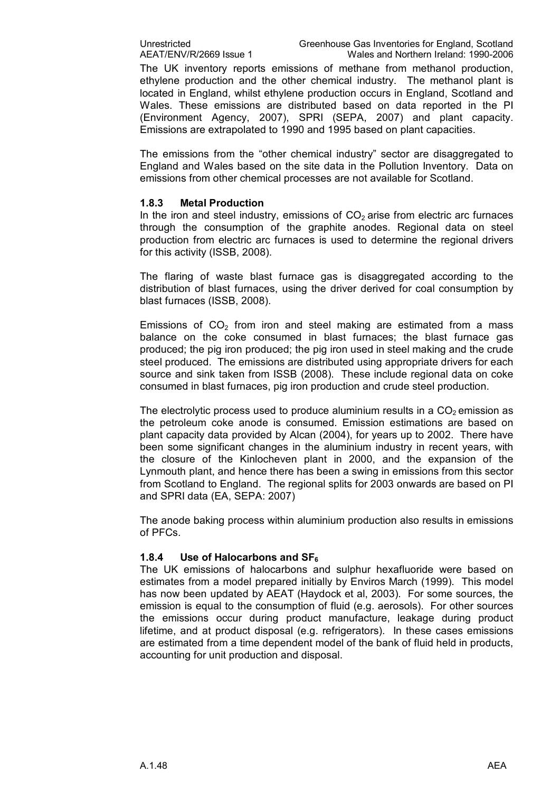The UK inventory reports emissions of methane from methanol production, ethylene production and the other chemical industry. The methanol plant is located in England, whilst ethylene production occurs in England, Scotland and Wales. These emissions are distributed based on data reported in the PI (Environment Agency, 2007), SPRI (SEPA, 2007) and plant capacity. Emissions are extrapolated to 1990 and 1995 based on plant capacities.

The emissions from the "other chemical industry" sector are disaggregated to England and Wales based on the site data in the Pollution Inventory. Data on emissions from other chemical processes are not available for Scotland.

#### **1.8.3 Metal Production**

In the iron and steel industry, emissions of  $CO<sub>2</sub>$  arise from electric arc furnaces through the consumption of the graphite anodes. Regional data on steel production from electric arc furnaces is used to determine the regional drivers for this activity (ISSB, 2008).

The flaring of waste blast furnace gas is disaggregated according to the distribution of blast furnaces, using the driver derived for coal consumption by blast furnaces (ISSB, 2008).

Emissions of  $CO<sub>2</sub>$  from iron and steel making are estimated from a mass balance on the coke consumed in blast furnaces; the blast furnace gas produced; the pig iron produced; the pig iron used in steel making and the crude steel produced. The emissions are distributed using appropriate drivers for each source and sink taken from ISSB (2008). These include regional data on coke consumed in blast furnaces, pig iron production and crude steel production.

The electrolytic process used to produce aluminium results in a  $CO<sub>2</sub>$  emission as the petroleum coke anode is consumed. Emission estimations are based on plant capacity data provided by Alcan (2004), for years up to 2002. There have been some significant changes in the aluminium industry in recent years, with the closure of the Kinlocheven plant in 2000, and the expansion of the Lynmouth plant, and hence there has been a swing in emissions from this sector from Scotland to England. The regional splits for 2003 onwards are based on PI and SPRI data (EA, SEPA: 2007)

The anode baking process within aluminium production also results in emissions of PFCs.

#### **1.8.4 Use of Halocarbons and SF<sup>6</sup>**

The UK emissions of halocarbons and sulphur hexafluoride were based on estimates from amodel prepared initially by Enviros March (1999). This model has now been updated by AEAT (Haydock et al, 2003). For some sources, the emission is equal to the consumption of fluid (e.g. aerosols). For other sources the emissions occur during product manufacture, leakage during product lifetime, and at product disposal (e.g. refrigerators). In these cases emissions are estimated from a time dependent model of the bank of fluid held in products, accounting for unit production and disposal.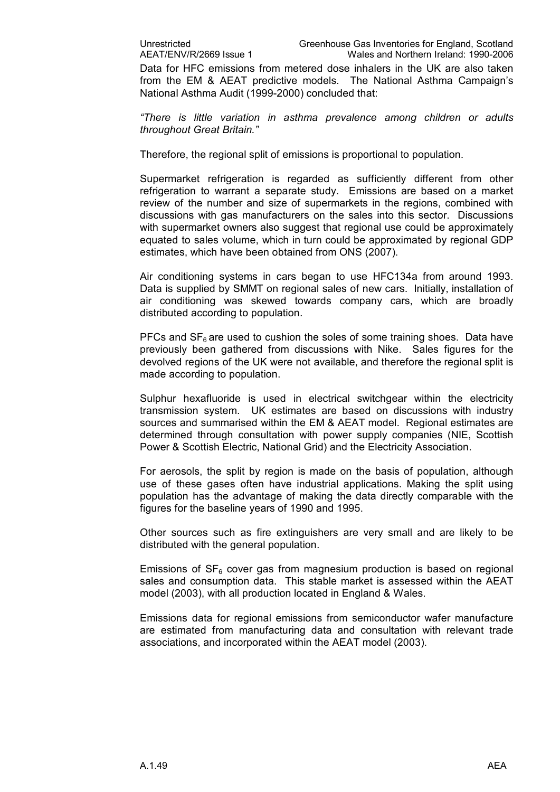Data for HFC emissions from metered dose inhalers in the UK are also taken from the EM & AEAT predictive models. The National Asthma Campaign's National Asthma Audit (1999-2000) concluded that:

*"There is little variation in asthma prevalence among children or adults throughout Great Britain."*

Therefore, the regional split of emissions is proportional to population.

Supermarket refrigeration is regarded as sufficiently different from other refrigeration to warrant a separate study. Emissions are based on a market review of the number and size of supermarkets in the regions, combined with discussions with gas manufacturers on the sales into this sector. Discussions with supermarket owners also suggest that regional use could be approximately equated to sales volume, which in turn could be approximated by regional GDP estimates, which have been obtained from ONS (2007).

Air conditioning systems in cars began to use HFC134a from around 1993. Data is supplied by SMMT on regional sales of new cars. Initially, installation of air conditioning was skewed towards company cars, which are broadly distributed according to population.

PFCs and  $SF<sub>6</sub>$  are used to cushion the soles of some training shoes. Data have previously been gathered from discussions with Nike. Sales figures for the devolved regions of the UK were not available, and therefore the regional split is made according to population.

Sulphur hexafluoride is used in electrical switchgear within the electricity transmission system. UK estimates are based on discussions with industry sources and summarised within the EM & AEAT model. Regional estimates are determined through consultation with power supply companies (NIE, Scottish Power & Scottish Electric, National Grid) and the Electricity Association.

For aerosols, the split by region is made on the basis of population, although use of these gases often have industrial applications. Making the split using population has the advantage of making the data directly comparable with the figures for the baseline years of 1990 and 1995.

Other sources such as fire extinguishers are very small and are likely to be distributed with the general population.

Emissions of  $SF_6$  cover gas from magnesium production is based on regional sales and consumption data. This stable market is assessed within the AEAT model (2003), with all production located in England & Wales.

Emissions data for regional emissions from semiconductor wafer manufacture are estimated from manufacturing data and consultation with relevant trade associations, and incorporated within the AEAT model (2003).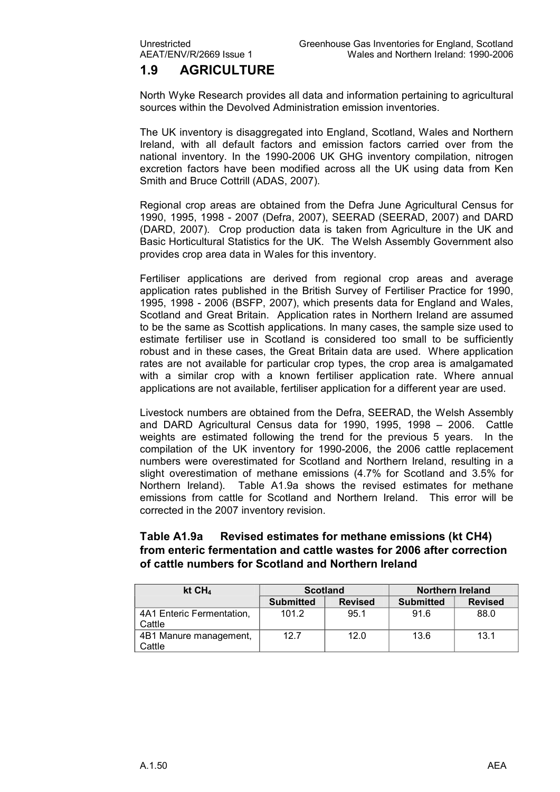### **1.9 AGRICULTURE**

North Wyke Research provides all data and information pertaining to agricultural sources within the Devolved Administration emission inventories.

The UK inventory is disaggregated into England, Scotland, Wales and Northern Ireland, with all default factors and emission factors carried over from the national inventory. In the 1990-2006 UK GHG inventory compilation, nitrogen excretion factors have been modified across all the UK using data from Ken Smith and Bruce Cottrill (ADAS, 2007).

Regional crop areas are obtained from the Defra June Agricultural Census for 1990, 1995, 1998 2007 (Defra, 2007), SEERAD (SEERAD, 2007) and DARD (DARD, 2007). Crop production data is taken from Agriculture in the UK and Basic Horticultural Statistics for the UK. The Welsh Assembly Government also provides crop area data in Wales for this inventory.

Fertiliser applications are derived from regional crop areas and average application rates published in the British Survey of Fertiliser Practice for 1990, 1995, 1998 - 2006 (BSFP, 2007), which presents data for England and Wales, Scotland and Great Britain. Application rates in Northern Ireland are assumed to be the same as Scottish applications. In many cases, the sample size used to estimate fertiliser use in Scotland is considered too small to be sufficiently robust and in these cases, the Great Britain data are used. Where application rates are not available for particular crop types, the crop area is amalgamated with a similar crop with a known fertiliser application rate. Where annual applications are not available, fertiliser application for a different year are used.

Livestock numbers are obtained from the Defra, SEERAD, the Welsh Assembly and DARD Agricultural Census data for 1990, 1995, 1998 – 2006. Cattle weights are estimated following the trend for the previous 5 years. In the compilation of the UK inventory for 1990-2006, the 2006 cattle replacement numbers were overestimated for Scotland and Northern Ireland, resulting in a slight overestimation of methane emissions (4.7% for Scotland and 3.5% for Northern Ireland). Table A1.9a shows the revised estimates for methane emissions from cattle for Scotland and Northern Ireland. This error will be corrected in the 2007 inventory revision.

#### **Table A1.9a Revised estimates for methane emissions (kt CH4) from enteric fermentation and cattle wastes for 2006 after correction of cattle numbers for Scotland and Northern Ireland**

| kt $CH4$                            | <b>Scotland</b>  |                | <b>Northern Ireland</b> |                |
|-------------------------------------|------------------|----------------|-------------------------|----------------|
|                                     | <b>Submitted</b> | <b>Revised</b> | <b>Submitted</b>        | <b>Revised</b> |
| 4A1 Enteric Fermentation,<br>Cattle | 101.2            | 95.1           | 91.6                    | 88.0           |
| 4B1 Manure management,<br>Cattle    | 12.7             | 12.0           | 13.6                    | 13.1           |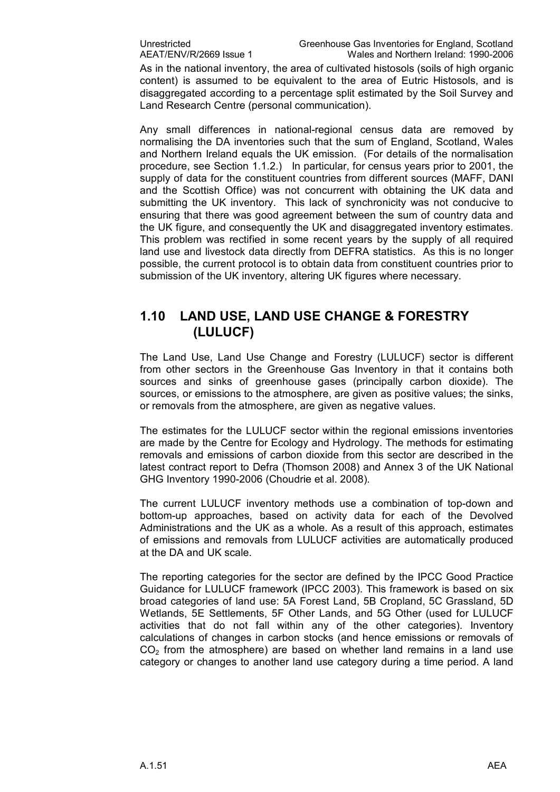As in the national inventory, the area of cultivated histosols (soils of high organic content) is assumed to be equivalent to the area of Eutric Histosols, and is disaggregated according to a percentage split estimated by the Soil Survey and Land Research Centre (personal communication).

Any small differences in national-regional census data are removed by normalising the DA inventories such that the sum of England, Scotland, Wales and Northern Ireland equals the UK emission. (For details of the normalisation procedure, see Section 1.1.2.) In particular, for census years prior to 2001, the supply of data for the constituent countries from different sources (MAFF, DANI and the Scottish Office) was not concurrent with obtaining the UK data and submitting the UK inventory. This lack of synchronicity was not conducive to ensuring that there was good agreement between the sum of country data and the UK figure, and consequently the UK and disaggregated inventory estimates. This problem was rectified in some recent years by the supply of all required land use and livestock data directly from DEFRA statistics. As this is no longer possible, the current protocol is to obtain data from constituent countries prior to submission of the UK inventory, altering UK figures where necessary.

### **1.10 LAND USE, LAND USE CHANGE & FORESTRY (LULUCF)**

The Land Use, Land Use Change and Forestry (LULUCF) sector is different from other sectors in the Greenhouse Gas Inventory in that it contains both sources and sinks of greenhouse gases (principally carbon dioxide). The sources, or emissions to the atmosphere, are given as positive values; the sinks, or removals from the atmosphere, are given as negative values.

The estimates for the LULUCF sector within the regional emissions inventories are made by the Centre for Ecology and Hydrology. The methods for estimating removals and emissions of carbon dioxide from this sector are described in the latest contract report to Defra (Thomson 2008) and Annex 3 of the UK National GHG Inventory 1990-2006 (Choudrie et al. 2008).

The current LULUCF inventory methods use a combination of top-down and bottom-up approaches, based on activity data for each of the Devolved Administrations and the UK as a whole. As a result of this approach, estimates of emissions and removals from LULUCF activities are automatically produced at the DA and UK scale.

The reporting categories for the sector are defined by the IPCC Good Practice Guidance for LULUCF framework (IPCC 2003). This framework is based on six broad categories of land use: 5A Forest Land, 5B Cropland, 5C Grassland, 5D Wetlands, 5E Settlements, 5F Other Lands, and 5G Other (used for LULUCF activities that do not fall within any of the other categories). Inventory calculations of changes in carbon stocks (and hence emissions or removals of  $CO<sub>2</sub>$  from the atmosphere) are based on whether land remains in a land use category or changes to another land use category during a time period. A land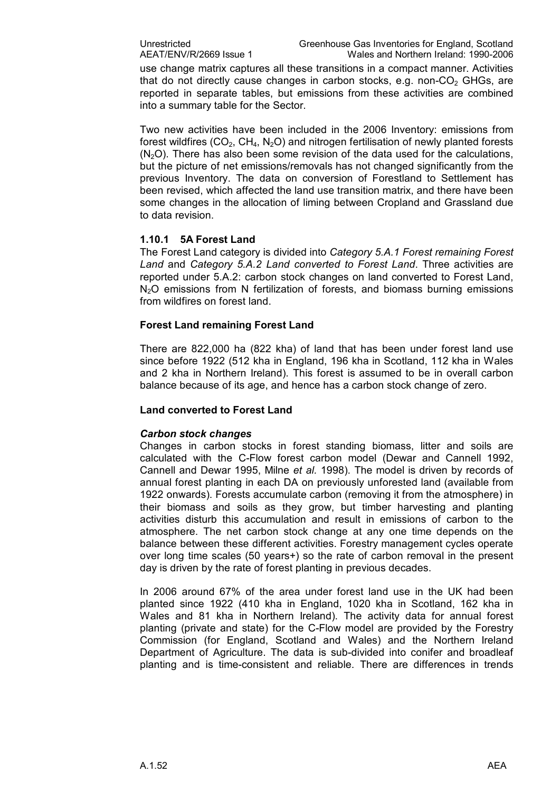use change matrix captures all these transitions in a compact manner. Activities that do not directly cause changes in carbon stocks, e.g.  $non-CO<sub>2</sub>$  GHGs, are reported in separate tables, but emissions from these activities are combined into a summary table for the Sector.

Two new activities have been included in the 2006 Inventory: emissions from forest wildfires ( $CO<sub>2</sub>$ ,  $CH<sub>4</sub>$ , N<sub>2</sub>O) and nitrogen fertilisation of newly planted forests  $(N<sub>2</sub>O)$ . There has also been some revision of the data used for the calculations, but the picture of net emissions/removals has not changed significantly from the previous Inventory. The data on conversion of Forestland to Settlement has been revised, which affected the land use transition matrix, and there have been some changes in the allocation of liming between Cropland and Grassland due to data revision.

#### **1.10.1 5A Forest Land**

The Forest Land category is divided into *Category 5.A.1 Forest remaining Forest Land* and *Category 5.A.2 Land converted to Forest Land*. Three activities are reported under 5.A.2: carbon stock changes on land converted to Forest Land, N<sub>2</sub>O emissions from N fertilization of forests, and biomass burning emissions from wildfires on forest land.

#### **Forest Land remaining Forest Land**

There are 822,000 ha (822 kha) of land that has been under forest land use since before 1922 (512 kha in England, 196 kha in Scotland, 112 kha in Wales and 2 kha in Northern Ireland). This forest is assumed to be in overall carbon balance because of its age, and hence has a carbon stock change of zero.

#### **Land converted to Forest Land**

#### *Carbon stock changes*

Changes in carbon stocks in forest standing biomass, litter and soils are calculated with the C-Flow forest carbon model (Dewar and Cannell 1992, Cannell and Dewar 1995, Milne *et al.* 1998). The model is driven by records of annual forest planting in each DA on previously unforested land (available from 1922 onwards). Forests accumulate carbon (removing it from the atmosphere) in their biomass and soils as they grow, but timber harvesting and planting activities disturb this accumulation and result in emissions of carbon to the atmosphere. The net carbon stock change at any one time depends on the balance between these different activities. Forestry management cycles operate over long time scales (50 years+) so the rate of carbon removal in the present day is driven by the rate of forest planting in previous decades.

In 2006 around 67% of the area under forest land use in the UK had been planted since 1922 (410 kha in England, 1020 kha in Scotland, 162 kha in Wales and 81 kha in Northern Ireland). The activity data for annual forest planting (private and state) for the CFlow model are provided by the Forestry Commission (for England, Scotland and Wales) and the Northern Ireland Department of Agriculture. The data is sub-divided into conifer and broadleaf planting and is time-consistent and reliable. There are differences in trends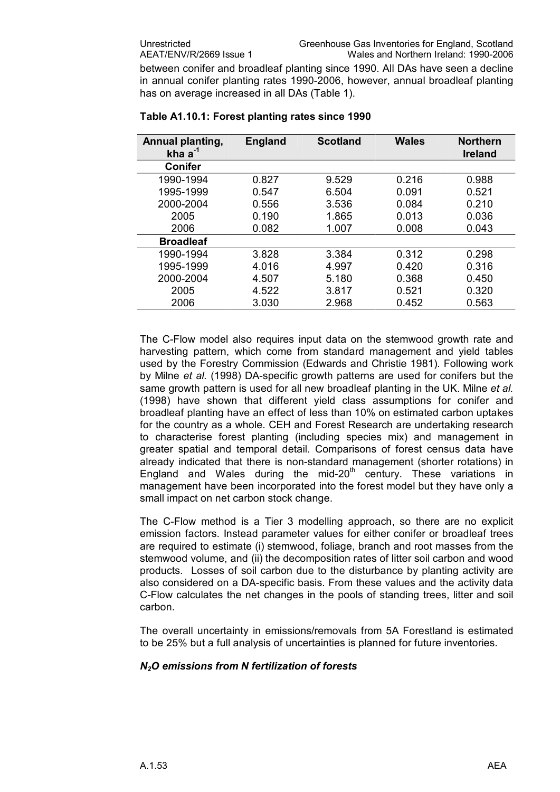between conifer and broadleaf planting since 1990. All DAs have seen a decline in annual conifer planting rates 1990-2006, however, annual broadleaf planting has on average increased in all DAs (Table 1).

| Annual planting,<br>kha $a^{-1}$ | <b>England</b> | <b>Scotland</b> | <b>Wales</b> | <b>Northern</b><br><b>Ireland</b> |
|----------------------------------|----------------|-----------------|--------------|-----------------------------------|
| <b>Conifer</b>                   |                |                 |              |                                   |
| 1990-1994                        | 0.827          | 9.529           | 0.216        | 0.988                             |
| 1995-1999                        | 0.547          | 6.504           | 0.091        | 0.521                             |
| 2000-2004                        | 0.556          | 3.536           | 0.084        | 0.210                             |
| 2005                             | 0.190          | 1.865           | 0.013        | 0.036                             |
| 2006                             | 0.082          | 1.007           | 0.008        | 0.043                             |
| <b>Broadleaf</b>                 |                |                 |              |                                   |
| 1990-1994                        | 3.828          | 3.384           | 0.312        | 0.298                             |
| 1995-1999                        | 4.016          | 4.997           | 0.420        | 0.316                             |
| 2000-2004                        | 4.507          | 5.180           | 0.368        | 0.450                             |
| 2005                             | 4.522          | 3.817           | 0.521        | 0.320                             |
| 2006                             | 3.030          | 2.968           | 0.452        | 0.563                             |

#### **Table A1.10.1: Forest planting rates since 1990**

The C-Flow model also requires input data on the stemwood growth rate and harvesting pattern, which come from standard management and yield tables used by the Forestry Commission (Edwards and Christie 1981). Following work by Milne *et al.* (1998) DA-specific growth patterns are used for conifers but the same growth pattern is used for all new broadleaf planting in the UK. Milne *et al.* (1998) have shown that different yield class assumptions for conifer and broadleaf planting have an effect of less than 10% on estimated carbon uptakes for the country as a whole. CEH and Forest Research are undertaking research to characterise forest planting (including species mix) and management in greater spatial and temporal detail. Comparisons of forest census data have already indicated that there is non-standard management (shorter rotations) in England and Wales during the mid-20<sup>th</sup> century. These variations in management have been incorporated into the forest model but they have only a small impact on net carbon stock change.

The C-Flow method is a Tier 3 modelling approach, so there are no explicit emission factors. Instead parameter values for either conifer or broadleaf trees are required to estimate (i) stemwood, foliage, branch and root masses from the stemwood volume, and (ii) the decomposition rates of litter soil carbon and wood products. Losses of soil carbon due to the disturbance by planting activity are also considered on a DA-specific basis. From these values and the activity data C-Flow calculates the net changes in the pools of standing trees, litter and soil carbon.

The overall uncertainty in emissions/removals from 5A Forestland is estimated to be 25% but a full analysis of uncertainties is planned for future inventories.

#### *N2O emissions from N fertilization of forests*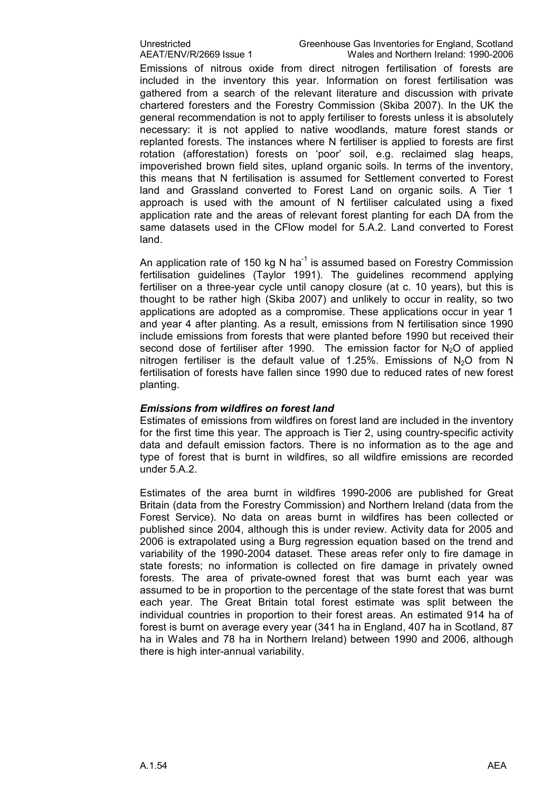Unrestricted Greenhouse Gas Inventories for England, Scotland<br>AEAT/ENV/R/2669 Issue 1 Wales and Northern Ireland: 1990-2006 Wales and Northern Ireland: 1990-2006

Emissions of nitrous oxide from direct nitrogen fertilisation of forests are included in the inventory this year. Information on forest fertilisation was gathered from a search of the relevant literature and discussion with private chartered foresters and the Forestry Commission (Skiba 2007). In the UK the general recommendation is not to apply fertiliser to forests unless it is absolutely necessary: it is not applied to native woodlands, mature forest stands or replanted forests. The instances where N fertiliser is applied to forests are first rotation (afforestation) forests on 'poor' soil, e.g. reclaimed slag heaps, impoverished brown field sites, upland organic soils. In terms of the inventory, this means that N fertilisation is assumed for Settlement converted to Forest land and Grassland converted to Forest Land on organic soils. A Tier 1 approach is used with the amount of N fertiliser calculated using a fixed application rate and the areas of relevant forest planting for each DA from the same datasets used in the CFlow model for 5.A.2. Land converted to Forest land.

An application rate of 150 kg N ha<sup>-1</sup> is assumed based on Forestry Commission fertilisation guidelines (Taylor 1991). The guidelines recommend applying fertiliser on a three-year cycle until canopy closure (at c. 10 years), but this is thought to be rather high (Skiba 2007) and unlikely to occur in reality, so two applications are adopted as a compromise. These applications occur in year 1 and year 4 after planting. As a result, emissions from N fertilisation since 1990 include emissions from forests that were planted before 1990 but received their second dose of fertiliser after 1990. The emission factor for  $N_2O$  of applied nitrogen fertiliser is the default value of 1.25%. Emissions of  $N_2O$  from N fertilisation of forests have fallen since 1990 due to reduced rates of new forest planting.

#### *Emissions from wildfires on forest land*

Estimates of emissions from wildfires on forest land are included in the inventory for the first time this year. The approach is Tier 2, using country-specific activity data and default emission factors. There is no information as to the age and type of forest that is burnt in wildfires, so all wildfire emissions are recorded under 5.A.2.

Estimates of the area burnt in wildfires 1990-2006 are published for Great Britain (data from the Forestry Commission) and Northern Ireland (data from the Forest Service). No data on areas burnt in wildfires has been collected or published since 2004, although this is under review. Activity data for 2005 and 2006 is extrapolated using a Burg regression equation based on the trend and variability of the 1990-2004 dataset. These areas refer only to fire damage in state forests; no information is collected on fire damage in privately owned forests. The area of private-owned forest that was burnt each year was assumed to be in proportion to the percentage of the state forest that was burnt each year. The Great Britain total forest estimate was split between the individual countries in proportion to their forest areas. An estimated 914 ha of forest is burnt on average every year (341 ha in England, 407 ha in Scotland, 87 ha in Wales and 78 ha in Northern Ireland) between 1990 and 2006, although there is high inter-annual variability.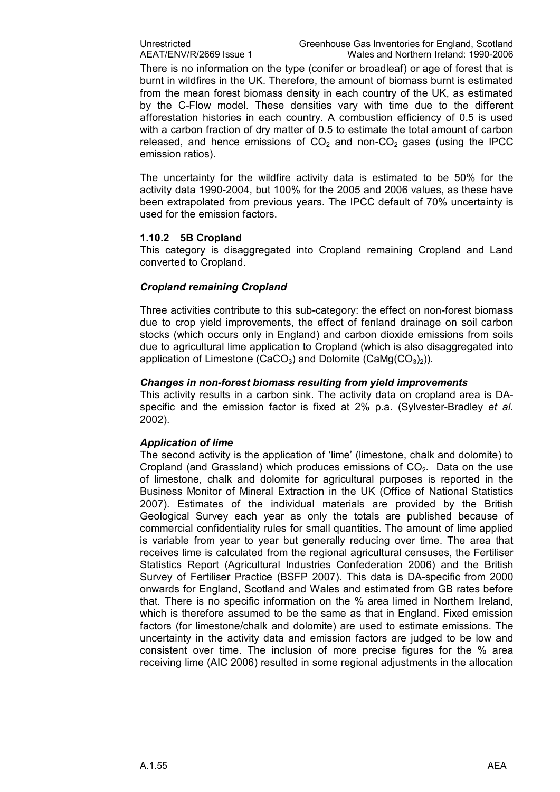There is no information on the type (conifer or broadleaf) or age of forest that is burnt in wildfires in the UK. Therefore, the amount of biomass burnt is estimated from the mean forest biomass density in each country of the UK, as estimated by the CFlow model. These densities vary with time due to the different afforestation histories in each country. A combustion efficiency of 0.5 is used with a carbon fraction of dry matter of 0.5 to estimate the total amount of carbon released, and hence emissions of  $CO<sub>2</sub>$  and non-CO<sub>2</sub> gases (using the IPCC emission ratios).

The uncertainty for the wildfire activity data is estimated to be 50% for the activity data 1990-2004, but 100% for the 2005 and 2006 values, as these have been extrapolated from previous years. The IPCC default of 70% uncertainty is used for the emission factors.

#### **1.10.2 5B Cropland**

This category is disaggregated into Cropland remaining Cropland and Land converted to Cropland.

#### *Cropland remaining Cropland*

Three activities contribute to this sub-category: the effect on non-forest biomass due to crop yield improvements, the effect of fenland drainage on soil carbon stocks (which occurs only in England) and carbon dioxide emissions from soils due to agricultural lime application to Cropland (which is also disaggregated into application of Limestone (CaCO<sub>3</sub>) and Dolomite (CaMg(CO<sub>3</sub>)<sub>2</sub>)).

#### *Changes in nonforest biomass resulting from yield improvements*

This activity results in a carbon sink. The activity data on cropland area is DA specific and the emission factor is fixed at 2% p.a. (Sylvester-Bradley *et al.* 2002).

#### *Application of lime*

The second activity is the application of 'lime' (limestone, chalk and dolomite) to Cropland (and Grassland) which produces emissions of  $CO<sub>2</sub>$ . Data on the use of limestone, chalk and dolomite for agricultural purposes is reported in the Business Monitor of Mineral Extraction in the UK (Office of National Statistics 2007). Estimates of the individual materials are provided by the British Geological Survey each year as only the totals are published because of commercial confidentiality rules for small quantities. The amount of lime applied is variable from year to year but generally reducing over time. The area that receives lime is calculated from the regional agricultural censuses, the Fertiliser Statistics Report (Agricultural Industries Confederation 2006) and the British Survey of Fertiliser Practice (BSFP 2007). This data is DA-specific from 2000 onwards for England, Scotland and Wales and estimated from GB rates before that. There is no specific information on the % area limed in Northern Ireland, which is therefore assumed to be the same as that in England. Fixed emission factors (for limestone/chalk and dolomite) are used to estimate emissions. The uncertainty in the activity data and emission factors are judged to be low and consistent over time. The inclusion of more precise figures for the % area receiving lime (AIC 2006) resulted in some regional adjustments in the allocation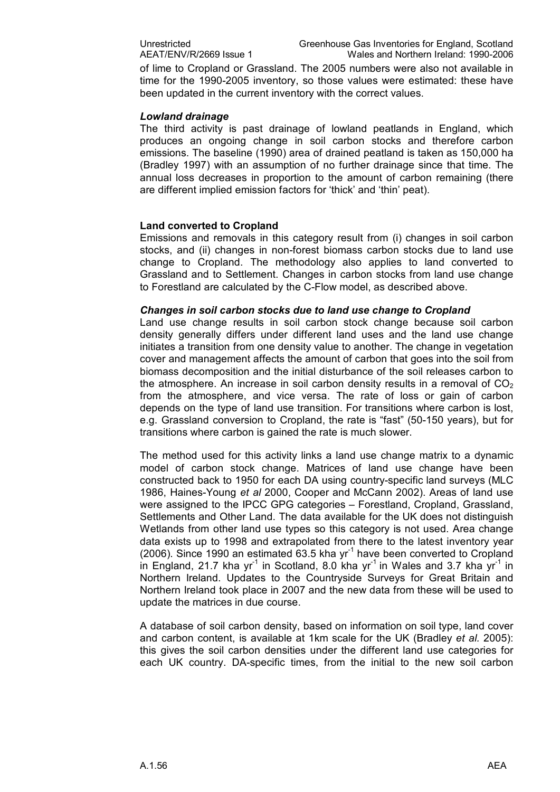of lime to Cropland or Grassland. The 2005 numbers were also not available in time for the 1990-2005 inventory, so those values were estimated: these have been updated in the current inventory with the correct values.

#### *Lowland drainage*

The third activity is past drainage of lowland peatlands in England, which produces an ongoing change in soil carbon stocks and therefore carbon emissions. The baseline (1990) area of drained peatland is taken as 150,000 ha (Bradley 1997) with an assumption of no further drainage since that time. The annual loss decreases in proportion to the amount of carbon remaining (there are different implied emission factors for 'thick' and 'thin' peat).

#### **Land converted to Cropland**

Emissions and removals in this category result from (i) changes in soil carbon stocks, and (ii) changes in non-forest biomass carbon stocks due to land use change to Cropland. The methodology also applies to land converted to Grassland and to Settlement. Changes in carbon stocks from land use change to Forestland are calculated by the C-Flow model, as described above.

#### *Changes in soil carbon stocks due to land use change to Cropland*

Land use change results in soil carbon stock change because soil carbon density generally differs under different land uses and the land use change initiates a transition from one density value to another. The change in vegetation cover and management affects the amount of carbon that goes into the soil from biomass decomposition and the initial disturbance of the soil releases carbon to the atmosphere. An increase in soil carbon density results in a removal of  $CO<sub>2</sub>$ from the atmosphere, and vice versa. The rate of loss or gain of carbon depends on the type of land use transition. For transitions where carbon is lost, e.g. Grassland conversion to Cropland, the rate is "fast" (50-150 years), but for transitions where carbon is gained the rate is much slower.

The method used for this activity links a land use change matrix to a dynamic model of carbon stock change. Matrices of land use change have been constructed back to 1950 for each DA using countryspecific land surveys (MLC 1986, Haines-Young et al 2000, Cooper and McCann 2002). Areas of land use were assigned to the IPCC GPG categories – Forestland, Cropland, Grassland, Settlements and Other Land. The data available for the UK does not distinguish Wetlands from other land use types so this category is not used. Area change data exists up to 1998 and extrapolated from there to the latest inventory year (2006). Since 1990 an estimated  $63.5$  kha yr<sup>1</sup> have been converted to Cropland in England, 21.7 kha yr<sup>1</sup> in Scotland, 8.0 kha yr<sup>1</sup> in Wales and 3.7 kha yr<sup>1</sup> in Northern Ireland. Updates to the Countryside Surveys for Great Britain and Northern Ireland took place in 2007 and the new data from these will be used to update the matrices in due course.

A database of soil carbon density, based on information on soil type, land cover and carbon content, is available at 1km scale for the UK (Bradley *et al.* 2005): this gives the soil carbon densities under the different land use categories for each UK country. DA-specific times, from the initial to the new soil carbon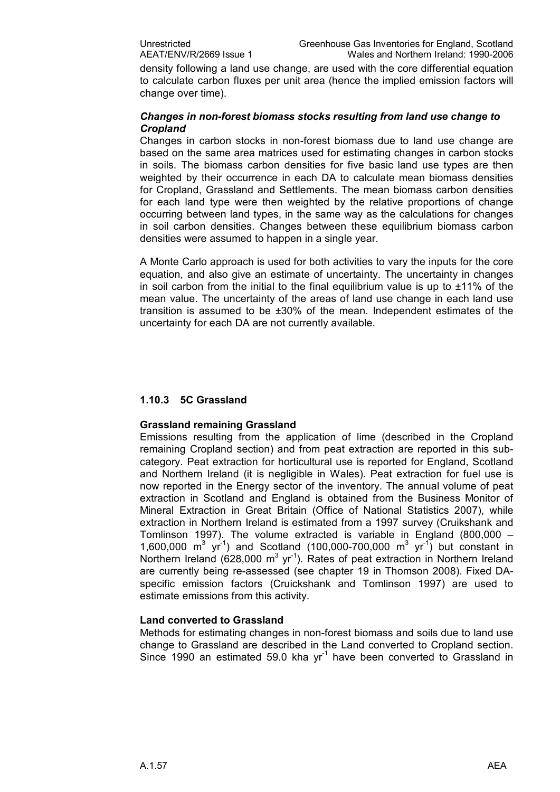density following a land use change, are used with the core differential equation to calculate carbon fluxes per unit area (hence the implied emission factors will change over time).

#### *Changes in nonforest biomass stocks resulting from land use change to Cropland*

Changes in carbon stocks in nonforest biomass due to land use change are based on the same area matrices used for estimating changes in carbon stocks in soils. The biomass carbon densities for five basic land use types are then weighted by their occurrence in each DA to calculate mean biomass densities for Cropland, Grassland and Settlements. The mean biomass carbon densities for each land type were then weighted by the relative proportions of change occurring between land types, in the same way as the calculations for changes in soil carbon densities. Changes between these equilibrium biomass carbon densities were assumed to happen in a single year.

A Monte Carlo approach is used for both activities to vary the inputs for the core equation, and also give an estimate of uncertainty. The uncertainty in changes in soil carbon from the initial to the final equilibrium value is up to  $\pm 11\%$  of the mean value. The uncertainty of the areas of land use change in each land use transition is assumed to be ±30% of the mean. Independent estimates of the uncertainty for each DA are not currently available.

#### **1.10.3 5C Grassland**

#### **Grassland remaining Grassland**

Emissions resulting from the application of lime (described in the Cropland remaining Cropland section) and from peat extraction are reported in this sub category. Peat extraction for horticultural use is reported for England, Scotland and Northern Ireland (it is negligible in Wales). Peat extraction for fuel use is now reported in the Energy sector of the inventory. The annual volume of peat extraction in Scotland and England is obtained from the Business Monitor of Mineral Extraction in Great Britain (Office of National Statistics 2007), while extraction in Northern Ireland is estimated from a1997 survey (Cruikshank and Tomlinson 1997). The volume extracted is variable in England (800,000 – 1,600,000  $\text{m}^3$  yr<sup>-1</sup>) and Scotland (100,000-700,000  $\text{m}^3$  yr<sup>-1</sup>) but constant in Northern Ireland (628,000  $m^3$  yr<sup>-1</sup>). Rates of peat extraction in Northern Ireland are currently being re-assessed (see chapter 19 in Thomson 2008). Fixed DAspecific emission factors (Cruickshank and Tomlinson 1997) are used to estimate emissions from this activity.

#### **Land converted to Grassland**

Methods for estimating changes in non-forest biomass and soils due to land use change to Grassland are described in the Land converted to Cropland section. Since 1990 an estimated 59.0 kha  $yr<sup>-1</sup>$  have been converted to Grassland in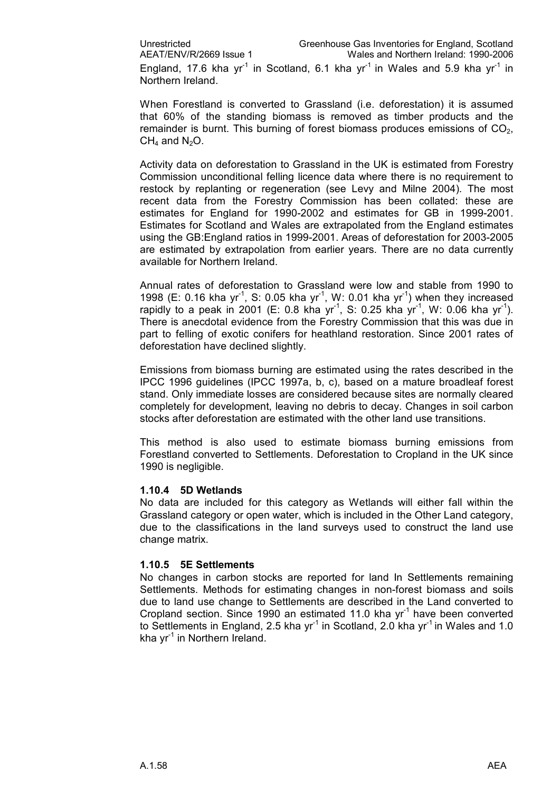When Forestland is converted to Grassland (i.e. deforestation) it is assumed that 60% of the standing biomass is removed as timber products and the remainder is burnt. This burning of forest biomass produces emissions of  $CO<sub>2</sub>$ ,  $CH<sub>4</sub>$  and N<sub>2</sub>O.

Activity data on deforestation to Grassland in the UK is estimated from Forestry Commission unconditional felling licence data where there is no requirement to restock by replanting or regeneration (see Levy and Milne 2004). The most recent data from the Forestry Commission has been collated: these are estimates for England for 1990-2002 and estimates for GB in 1999-2001. Estimates for Scotland and Wales are extrapolated from the England estimates using the GB: England ratios in 1999-2001. Areas of deforestation for 2003-2005 are estimated by extrapolation from earlier years. There are no data currently available for Northern Ireland.

Annual rates of deforestation to Grassland were low and stable from 1990 to 1998 (E: 0.16 kha yr<sup>-1</sup>, S: 0.05 kha yr<sup>-1</sup>, W: 0.01 kha yr<sup>-1</sup>) when they increased rapidly to a peak in 2001 (E: 0.8 kha yr<sup>-1</sup>, S: 0.25 kha yr<sup>-1</sup>, W: 0.06 kha yr<sup>-1</sup>). There is anecdotal evidence from the Forestry Commission that this was due in part to felling of exotic conifers for heathland restoration. Since 2001 rates of deforestation have declined slightly.

Emissions from biomass burning are estimated using the rates described in the IPCC 1996 guidelines (IPCC 1997a, b, c), based on a mature broadleaf forest stand. Only immediate losses are considered because sites are normally cleared completely for development, leaving no debris to decay. Changes in soil carbon stocks after deforestation are estimated with the other land use transitions.

This method is also used to estimate biomass burning emissions from Forestland converted to Settlements. Deforestation to Cropland in the UK since 1990 is negligible.

#### **1.10.4 5D Wetlands**

No data are included for this category as Wetlands will either fall within the Grassland category or open water, which is included in the Other Land category, due to the classifications in the land surveys used to construct the land use change matrix.

#### **1.10.5 5E Settlements**

No changes in carbon stocks are reported for land In Settlements remaining Settlements. Methods for estimating changes in non-forest biomass and soils due to land use change to Settlements are described in the Land converted to Cropland section. Since 1990 an estimated 11.0 kha  $yr<sup>-1</sup>$  have been converted to Settlements in England, 2.5 kha yr<sup>-1</sup> in Scotland, 2.0 kha yr<sup>-1</sup> in Wales and 1.0 kha  $yr^{-1}$  in Northern Ireland.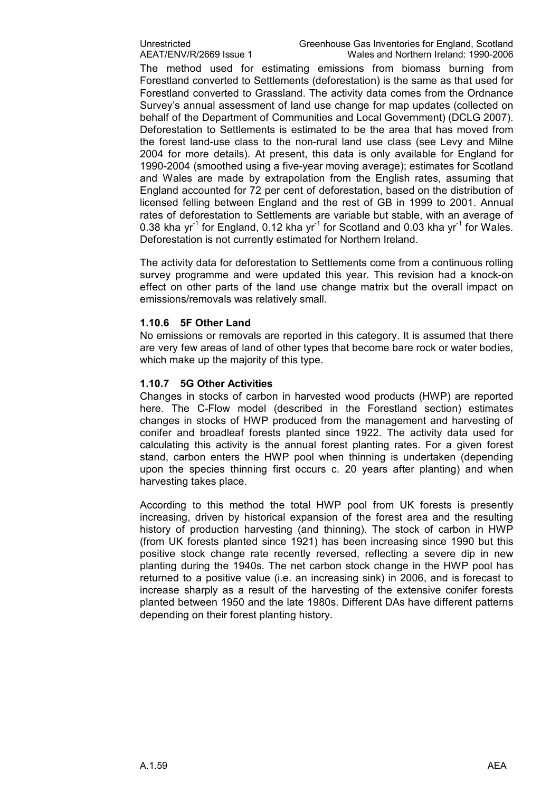Unrestricted Greenhouse Gas Inventories for England, Scotland<br>AEAT/ENV/R/2669 Issue 1 Wales and Northern Ireland: 1990-2006 Wales and Northern Ireland: 1990-2006

The method used for estimating emissions from biomass burning from Forestland converted to Settlements (deforestation) is the same as that used for Forestland converted to Grassland. The activity data comes from the Ordnance Survey's annual assessment of land use change for map updates (collected on behalf of the Department of Communities and Local Government) (DCLG 2007). Deforestation to Settlements is estimated to be the area that has moved from the forest land-use class to the non-rural land use class (see Levy and Milne 2004 for more details). At present, this data is only available for England for 1990-2004 (smoothed using a five-year moving average); estimates for Scotland and Wales are made by extrapolation from the English rates, assuming that England accounted for 72 per cent of deforestation, based on the distribution of licensed felling between England and the rest of GB in 1999 to 2001. Annual rates of deforestation to Settlements are variable but stable, with an average of 0.38 kha yr<sup>-1</sup> for England, 0.12 kha yr<sup>-1</sup> for Scotland and 0.03 kha yr<sup>-1</sup> for Wales. Deforestation is not currently estimated for Northern Ireland.

The activity data for deforestation to Settlements come from a continuous rolling survey programme and were updated this year. This revision had a knock-on effect on other parts of the land use change matrix but the overall impact on emissions/removals was relatively small.

#### **1.10.6 5F Other Land**

No emissions or removals are reported in this category. It is assumed that there are very few areas of land of other types that become bare rock or water bodies, which make up the majority of this type.

#### **1.10.7 5G Other Activities**

Changes in stocks of carbon in harvested wood products (HWP) are reported here. The C-Flow model (described in the Forestland section) estimates changes in stocks of HWP produced from the management and harvesting of conifer and broadleaf forests planted since 1922. The activity data used for calculating this activity is the annual forest planting rates. For a given forest stand, carbon enters the HWP pool when thinning is undertaken (depending upon the species thinning first occurs c. 20 years after planting) and when harvesting takes place.

According to this method the total HWP pool from UK forests is presently increasing, driven by historical expansion of the forest area and the resulting history of production harvesting (and thinning). The stock of carbon in HWP (from UK forests planted since 1921) has been increasing since 1990 but this positive stock change rate recently reversed, reflecting a severe dip in new planting during the 1940s. The net carbon stock change in the HWP pool has returned to a positive value (i.e. an increasing sink) in 2006, and is forecast to increase sharply as a result of the harvesting of the extensive conifer forests planted between 1950 and the late 1980s. Different DAs have different patterns depending on their forest planting history.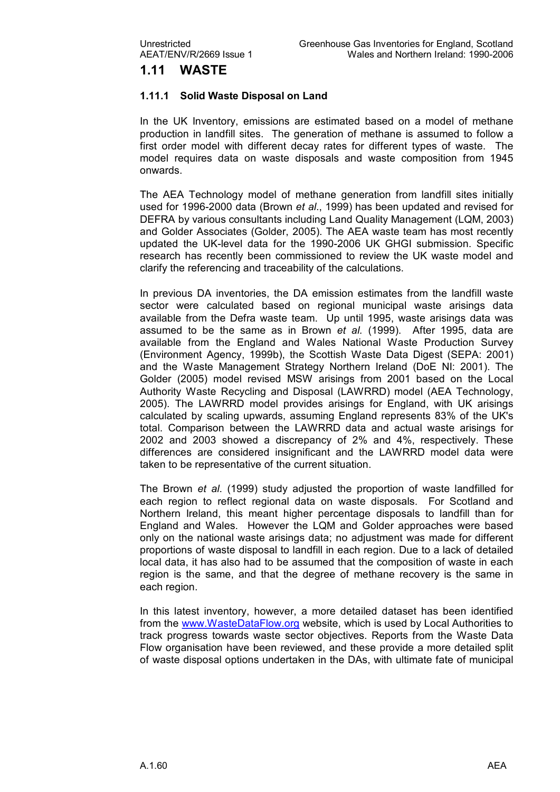### **1.11 WASTE**

#### **1.11.1 Solid Waste Disposal on Land**

In the UK Inventory, emissions are estimated based on a model of methane production in landfill sites. The generation of methane is assumed to follow a first order model with different decay rates for different types of waste. The model requires data on waste disposals and waste composition from 1945 onwards.

The AEA Technology model of methane generation from landfill sites initially used for 1996-2000 data (Brown et al., 1999) has been updated and revised for DEFRA by various consultants including Land Quality Management (LQM, 2003) and Golder Associates (Golder, 2005). The AEA waste team has most recently updated the UK-level data for the 1990-2006 UK GHGI submission. Specific research has recently been commissioned to review the UK waste model and clarify the referencing and traceability of the calculations.

In previous DA inventories, the DA emission estimates from the landfill waste sector were calculated based on regional municipal waste arisings data available from the Defra waste team. Up until 1995, waste arisings data was assumed to be the same as in Brown *et al.* (1999). After 1995, data are available from the England and Wales National Waste Production Survey (Environment Agency, 1999b), the Scottish Waste Data Digest (SEPA: 2001) and the Waste Management Strategy Northern Ireland (DoE NI: 2001). The Golder (2005) model revised MSW arisings from 2001 based on the Local Authority Waste Recycling and Disposal (LAWRRD) model (AEA Technology, 2005). The LAWRRD model provides arisings for England, with UK arisings calculated by scaling upwards, assuming England represents 83% of the UK's total. Comparison between the LAWRRD data and actual waste arisings for 2002 and 2003 showed a discrepancy of 2% and 4%, respectively. These differences are considered insignificant and the LAWRRD model data were taken to be representative of the current situation.

The Brown *et al*. (1999) study adjusted the proportion of waste landfilled for each region to reflect regional data on waste disposals. For Scotland and Northern Ireland, this meant higher percentage disposals to landfill than for England and Wales. However the LQM and Golder approaches were based only on the national waste arisings data; no adjustment was made for different proportions of waste disposal to landfill in each region. Due to a lack of detailed local data, it has also had to be assumed that the composition of waste in each region is the same, and that the degree of methane recovery is the same in each region.

In this latest inventory, however, a more detailed dataset has been identified from the [www.WasteDataFlow.org](http://www.wastedataflow.org/) website, which is used by Local Authorities to track progress towards waste sector objectives. Reports from the Waste Data Flow organisation have been reviewed, and these provide a more detailed split of waste disposal options undertaken in the DAs, with ultimate fate of municipal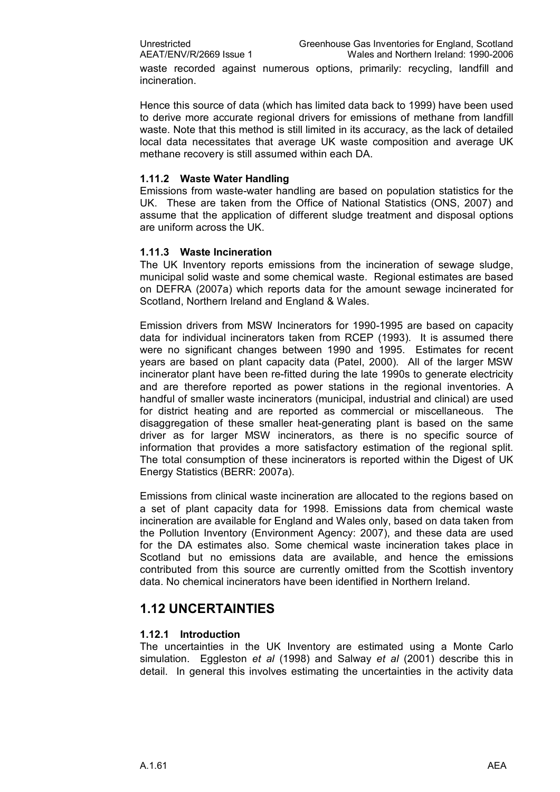waste recorded against numerous options, primarily: recycling, landfill and incineration.

Hence this source of data (which has limited data back to 1999) have been used to derive more accurate regional drivers for emissions of methane from landfill waste. Note that this method is still limited in its accuracy, as the lack of detailed local data necessitates that average UK waste composition and average UK methane recovery is still assumed within each DA.

#### **1.11.2 Waste Water Handling**

Emissions from waste-water handling are based on population statistics for the UK. These are taken from the Office of National Statistics (ONS, 2007) and assume that the application of different sludge treatment and disposal options are uniform across the UK.

#### **1.11.3 Waste Incineration**

The UK Inventory reports emissions from the incineration of sewage sludge, municipal solid waste and some chemical waste. Regional estimates are based on DEFRA (2007a) which reports data for the amount sewage incinerated for Scotland, Northern Ireland and England & Wales.

Emission drivers from MSW Incinerators for 1990-1995 are based on capacity data for individual incinerators taken from RCEP (1993). It is assumed there were no significant changes between 1990 and 1995. Estimates for recent years are based on plant capacity data (Patel, 2000). All of the larger MSW incinerator plant have been refitted during the late 1990s to generate electricity and are therefore reported as power stations in the regional inventories. A handful of smaller waste incinerators (municipal, industrial and clinical) are used for district heating and are reported as commercial or miscellaneous. The disaggregation of these smaller heat-generating plant is based on the same driver as for larger MSW incinerators, as there is no specific source of information that provides a more satisfactory estimation of the regional split. The total consumption of these incinerators is reported within the Digest of UK Energy Statistics (BERR: 2007a).

Emissions from clinical waste incineration are allocated to the regions based on a set of plant capacity data for 1998. Emissions data from chemical waste incineration are available for England and Wales only, based on data taken from the Pollution Inventory (Environment Agency: 2007), and these data are used for the DA estimates also. Some chemical waste incineration takes place in Scotland but no emissions data are available, and hence the emissions contributed from this source are currently omitted from the Scottish inventory data. No chemical incinerators have been identified in Northern Ireland.

#### **1.12 UNCERTAINTIES**

#### **1.12.1 Introduction**

The uncertainties in the UK Inventory are estimated using a Monte Carlo simulation. Eggleston *et al* (1998) and Salway *et al* (2001) describe this in detail. In general this involves estimating the uncertainties in the activity data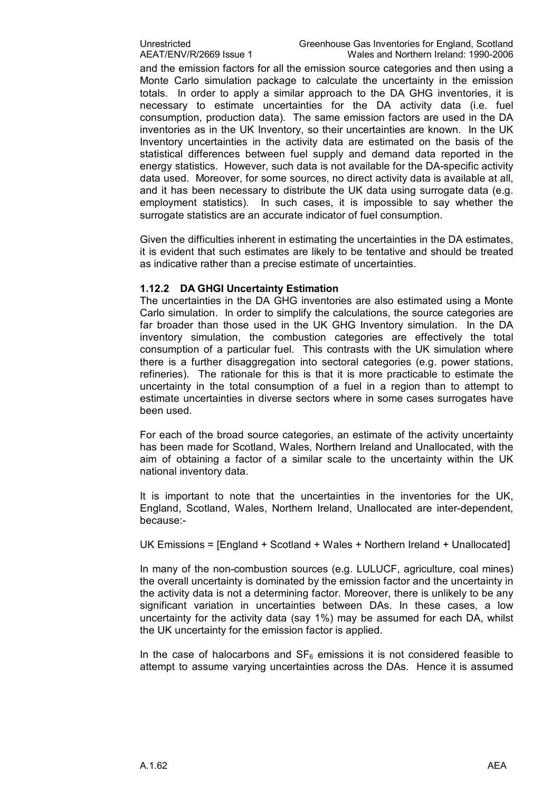and the emission factors for all the emission source categories and then using a Monte Carlo simulation package to calculate the uncertainty in the emission totals. In order to apply a similar approach to the DA GHG inventories, it is necessary to estimate uncertainties for the DA activity data (i.e. fuel consumption, production data). The same emission factors are used in the DA inventories as in the UK Inventory, so their uncertainties are known. In the UK Inventory uncertainties in the activity data are estimated on the basis of the statistical differences between fuel supply and demand data reported in the energy statistics. However, such data is not available for the DA-specific activity data used. Moreover, for some sources, no direct activity data is available at all, and it has been necessary to distribute the UK data using surrogate data (e.g. employment statistics). In such cases, it is impossible to say whether the surrogate statistics are an accurate indicator of fuel consumption.

Given the difficulties inherent in estimating the uncertainties in the DA estimates, it is evident that such estimates are likely to be tentative and should be treated as indicative rather than a precise estimate of uncertainties.

#### **1.12.2 DA GHGI Uncertainty Estimation**

The uncertainties in the DA GHG inventories are also estimated using a Monte Carlo simulation. In order to simplify the calculations, the source categories are far broader than those used in the UK GHG Inventory simulation. In the DA inventory simulation, the combustion categories are effectively the total consumption of a particular fuel. This contrasts with the UK simulation where there is a further disaggregation into sectoral categories (e.g. power stations, refineries). The rationale for this is that it is more practicable to estimate the uncertainty in the total consumption of a fuel in a region than to attempt to estimate uncertainties in diverse sectors where in some cases surrogates have been used.

For each of the broad source categories, an estimate of the activity uncertainty has been made for Scotland, Wales, Northern Ireland and Unallocated, with the aim of obtaining a factor of a similar scale to the uncertainty within the UK national inventory data.

It is important to note that the uncertainties in the inventories for the UK, England, Scotland, Wales, Northern Ireland, Unallocated are interdependent, because:

UK Emissions = [England + Scotland + Wales + Northern Ireland + Unallocated]

In many of the non-combustion sources (e.g. LULUCF, agriculture, coal mines) the overall uncertainty is dominated by the emission factor and the uncertainty in the activity data is not a determining factor. Moreover, there is unlikely to be any significant variation in uncertainties between DAs. In these cases, a low uncertainty for the activity data (say 1%) may be assumed for each DA, whilst the UK uncertainty for the emission factor is applied.

In the case of halocarbons and  $SF_6$  emissions it is not considered feasible to attempt to assume varying uncertainties across the DAs. Hence it is assumed